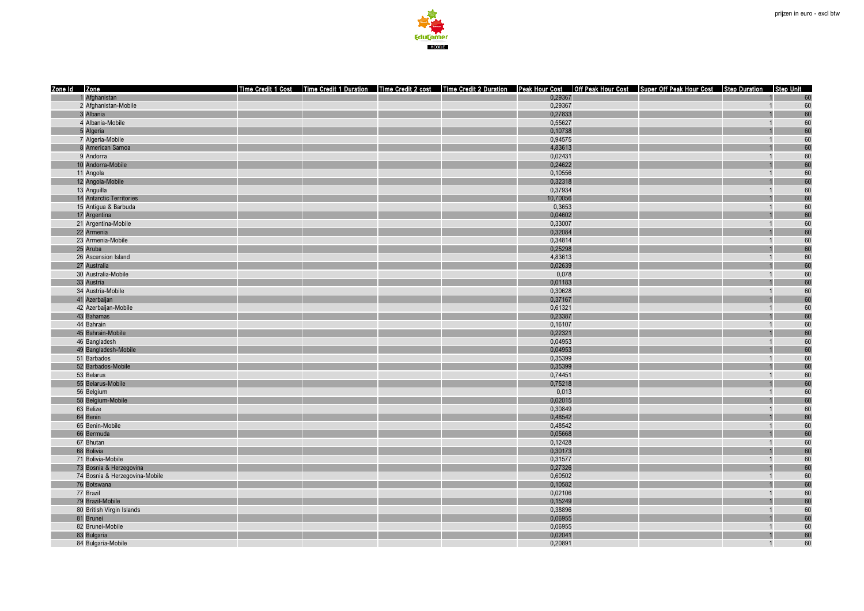

| 1 Afghanistan<br>0,29367<br>60<br>0,29367<br>60<br>2 Afghanistan-Mobile<br>$\overline{1}$<br>60<br>3 Albania<br>0,27833<br>4 Albania-Mobile<br>0,55627<br>60<br>5 Algeria<br>60<br>0,10738<br>60<br>7 Algeria-Mobile<br>0,94575<br>$\overline{1}$<br>60<br>8 American Samoa<br>4,83613<br>60<br>0,02431<br>9 Andorra<br>$\overline{1}$<br>0,24622<br>60<br>10 Andorra-Mobile<br>60<br>11 Angola<br>0,10556<br>$\overline{1}$<br>60<br>12 Angola-Mobile<br>0,32318<br>60<br>0,37934<br>13 Anguilla<br>$\overline{1}$<br>60<br>14 Antarctic Territories<br>10,70056<br>60<br>15 Antiqua & Barbuda<br>0.3653<br>60<br>0,04602<br>17 Argentina<br>60<br>21 Argentina-Mobile<br>0,33007<br>60<br>22 Armenia<br>0,32084<br>0,34814<br>60<br>23 Armenia-Mobile<br>60<br>25 Aruba<br>0,25298<br>60<br>4,83613<br>26 Ascension Island<br>$\overline{1}$<br>0,02639<br>60<br>27 Australia<br>60<br>30 Australia-Mobile<br>0,078<br>$\overline{1}$<br>33 Austria<br>0,01183<br>60<br>60<br>34 Austria-Mobile<br>0,30628<br>60<br>41 Azerbaijan<br>0,37167<br>60<br>42 Azerbaijan-Mobile<br>0,61321<br>60<br>0,23387<br>43 Bahamas<br>44 Bahrain<br>60<br>0,16107<br>$\overline{1}$<br>60<br>45 Bahrain-Mobile<br>0,22321<br>60<br>0,04953<br>46 Bangladesh<br>60<br>49 Bangladesh-Mobile<br>0,04953<br>60<br>51 Barbados<br>0,35399<br>60<br>52 Barbados-Mobile<br>0,35399<br>60<br>53 Belarus<br>0,74451<br>$\overline{1}$<br>55 Belarus-Mobile<br>0,75218<br>60<br>60<br>56 Belgium<br>0,013<br>60<br>58 Belgium-Mobile<br>0,02015<br>60<br>63 Belize<br>0,30849<br>60<br>64 Benin<br>0,48542<br>60<br>65 Benin-Mobile<br>0,48542<br>$\overline{1}$<br>60<br>0,05668<br>66 Bermuda<br>67 Bhutan<br>60<br>0,12428<br>$\overline{1}$<br>60<br>68 Bolivia<br>0,30173<br>60<br>71 Bolivia-Mobile<br>0,31577<br>60<br>73 Bosnia & Herzegovina<br>0,27326<br>60<br>0,60502<br>74 Bosnia & Herzegovina-Mobile<br>0,10582<br>60<br>76 Botswana<br>60<br>77 Brazil<br>0,02106<br>$\overline{1}$<br>79 Brazil-Mobile<br>0,15249<br>60<br>60<br>80 British Virgin Islands<br>0,38896<br>$\overline{1}$<br>60<br>81 Brunei<br>0,06955<br>0,06955<br>60<br>82 Brunei-Mobile<br>60<br>83 Bulgaria<br>0,02041<br>0,20891<br>60<br>84 Bulgaria-Mobile<br>$\overline{1}$ | Zone Id Zone | Time Credit 1 Cost Time Credit 1 Duration Time Credit 2 cost Time Credit 2 Duration Peak Hour Cost   Off Peak Hour Cost   Super Off Peak Hour Cost   Step Duration   Step Unit |  |  |
|------------------------------------------------------------------------------------------------------------------------------------------------------------------------------------------------------------------------------------------------------------------------------------------------------------------------------------------------------------------------------------------------------------------------------------------------------------------------------------------------------------------------------------------------------------------------------------------------------------------------------------------------------------------------------------------------------------------------------------------------------------------------------------------------------------------------------------------------------------------------------------------------------------------------------------------------------------------------------------------------------------------------------------------------------------------------------------------------------------------------------------------------------------------------------------------------------------------------------------------------------------------------------------------------------------------------------------------------------------------------------------------------------------------------------------------------------------------------------------------------------------------------------------------------------------------------------------------------------------------------------------------------------------------------------------------------------------------------------------------------------------------------------------------------------------------------------------------------------------------------------------------------------------------------------------------------------------------------------------------------------------------------------------------------------------------------------------------------------------------------------------------------------------------------------------------------------------------------------------------------|--------------|--------------------------------------------------------------------------------------------------------------------------------------------------------------------------------|--|--|
|                                                                                                                                                                                                                                                                                                                                                                                                                                                                                                                                                                                                                                                                                                                                                                                                                                                                                                                                                                                                                                                                                                                                                                                                                                                                                                                                                                                                                                                                                                                                                                                                                                                                                                                                                                                                                                                                                                                                                                                                                                                                                                                                                                                                                                                |              |                                                                                                                                                                                |  |  |
|                                                                                                                                                                                                                                                                                                                                                                                                                                                                                                                                                                                                                                                                                                                                                                                                                                                                                                                                                                                                                                                                                                                                                                                                                                                                                                                                                                                                                                                                                                                                                                                                                                                                                                                                                                                                                                                                                                                                                                                                                                                                                                                                                                                                                                                |              |                                                                                                                                                                                |  |  |
|                                                                                                                                                                                                                                                                                                                                                                                                                                                                                                                                                                                                                                                                                                                                                                                                                                                                                                                                                                                                                                                                                                                                                                                                                                                                                                                                                                                                                                                                                                                                                                                                                                                                                                                                                                                                                                                                                                                                                                                                                                                                                                                                                                                                                                                |              |                                                                                                                                                                                |  |  |
|                                                                                                                                                                                                                                                                                                                                                                                                                                                                                                                                                                                                                                                                                                                                                                                                                                                                                                                                                                                                                                                                                                                                                                                                                                                                                                                                                                                                                                                                                                                                                                                                                                                                                                                                                                                                                                                                                                                                                                                                                                                                                                                                                                                                                                                |              |                                                                                                                                                                                |  |  |
|                                                                                                                                                                                                                                                                                                                                                                                                                                                                                                                                                                                                                                                                                                                                                                                                                                                                                                                                                                                                                                                                                                                                                                                                                                                                                                                                                                                                                                                                                                                                                                                                                                                                                                                                                                                                                                                                                                                                                                                                                                                                                                                                                                                                                                                |              |                                                                                                                                                                                |  |  |
|                                                                                                                                                                                                                                                                                                                                                                                                                                                                                                                                                                                                                                                                                                                                                                                                                                                                                                                                                                                                                                                                                                                                                                                                                                                                                                                                                                                                                                                                                                                                                                                                                                                                                                                                                                                                                                                                                                                                                                                                                                                                                                                                                                                                                                                |              |                                                                                                                                                                                |  |  |
|                                                                                                                                                                                                                                                                                                                                                                                                                                                                                                                                                                                                                                                                                                                                                                                                                                                                                                                                                                                                                                                                                                                                                                                                                                                                                                                                                                                                                                                                                                                                                                                                                                                                                                                                                                                                                                                                                                                                                                                                                                                                                                                                                                                                                                                |              |                                                                                                                                                                                |  |  |
|                                                                                                                                                                                                                                                                                                                                                                                                                                                                                                                                                                                                                                                                                                                                                                                                                                                                                                                                                                                                                                                                                                                                                                                                                                                                                                                                                                                                                                                                                                                                                                                                                                                                                                                                                                                                                                                                                                                                                                                                                                                                                                                                                                                                                                                |              |                                                                                                                                                                                |  |  |
|                                                                                                                                                                                                                                                                                                                                                                                                                                                                                                                                                                                                                                                                                                                                                                                                                                                                                                                                                                                                                                                                                                                                                                                                                                                                                                                                                                                                                                                                                                                                                                                                                                                                                                                                                                                                                                                                                                                                                                                                                                                                                                                                                                                                                                                |              |                                                                                                                                                                                |  |  |
|                                                                                                                                                                                                                                                                                                                                                                                                                                                                                                                                                                                                                                                                                                                                                                                                                                                                                                                                                                                                                                                                                                                                                                                                                                                                                                                                                                                                                                                                                                                                                                                                                                                                                                                                                                                                                                                                                                                                                                                                                                                                                                                                                                                                                                                |              |                                                                                                                                                                                |  |  |
|                                                                                                                                                                                                                                                                                                                                                                                                                                                                                                                                                                                                                                                                                                                                                                                                                                                                                                                                                                                                                                                                                                                                                                                                                                                                                                                                                                                                                                                                                                                                                                                                                                                                                                                                                                                                                                                                                                                                                                                                                                                                                                                                                                                                                                                |              |                                                                                                                                                                                |  |  |
|                                                                                                                                                                                                                                                                                                                                                                                                                                                                                                                                                                                                                                                                                                                                                                                                                                                                                                                                                                                                                                                                                                                                                                                                                                                                                                                                                                                                                                                                                                                                                                                                                                                                                                                                                                                                                                                                                                                                                                                                                                                                                                                                                                                                                                                |              |                                                                                                                                                                                |  |  |
|                                                                                                                                                                                                                                                                                                                                                                                                                                                                                                                                                                                                                                                                                                                                                                                                                                                                                                                                                                                                                                                                                                                                                                                                                                                                                                                                                                                                                                                                                                                                                                                                                                                                                                                                                                                                                                                                                                                                                                                                                                                                                                                                                                                                                                                |              |                                                                                                                                                                                |  |  |
|                                                                                                                                                                                                                                                                                                                                                                                                                                                                                                                                                                                                                                                                                                                                                                                                                                                                                                                                                                                                                                                                                                                                                                                                                                                                                                                                                                                                                                                                                                                                                                                                                                                                                                                                                                                                                                                                                                                                                                                                                                                                                                                                                                                                                                                |              |                                                                                                                                                                                |  |  |
|                                                                                                                                                                                                                                                                                                                                                                                                                                                                                                                                                                                                                                                                                                                                                                                                                                                                                                                                                                                                                                                                                                                                                                                                                                                                                                                                                                                                                                                                                                                                                                                                                                                                                                                                                                                                                                                                                                                                                                                                                                                                                                                                                                                                                                                |              |                                                                                                                                                                                |  |  |
|                                                                                                                                                                                                                                                                                                                                                                                                                                                                                                                                                                                                                                                                                                                                                                                                                                                                                                                                                                                                                                                                                                                                                                                                                                                                                                                                                                                                                                                                                                                                                                                                                                                                                                                                                                                                                                                                                                                                                                                                                                                                                                                                                                                                                                                |              |                                                                                                                                                                                |  |  |
|                                                                                                                                                                                                                                                                                                                                                                                                                                                                                                                                                                                                                                                                                                                                                                                                                                                                                                                                                                                                                                                                                                                                                                                                                                                                                                                                                                                                                                                                                                                                                                                                                                                                                                                                                                                                                                                                                                                                                                                                                                                                                                                                                                                                                                                |              |                                                                                                                                                                                |  |  |
|                                                                                                                                                                                                                                                                                                                                                                                                                                                                                                                                                                                                                                                                                                                                                                                                                                                                                                                                                                                                                                                                                                                                                                                                                                                                                                                                                                                                                                                                                                                                                                                                                                                                                                                                                                                                                                                                                                                                                                                                                                                                                                                                                                                                                                                |              |                                                                                                                                                                                |  |  |
|                                                                                                                                                                                                                                                                                                                                                                                                                                                                                                                                                                                                                                                                                                                                                                                                                                                                                                                                                                                                                                                                                                                                                                                                                                                                                                                                                                                                                                                                                                                                                                                                                                                                                                                                                                                                                                                                                                                                                                                                                                                                                                                                                                                                                                                |              |                                                                                                                                                                                |  |  |
|                                                                                                                                                                                                                                                                                                                                                                                                                                                                                                                                                                                                                                                                                                                                                                                                                                                                                                                                                                                                                                                                                                                                                                                                                                                                                                                                                                                                                                                                                                                                                                                                                                                                                                                                                                                                                                                                                                                                                                                                                                                                                                                                                                                                                                                |              |                                                                                                                                                                                |  |  |
|                                                                                                                                                                                                                                                                                                                                                                                                                                                                                                                                                                                                                                                                                                                                                                                                                                                                                                                                                                                                                                                                                                                                                                                                                                                                                                                                                                                                                                                                                                                                                                                                                                                                                                                                                                                                                                                                                                                                                                                                                                                                                                                                                                                                                                                |              |                                                                                                                                                                                |  |  |
|                                                                                                                                                                                                                                                                                                                                                                                                                                                                                                                                                                                                                                                                                                                                                                                                                                                                                                                                                                                                                                                                                                                                                                                                                                                                                                                                                                                                                                                                                                                                                                                                                                                                                                                                                                                                                                                                                                                                                                                                                                                                                                                                                                                                                                                |              |                                                                                                                                                                                |  |  |
|                                                                                                                                                                                                                                                                                                                                                                                                                                                                                                                                                                                                                                                                                                                                                                                                                                                                                                                                                                                                                                                                                                                                                                                                                                                                                                                                                                                                                                                                                                                                                                                                                                                                                                                                                                                                                                                                                                                                                                                                                                                                                                                                                                                                                                                |              |                                                                                                                                                                                |  |  |
|                                                                                                                                                                                                                                                                                                                                                                                                                                                                                                                                                                                                                                                                                                                                                                                                                                                                                                                                                                                                                                                                                                                                                                                                                                                                                                                                                                                                                                                                                                                                                                                                                                                                                                                                                                                                                                                                                                                                                                                                                                                                                                                                                                                                                                                |              |                                                                                                                                                                                |  |  |
|                                                                                                                                                                                                                                                                                                                                                                                                                                                                                                                                                                                                                                                                                                                                                                                                                                                                                                                                                                                                                                                                                                                                                                                                                                                                                                                                                                                                                                                                                                                                                                                                                                                                                                                                                                                                                                                                                                                                                                                                                                                                                                                                                                                                                                                |              |                                                                                                                                                                                |  |  |
|                                                                                                                                                                                                                                                                                                                                                                                                                                                                                                                                                                                                                                                                                                                                                                                                                                                                                                                                                                                                                                                                                                                                                                                                                                                                                                                                                                                                                                                                                                                                                                                                                                                                                                                                                                                                                                                                                                                                                                                                                                                                                                                                                                                                                                                |              |                                                                                                                                                                                |  |  |
|                                                                                                                                                                                                                                                                                                                                                                                                                                                                                                                                                                                                                                                                                                                                                                                                                                                                                                                                                                                                                                                                                                                                                                                                                                                                                                                                                                                                                                                                                                                                                                                                                                                                                                                                                                                                                                                                                                                                                                                                                                                                                                                                                                                                                                                |              |                                                                                                                                                                                |  |  |
|                                                                                                                                                                                                                                                                                                                                                                                                                                                                                                                                                                                                                                                                                                                                                                                                                                                                                                                                                                                                                                                                                                                                                                                                                                                                                                                                                                                                                                                                                                                                                                                                                                                                                                                                                                                                                                                                                                                                                                                                                                                                                                                                                                                                                                                |              |                                                                                                                                                                                |  |  |
|                                                                                                                                                                                                                                                                                                                                                                                                                                                                                                                                                                                                                                                                                                                                                                                                                                                                                                                                                                                                                                                                                                                                                                                                                                                                                                                                                                                                                                                                                                                                                                                                                                                                                                                                                                                                                                                                                                                                                                                                                                                                                                                                                                                                                                                |              |                                                                                                                                                                                |  |  |
|                                                                                                                                                                                                                                                                                                                                                                                                                                                                                                                                                                                                                                                                                                                                                                                                                                                                                                                                                                                                                                                                                                                                                                                                                                                                                                                                                                                                                                                                                                                                                                                                                                                                                                                                                                                                                                                                                                                                                                                                                                                                                                                                                                                                                                                |              |                                                                                                                                                                                |  |  |
|                                                                                                                                                                                                                                                                                                                                                                                                                                                                                                                                                                                                                                                                                                                                                                                                                                                                                                                                                                                                                                                                                                                                                                                                                                                                                                                                                                                                                                                                                                                                                                                                                                                                                                                                                                                                                                                                                                                                                                                                                                                                                                                                                                                                                                                |              |                                                                                                                                                                                |  |  |
|                                                                                                                                                                                                                                                                                                                                                                                                                                                                                                                                                                                                                                                                                                                                                                                                                                                                                                                                                                                                                                                                                                                                                                                                                                                                                                                                                                                                                                                                                                                                                                                                                                                                                                                                                                                                                                                                                                                                                                                                                                                                                                                                                                                                                                                |              |                                                                                                                                                                                |  |  |
|                                                                                                                                                                                                                                                                                                                                                                                                                                                                                                                                                                                                                                                                                                                                                                                                                                                                                                                                                                                                                                                                                                                                                                                                                                                                                                                                                                                                                                                                                                                                                                                                                                                                                                                                                                                                                                                                                                                                                                                                                                                                                                                                                                                                                                                |              |                                                                                                                                                                                |  |  |
|                                                                                                                                                                                                                                                                                                                                                                                                                                                                                                                                                                                                                                                                                                                                                                                                                                                                                                                                                                                                                                                                                                                                                                                                                                                                                                                                                                                                                                                                                                                                                                                                                                                                                                                                                                                                                                                                                                                                                                                                                                                                                                                                                                                                                                                |              |                                                                                                                                                                                |  |  |
|                                                                                                                                                                                                                                                                                                                                                                                                                                                                                                                                                                                                                                                                                                                                                                                                                                                                                                                                                                                                                                                                                                                                                                                                                                                                                                                                                                                                                                                                                                                                                                                                                                                                                                                                                                                                                                                                                                                                                                                                                                                                                                                                                                                                                                                |              |                                                                                                                                                                                |  |  |
|                                                                                                                                                                                                                                                                                                                                                                                                                                                                                                                                                                                                                                                                                                                                                                                                                                                                                                                                                                                                                                                                                                                                                                                                                                                                                                                                                                                                                                                                                                                                                                                                                                                                                                                                                                                                                                                                                                                                                                                                                                                                                                                                                                                                                                                |              |                                                                                                                                                                                |  |  |
|                                                                                                                                                                                                                                                                                                                                                                                                                                                                                                                                                                                                                                                                                                                                                                                                                                                                                                                                                                                                                                                                                                                                                                                                                                                                                                                                                                                                                                                                                                                                                                                                                                                                                                                                                                                                                                                                                                                                                                                                                                                                                                                                                                                                                                                |              |                                                                                                                                                                                |  |  |
|                                                                                                                                                                                                                                                                                                                                                                                                                                                                                                                                                                                                                                                                                                                                                                                                                                                                                                                                                                                                                                                                                                                                                                                                                                                                                                                                                                                                                                                                                                                                                                                                                                                                                                                                                                                                                                                                                                                                                                                                                                                                                                                                                                                                                                                |              |                                                                                                                                                                                |  |  |
|                                                                                                                                                                                                                                                                                                                                                                                                                                                                                                                                                                                                                                                                                                                                                                                                                                                                                                                                                                                                                                                                                                                                                                                                                                                                                                                                                                                                                                                                                                                                                                                                                                                                                                                                                                                                                                                                                                                                                                                                                                                                                                                                                                                                                                                |              |                                                                                                                                                                                |  |  |
|                                                                                                                                                                                                                                                                                                                                                                                                                                                                                                                                                                                                                                                                                                                                                                                                                                                                                                                                                                                                                                                                                                                                                                                                                                                                                                                                                                                                                                                                                                                                                                                                                                                                                                                                                                                                                                                                                                                                                                                                                                                                                                                                                                                                                                                |              |                                                                                                                                                                                |  |  |
|                                                                                                                                                                                                                                                                                                                                                                                                                                                                                                                                                                                                                                                                                                                                                                                                                                                                                                                                                                                                                                                                                                                                                                                                                                                                                                                                                                                                                                                                                                                                                                                                                                                                                                                                                                                                                                                                                                                                                                                                                                                                                                                                                                                                                                                |              |                                                                                                                                                                                |  |  |
|                                                                                                                                                                                                                                                                                                                                                                                                                                                                                                                                                                                                                                                                                                                                                                                                                                                                                                                                                                                                                                                                                                                                                                                                                                                                                                                                                                                                                                                                                                                                                                                                                                                                                                                                                                                                                                                                                                                                                                                                                                                                                                                                                                                                                                                |              |                                                                                                                                                                                |  |  |
|                                                                                                                                                                                                                                                                                                                                                                                                                                                                                                                                                                                                                                                                                                                                                                                                                                                                                                                                                                                                                                                                                                                                                                                                                                                                                                                                                                                                                                                                                                                                                                                                                                                                                                                                                                                                                                                                                                                                                                                                                                                                                                                                                                                                                                                |              |                                                                                                                                                                                |  |  |
|                                                                                                                                                                                                                                                                                                                                                                                                                                                                                                                                                                                                                                                                                                                                                                                                                                                                                                                                                                                                                                                                                                                                                                                                                                                                                                                                                                                                                                                                                                                                                                                                                                                                                                                                                                                                                                                                                                                                                                                                                                                                                                                                                                                                                                                |              |                                                                                                                                                                                |  |  |
|                                                                                                                                                                                                                                                                                                                                                                                                                                                                                                                                                                                                                                                                                                                                                                                                                                                                                                                                                                                                                                                                                                                                                                                                                                                                                                                                                                                                                                                                                                                                                                                                                                                                                                                                                                                                                                                                                                                                                                                                                                                                                                                                                                                                                                                |              |                                                                                                                                                                                |  |  |
|                                                                                                                                                                                                                                                                                                                                                                                                                                                                                                                                                                                                                                                                                                                                                                                                                                                                                                                                                                                                                                                                                                                                                                                                                                                                                                                                                                                                                                                                                                                                                                                                                                                                                                                                                                                                                                                                                                                                                                                                                                                                                                                                                                                                                                                |              |                                                                                                                                                                                |  |  |
|                                                                                                                                                                                                                                                                                                                                                                                                                                                                                                                                                                                                                                                                                                                                                                                                                                                                                                                                                                                                                                                                                                                                                                                                                                                                                                                                                                                                                                                                                                                                                                                                                                                                                                                                                                                                                                                                                                                                                                                                                                                                                                                                                                                                                                                |              |                                                                                                                                                                                |  |  |
|                                                                                                                                                                                                                                                                                                                                                                                                                                                                                                                                                                                                                                                                                                                                                                                                                                                                                                                                                                                                                                                                                                                                                                                                                                                                                                                                                                                                                                                                                                                                                                                                                                                                                                                                                                                                                                                                                                                                                                                                                                                                                                                                                                                                                                                |              |                                                                                                                                                                                |  |  |
|                                                                                                                                                                                                                                                                                                                                                                                                                                                                                                                                                                                                                                                                                                                                                                                                                                                                                                                                                                                                                                                                                                                                                                                                                                                                                                                                                                                                                                                                                                                                                                                                                                                                                                                                                                                                                                                                                                                                                                                                                                                                                                                                                                                                                                                |              |                                                                                                                                                                                |  |  |
|                                                                                                                                                                                                                                                                                                                                                                                                                                                                                                                                                                                                                                                                                                                                                                                                                                                                                                                                                                                                                                                                                                                                                                                                                                                                                                                                                                                                                                                                                                                                                                                                                                                                                                                                                                                                                                                                                                                                                                                                                                                                                                                                                                                                                                                |              |                                                                                                                                                                                |  |  |
|                                                                                                                                                                                                                                                                                                                                                                                                                                                                                                                                                                                                                                                                                                                                                                                                                                                                                                                                                                                                                                                                                                                                                                                                                                                                                                                                                                                                                                                                                                                                                                                                                                                                                                                                                                                                                                                                                                                                                                                                                                                                                                                                                                                                                                                |              |                                                                                                                                                                                |  |  |
|                                                                                                                                                                                                                                                                                                                                                                                                                                                                                                                                                                                                                                                                                                                                                                                                                                                                                                                                                                                                                                                                                                                                                                                                                                                                                                                                                                                                                                                                                                                                                                                                                                                                                                                                                                                                                                                                                                                                                                                                                                                                                                                                                                                                                                                |              |                                                                                                                                                                                |  |  |
|                                                                                                                                                                                                                                                                                                                                                                                                                                                                                                                                                                                                                                                                                                                                                                                                                                                                                                                                                                                                                                                                                                                                                                                                                                                                                                                                                                                                                                                                                                                                                                                                                                                                                                                                                                                                                                                                                                                                                                                                                                                                                                                                                                                                                                                |              |                                                                                                                                                                                |  |  |
|                                                                                                                                                                                                                                                                                                                                                                                                                                                                                                                                                                                                                                                                                                                                                                                                                                                                                                                                                                                                                                                                                                                                                                                                                                                                                                                                                                                                                                                                                                                                                                                                                                                                                                                                                                                                                                                                                                                                                                                                                                                                                                                                                                                                                                                |              |                                                                                                                                                                                |  |  |
|                                                                                                                                                                                                                                                                                                                                                                                                                                                                                                                                                                                                                                                                                                                                                                                                                                                                                                                                                                                                                                                                                                                                                                                                                                                                                                                                                                                                                                                                                                                                                                                                                                                                                                                                                                                                                                                                                                                                                                                                                                                                                                                                                                                                                                                |              |                                                                                                                                                                                |  |  |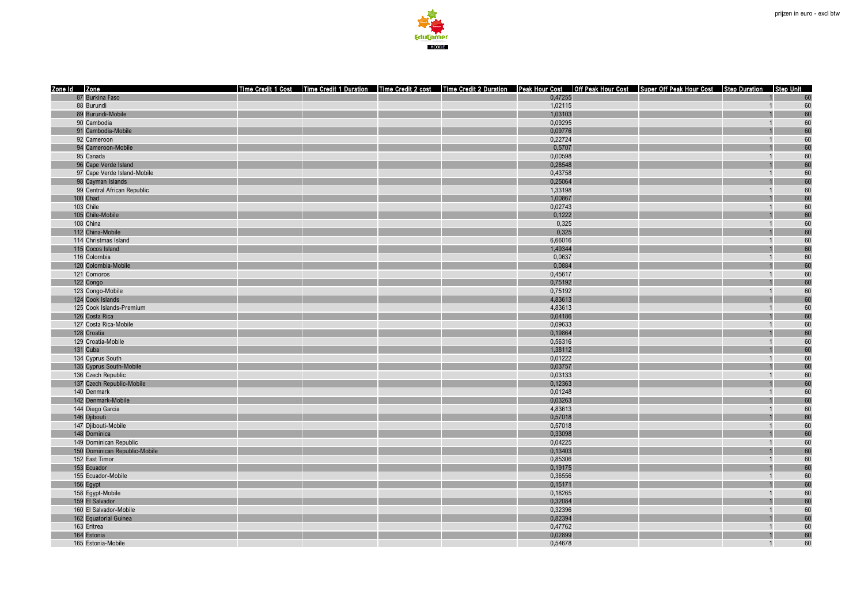

| Zone Id Zone                        |                               |  |  |                   | Time Credit 1 Cost   Time Credit 1 Duration   Time Credit 2 cost   Time Credit 2 Duration   Peak Hour Cost   Off Peak Hour Cost   Super Off Peak Hour Cost   Step Duration   Step Unit |                |          |
|-------------------------------------|-------------------------------|--|--|-------------------|----------------------------------------------------------------------------------------------------------------------------------------------------------------------------------------|----------------|----------|
| 87 Burkina Faso                     |                               |  |  | 0,47255           |                                                                                                                                                                                        |                | 60       |
| 88 Burundi                          |                               |  |  | 1,02115           |                                                                                                                                                                                        | $\overline{1}$ | 60       |
| 89 Burundi-Mobile                   |                               |  |  | 1,03103           |                                                                                                                                                                                        |                | 60       |
| 90 Cambodia                         |                               |  |  | 0,09295           |                                                                                                                                                                                        |                | 60       |
| 91 Cambodia-Mobile                  |                               |  |  | 0,09776           |                                                                                                                                                                                        |                | 60       |
| 92 Cameroon                         |                               |  |  | 0,22724           |                                                                                                                                                                                        | $\overline{1}$ | 60       |
|                                     | 94 Cameroon-Mobile            |  |  | 0,5707            |                                                                                                                                                                                        |                | 60       |
| 95 Canada                           |                               |  |  | 0,00598           |                                                                                                                                                                                        |                | 60       |
|                                     | 96 Cape Verde Island          |  |  | 0,28548           |                                                                                                                                                                                        |                | 60       |
|                                     | 97 Cape Verde Island-Mobile   |  |  | 0,43758           |                                                                                                                                                                                        |                | 60       |
| 98 Cayman Islands                   |                               |  |  | 0,25064           |                                                                                                                                                                                        |                | 60       |
|                                     | 99 Central African Republic   |  |  | 1,33198           |                                                                                                                                                                                        |                | 60       |
| 100 Chad                            |                               |  |  | 1,00867           |                                                                                                                                                                                        |                | 60       |
| 103 Chile                           |                               |  |  | 0,02743           |                                                                                                                                                                                        | $\overline{1}$ | 60       |
| 105 Chile-Mobile                    |                               |  |  | 0,1222            |                                                                                                                                                                                        |                | 60       |
| 108 China                           |                               |  |  | 0,325             |                                                                                                                                                                                        |                | 60       |
| 112 China-Mobile                    |                               |  |  | 0,325             |                                                                                                                                                                                        |                | 60       |
| 114 Christmas Island                |                               |  |  | 6,66016           |                                                                                                                                                                                        |                | 60       |
| 115 Cocos Island                    |                               |  |  | 1,49344<br>0.0637 |                                                                                                                                                                                        | $\overline{1}$ | 60<br>60 |
| 116 Colombia<br>120 Colombia-Mobile |                               |  |  | 0,0884            |                                                                                                                                                                                        |                | 60       |
|                                     |                               |  |  | 0,45617           |                                                                                                                                                                                        | $\overline{1}$ | 60       |
| 121 Comoros<br>122 Congo            |                               |  |  | 0,75192           |                                                                                                                                                                                        |                | 60       |
| 123 Congo-Mobile                    |                               |  |  | 0,75192           |                                                                                                                                                                                        |                | 60       |
| 124 Cook Islands                    |                               |  |  | 4,83613           |                                                                                                                                                                                        |                | 60       |
|                                     | 125 Cook Islands-Premium      |  |  | 4,83613           |                                                                                                                                                                                        |                | 60       |
| 126 Costa Rica                      |                               |  |  | 0,04186           |                                                                                                                                                                                        |                | 60       |
| 127 Costa Rica-Mobile               |                               |  |  | 0,09633           |                                                                                                                                                                                        | $\overline{1}$ | 60       |
| 128 Croatia                         |                               |  |  | 0,19864           |                                                                                                                                                                                        |                | 60       |
| 129 Croatia-Mobile                  |                               |  |  | 0,56316           |                                                                                                                                                                                        |                | 60       |
| 131 Cuba                            |                               |  |  | 1,38112           |                                                                                                                                                                                        |                | 60       |
| 134 Cyprus South                    |                               |  |  | 0,01222           |                                                                                                                                                                                        |                | 60       |
|                                     | 135 Cyprus South-Mobile       |  |  | 0,03757           |                                                                                                                                                                                        |                | 60       |
| 136 Czech Republic                  |                               |  |  | 0,03133           |                                                                                                                                                                                        | $\overline{1}$ | 60       |
|                                     | 137 Czech Republic-Mobile     |  |  | 0,12363           |                                                                                                                                                                                        |                | 60       |
| 140 Denmark                         |                               |  |  | 0,01248           |                                                                                                                                                                                        |                | 60       |
| 142 Denmark-Mobile                  |                               |  |  | 0,03263           |                                                                                                                                                                                        |                | 60       |
| 144 Diego Garcia                    |                               |  |  | 4,83613           |                                                                                                                                                                                        |                | 60       |
| 146 Djibouti                        |                               |  |  | 0,57018           |                                                                                                                                                                                        |                | 60       |
| 147 Djibouti-Mobile                 |                               |  |  | 0,57018           |                                                                                                                                                                                        | $\overline{1}$ | 60       |
| 148 Dominica                        |                               |  |  | 0,33098           |                                                                                                                                                                                        |                | 60       |
|                                     | 149 Dominican Republic        |  |  | 0,04225           |                                                                                                                                                                                        |                | 60       |
|                                     | 150 Dominican Republic-Mobile |  |  | 0,13403           |                                                                                                                                                                                        |                | 60       |
| 152 East Timor                      |                               |  |  | 0,85306           |                                                                                                                                                                                        |                | 60       |
| 153 Ecuador                         |                               |  |  | 0,19175           |                                                                                                                                                                                        |                | 60       |
| 155 Ecuador-Mobile                  |                               |  |  | 0,36556           |                                                                                                                                                                                        |                | 60       |
| 156 Egypt                           |                               |  |  | 0,15171           |                                                                                                                                                                                        |                | 60       |
| 158 Egypt-Mobile                    |                               |  |  | 0,18265           |                                                                                                                                                                                        | $\overline{1}$ | 60       |
| 159 El Salvador                     |                               |  |  | 0,32084           |                                                                                                                                                                                        |                | 60       |
| 160 El Salvador-Mobile              |                               |  |  | 0,32396           |                                                                                                                                                                                        | $\overline{1}$ | 60       |
| 162 Equatorial Guinea               |                               |  |  | 0,82394           |                                                                                                                                                                                        |                | 60       |
| 163 Eritrea                         |                               |  |  | 0,47762           |                                                                                                                                                                                        |                | 60       |
| 164 Estonia                         |                               |  |  | 0,02899           |                                                                                                                                                                                        |                | 60       |
| 165 Estonia-Mobile                  |                               |  |  | 0,54678           |                                                                                                                                                                                        | $\overline{1}$ | 60       |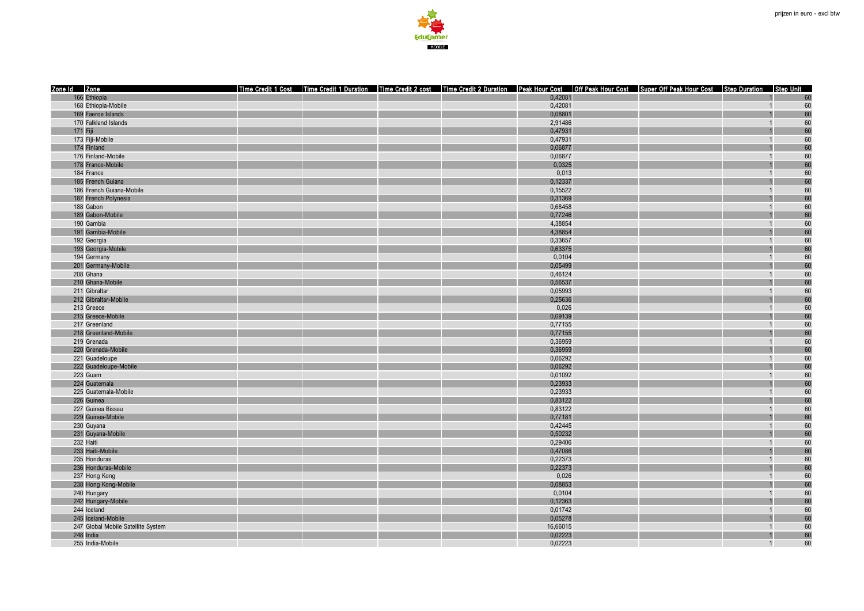

| Zone Id Zone<br>Time Credit 1 Cost   Time Credit 1 Duration   Time Credit 2 cost   Time Credit 2 Duration   Peak Hour Cost   Off Peak Hour Cost   Super Off Peak Hour Cost   Step Duration   Step Unit<br>166 Ethiopia<br>0,42081<br>60<br>168 Ethiopia-Mobile<br>0,42081<br>60<br>$\overline{1}$<br>0,08801<br>60<br>169 Faeroe Islands<br>60<br>170 Falkland Islands<br>2,91486<br>$\overline{1}$<br>171 Fiji<br>60<br>0,47931<br>173 Fiji-Mobile<br>0,47931<br>60<br>60<br>174 Finland<br>0,06877<br>60<br>176 Finland-Mobile<br>0,06877<br>$\overline{1}$<br>178 France-Mobile<br>0,0325<br>60<br>60<br>184 France<br>0,013<br>$\overline{1}$<br>0,12337<br>60<br>185 French Guiana<br>60<br>186 French Guiana-Mobile<br>0,15522<br>60<br>187 French Polynesia<br>0,31369<br>0,68458<br>60<br>188 Gabon<br>60<br>189 Gabon-Mobile<br>0,77246<br>190 Gambia<br>4,38854<br>60<br>$\overline{1}$<br>60<br>191 Gambia-Mobile<br>4,38854<br>60<br>192 Georgia<br>0,33657<br>$\overline{1}$ |
|-------------------------------------------------------------------------------------------------------------------------------------------------------------------------------------------------------------------------------------------------------------------------------------------------------------------------------------------------------------------------------------------------------------------------------------------------------------------------------------------------------------------------------------------------------------------------------------------------------------------------------------------------------------------------------------------------------------------------------------------------------------------------------------------------------------------------------------------------------------------------------------------------------------------------------------------------------------------------------------------|
|                                                                                                                                                                                                                                                                                                                                                                                                                                                                                                                                                                                                                                                                                                                                                                                                                                                                                                                                                                                           |
|                                                                                                                                                                                                                                                                                                                                                                                                                                                                                                                                                                                                                                                                                                                                                                                                                                                                                                                                                                                           |
|                                                                                                                                                                                                                                                                                                                                                                                                                                                                                                                                                                                                                                                                                                                                                                                                                                                                                                                                                                                           |
|                                                                                                                                                                                                                                                                                                                                                                                                                                                                                                                                                                                                                                                                                                                                                                                                                                                                                                                                                                                           |
|                                                                                                                                                                                                                                                                                                                                                                                                                                                                                                                                                                                                                                                                                                                                                                                                                                                                                                                                                                                           |
|                                                                                                                                                                                                                                                                                                                                                                                                                                                                                                                                                                                                                                                                                                                                                                                                                                                                                                                                                                                           |
|                                                                                                                                                                                                                                                                                                                                                                                                                                                                                                                                                                                                                                                                                                                                                                                                                                                                                                                                                                                           |
|                                                                                                                                                                                                                                                                                                                                                                                                                                                                                                                                                                                                                                                                                                                                                                                                                                                                                                                                                                                           |
|                                                                                                                                                                                                                                                                                                                                                                                                                                                                                                                                                                                                                                                                                                                                                                                                                                                                                                                                                                                           |
|                                                                                                                                                                                                                                                                                                                                                                                                                                                                                                                                                                                                                                                                                                                                                                                                                                                                                                                                                                                           |
|                                                                                                                                                                                                                                                                                                                                                                                                                                                                                                                                                                                                                                                                                                                                                                                                                                                                                                                                                                                           |
|                                                                                                                                                                                                                                                                                                                                                                                                                                                                                                                                                                                                                                                                                                                                                                                                                                                                                                                                                                                           |
|                                                                                                                                                                                                                                                                                                                                                                                                                                                                                                                                                                                                                                                                                                                                                                                                                                                                                                                                                                                           |
|                                                                                                                                                                                                                                                                                                                                                                                                                                                                                                                                                                                                                                                                                                                                                                                                                                                                                                                                                                                           |
|                                                                                                                                                                                                                                                                                                                                                                                                                                                                                                                                                                                                                                                                                                                                                                                                                                                                                                                                                                                           |
|                                                                                                                                                                                                                                                                                                                                                                                                                                                                                                                                                                                                                                                                                                                                                                                                                                                                                                                                                                                           |
|                                                                                                                                                                                                                                                                                                                                                                                                                                                                                                                                                                                                                                                                                                                                                                                                                                                                                                                                                                                           |
|                                                                                                                                                                                                                                                                                                                                                                                                                                                                                                                                                                                                                                                                                                                                                                                                                                                                                                                                                                                           |
| 193 Georgia-Mobile<br>0,63375<br>60                                                                                                                                                                                                                                                                                                                                                                                                                                                                                                                                                                                                                                                                                                                                                                                                                                                                                                                                                       |
| 194 Germany<br>60<br>0,0104                                                                                                                                                                                                                                                                                                                                                                                                                                                                                                                                                                                                                                                                                                                                                                                                                                                                                                                                                               |
| 0,05499<br>60<br>201 Germany-Mobile                                                                                                                                                                                                                                                                                                                                                                                                                                                                                                                                                                                                                                                                                                                                                                                                                                                                                                                                                       |
| 60<br>208 Ghana<br>0,46124<br>$\overline{1}$                                                                                                                                                                                                                                                                                                                                                                                                                                                                                                                                                                                                                                                                                                                                                                                                                                                                                                                                              |
| 60<br>210 Ghana-Mobile                                                                                                                                                                                                                                                                                                                                                                                                                                                                                                                                                                                                                                                                                                                                                                                                                                                                                                                                                                    |
| 0,56537<br>211 Gibraltar<br>60<br>$\overline{1}$                                                                                                                                                                                                                                                                                                                                                                                                                                                                                                                                                                                                                                                                                                                                                                                                                                                                                                                                          |
| 0,05993                                                                                                                                                                                                                                                                                                                                                                                                                                                                                                                                                                                                                                                                                                                                                                                                                                                                                                                                                                                   |
| 60<br>212 Gibraltar-Mobile<br>0,25636                                                                                                                                                                                                                                                                                                                                                                                                                                                                                                                                                                                                                                                                                                                                                                                                                                                                                                                                                     |
| 213 Greece<br>0,026<br>60                                                                                                                                                                                                                                                                                                                                                                                                                                                                                                                                                                                                                                                                                                                                                                                                                                                                                                                                                                 |
| 0,09139<br>60<br>215 Greece-Mobile<br>60                                                                                                                                                                                                                                                                                                                                                                                                                                                                                                                                                                                                                                                                                                                                                                                                                                                                                                                                                  |
| 217 Greenland<br>0,77155<br>$\overline{1}$                                                                                                                                                                                                                                                                                                                                                                                                                                                                                                                                                                                                                                                                                                                                                                                                                                                                                                                                                |
| 218 Greenland-Mobile<br>0,77155<br>60                                                                                                                                                                                                                                                                                                                                                                                                                                                                                                                                                                                                                                                                                                                                                                                                                                                                                                                                                     |
| 60<br>0,36959<br>219 Grenada                                                                                                                                                                                                                                                                                                                                                                                                                                                                                                                                                                                                                                                                                                                                                                                                                                                                                                                                                              |
| 60<br>220 Grenada-Mobile<br>0,36959                                                                                                                                                                                                                                                                                                                                                                                                                                                                                                                                                                                                                                                                                                                                                                                                                                                                                                                                                       |
| 60<br>221 Guadeloupe<br>0,06292                                                                                                                                                                                                                                                                                                                                                                                                                                                                                                                                                                                                                                                                                                                                                                                                                                                                                                                                                           |
| 60<br>222 Guadeloupe-Mobile<br>0,06292                                                                                                                                                                                                                                                                                                                                                                                                                                                                                                                                                                                                                                                                                                                                                                                                                                                                                                                                                    |
| 223 Guam<br>0,01092<br>60<br>$\overline{1}$                                                                                                                                                                                                                                                                                                                                                                                                                                                                                                                                                                                                                                                                                                                                                                                                                                                                                                                                               |
| 60<br>224 Guatemala<br>0,23933                                                                                                                                                                                                                                                                                                                                                                                                                                                                                                                                                                                                                                                                                                                                                                                                                                                                                                                                                            |
| 60<br>225 Guatemala-Mobile<br>0,23933<br>$\overline{1}$                                                                                                                                                                                                                                                                                                                                                                                                                                                                                                                                                                                                                                                                                                                                                                                                                                                                                                                                   |
| 226 Guinea<br>0,83122<br>60                                                                                                                                                                                                                                                                                                                                                                                                                                                                                                                                                                                                                                                                                                                                                                                                                                                                                                                                                               |
| 60<br>227 Guinea Bissau<br>0,83122                                                                                                                                                                                                                                                                                                                                                                                                                                                                                                                                                                                                                                                                                                                                                                                                                                                                                                                                                        |
| 229 Guinea-Mobile<br>60<br>0,77181                                                                                                                                                                                                                                                                                                                                                                                                                                                                                                                                                                                                                                                                                                                                                                                                                                                                                                                                                        |
| 60<br>230 Guyana<br>0,42445<br>$\overline{1}$                                                                                                                                                                                                                                                                                                                                                                                                                                                                                                                                                                                                                                                                                                                                                                                                                                                                                                                                             |
| 60<br>231 Guyana-Mobile<br>0,50232                                                                                                                                                                                                                                                                                                                                                                                                                                                                                                                                                                                                                                                                                                                                                                                                                                                                                                                                                        |
| 232 Haiti<br>60<br>0,29406<br>$\overline{1}$                                                                                                                                                                                                                                                                                                                                                                                                                                                                                                                                                                                                                                                                                                                                                                                                                                                                                                                                              |
| 233 Haiti-Mobile<br>60<br>0,47086                                                                                                                                                                                                                                                                                                                                                                                                                                                                                                                                                                                                                                                                                                                                                                                                                                                                                                                                                         |
| 60<br>235 Honduras<br>0,22373<br>$\overline{1}$                                                                                                                                                                                                                                                                                                                                                                                                                                                                                                                                                                                                                                                                                                                                                                                                                                                                                                                                           |
| 60<br>236 Honduras-Mobile<br>0,22373                                                                                                                                                                                                                                                                                                                                                                                                                                                                                                                                                                                                                                                                                                                                                                                                                                                                                                                                                      |
| 237 Hong Kong<br>0,026<br>60                                                                                                                                                                                                                                                                                                                                                                                                                                                                                                                                                                                                                                                                                                                                                                                                                                                                                                                                                              |
| 238 Hong Kong-Mobile<br>0,08853<br>60                                                                                                                                                                                                                                                                                                                                                                                                                                                                                                                                                                                                                                                                                                                                                                                                                                                                                                                                                     |
| 60<br>0,0104<br>240 Hungary<br>$\overline{1}$                                                                                                                                                                                                                                                                                                                                                                                                                                                                                                                                                                                                                                                                                                                                                                                                                                                                                                                                             |
| 60<br>242 Hungary-Mobile<br>0,12363                                                                                                                                                                                                                                                                                                                                                                                                                                                                                                                                                                                                                                                                                                                                                                                                                                                                                                                                                       |
| 244 Iceland<br>0,01742<br>60<br>$\overline{1}$                                                                                                                                                                                                                                                                                                                                                                                                                                                                                                                                                                                                                                                                                                                                                                                                                                                                                                                                            |
| 60<br>245 Iceland-Mobile<br>0,05278                                                                                                                                                                                                                                                                                                                                                                                                                                                                                                                                                                                                                                                                                                                                                                                                                                                                                                                                                       |
| 60<br>247 Global Mobile Satellite System<br>16,66015                                                                                                                                                                                                                                                                                                                                                                                                                                                                                                                                                                                                                                                                                                                                                                                                                                                                                                                                      |
| 0,02223<br>60<br>248 India                                                                                                                                                                                                                                                                                                                                                                                                                                                                                                                                                                                                                                                                                                                                                                                                                                                                                                                                                                |
| 0.02223<br>60<br>255 India-Mobile<br>$\overline{1}$                                                                                                                                                                                                                                                                                                                                                                                                                                                                                                                                                                                                                                                                                                                                                                                                                                                                                                                                       |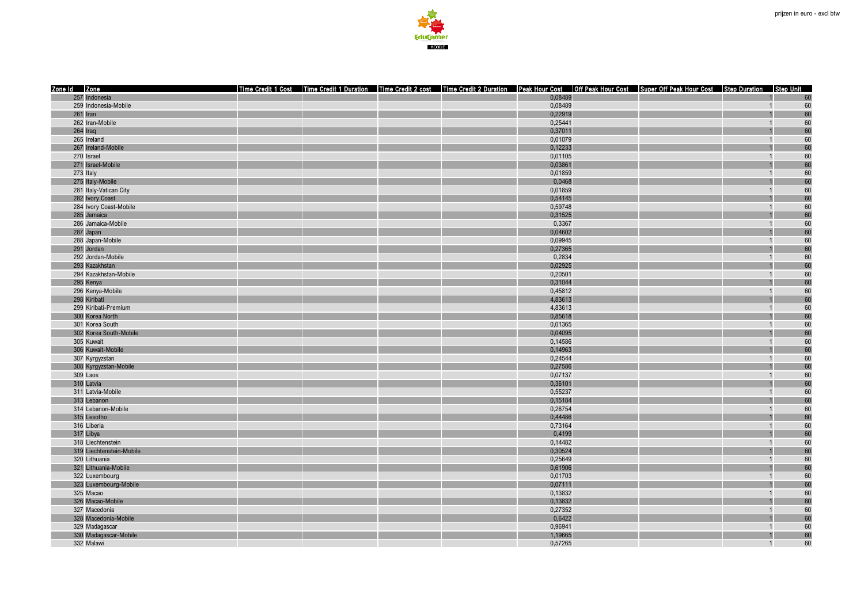

| 257 Indonesia<br>0,08489<br>60<br>259 Indonesia-Mobile<br>0,08489<br>60<br>$\overline{1}$<br>0,22919<br>60<br>261 Iran<br>262 Iran-Mobile<br>0,25441<br>60<br>$\overline{1}$<br>60<br>264 Iraq<br>0,37011<br>265 Ireland<br>0,01079<br>60<br>60<br>267 Ireland-Mobile<br>0,12233<br>60<br>270 Israel<br>0,01105<br>$\overline{1}$<br>271 Israel-Mobile<br>0,03861<br>60<br>60<br>273 Italy<br>0,01859<br>$\overline{1}$<br>0,0468<br>60<br>275 Italy-Mobile<br>60<br>281 Italy-Vatican City<br>0,01859<br>60<br>282 Ivory Coast<br>0,54145<br>0,59748<br>60<br>284 Ivory Coast-Mobile<br>$\overline{1}$<br>60<br>285 Jamaica<br>0,31525<br>286 Jamaica-Mobile<br>0,3367<br>60<br>$\overline{1}$<br>60<br>287 Japan<br>0,04602<br>60<br>288 Japan-Mobile<br>0,09945<br>$\overline{1}$<br>60<br>291 Jordan<br>0,27365<br>292 Jordan-Mobile<br>0,2834<br>60<br>0,02925<br>60<br>293 Kazakhstan<br>60<br>294 Kazakhstan-Mobile<br>0,20501<br>$\overline{1}$<br>60<br>295 Kenya<br>0,31044<br>60<br>296 Kenya-Mobile<br>0,45812<br>$\overline{1}$<br>60<br>298 Kiribati<br>4,83613<br>299 Kiribati-Premium<br>4,83613<br>60<br>0,85618<br>60<br>300 Korea North<br>60<br>0,01365<br>301 Korea South<br>$\overline{1}$<br>302 Korea South-Mobile<br>0,04095<br>60<br>60<br>305 Kuwait<br>0,14586<br>60<br>0,14963<br>306 Kuwait-Mobile<br>60<br>307 Kyrgyzstan<br>0,24544<br>60<br>308 Kyrgyzstan-Mobile<br>0,27586<br>0,07137<br>60<br>309 Laos<br>$\overline{1}$<br>$60\,$<br>310 Latvia<br>0,36101<br>60<br>311 Latvia-Mobile<br>0,55237<br>$\overline{1}$<br>0,15184<br>60<br>313 Lebanon<br>60<br>314 Lebanon-Mobile<br>0,26754<br>0,44486<br>60<br>315 Lesotho<br>316 Liberia<br>60<br>0,73164<br>$\overline{1}$<br>60<br>317 Libya<br>0,4199<br>60<br>318 Liechtenstein<br>0,14482<br>$\overline{1}$<br>60<br>319 Liechtenstein-Mobile<br>0,30524<br>60<br>320 Lithuania<br>0,25649<br>$\overline{1}$<br>60<br>321 Lithuania-Mobile<br>0,61906<br>60<br>322 Luxembourg<br>0,01703<br>323 Luxembourg-Mobile<br>0,07111<br>60<br>60<br>325 Macao<br>0,13832<br>$\overline{1}$<br>326 Macao-Mobile<br>0,13832<br>60<br>0,27352<br>60<br>327 Macedonia<br>$\overline{1}$<br>0,6422<br>60<br>328 Macedonia-Mobile<br>60<br>329 Madagascar<br>0,96941<br>330 Madagascar-Mobile<br>60<br>1,19665<br>60<br>332 Malawi<br>0,57265<br>$\overline{1}$ | Zone Id Zone |  |  |  | Time Credit 1 Cost Time Credit 1 Duration Time Credit 2 cost Time Credit 2 Duration Peak Hour Cost Off Peak Hour Cost Super Off Peak Hour Cost Step Duration Step Unit |  |
|---------------------------------------------------------------------------------------------------------------------------------------------------------------------------------------------------------------------------------------------------------------------------------------------------------------------------------------------------------------------------------------------------------------------------------------------------------------------------------------------------------------------------------------------------------------------------------------------------------------------------------------------------------------------------------------------------------------------------------------------------------------------------------------------------------------------------------------------------------------------------------------------------------------------------------------------------------------------------------------------------------------------------------------------------------------------------------------------------------------------------------------------------------------------------------------------------------------------------------------------------------------------------------------------------------------------------------------------------------------------------------------------------------------------------------------------------------------------------------------------------------------------------------------------------------------------------------------------------------------------------------------------------------------------------------------------------------------------------------------------------------------------------------------------------------------------------------------------------------------------------------------------------------------------------------------------------------------------------------------------------------------------------------------------------------------------------------------------------------------------------------------------------------------------------------------------------------------------------------------------------------------------------------------------------------------------------------------------|--------------|--|--|--|------------------------------------------------------------------------------------------------------------------------------------------------------------------------|--|
|                                                                                                                                                                                                                                                                                                                                                                                                                                                                                                                                                                                                                                                                                                                                                                                                                                                                                                                                                                                                                                                                                                                                                                                                                                                                                                                                                                                                                                                                                                                                                                                                                                                                                                                                                                                                                                                                                                                                                                                                                                                                                                                                                                                                                                                                                                                                             |              |  |  |  |                                                                                                                                                                        |  |
|                                                                                                                                                                                                                                                                                                                                                                                                                                                                                                                                                                                                                                                                                                                                                                                                                                                                                                                                                                                                                                                                                                                                                                                                                                                                                                                                                                                                                                                                                                                                                                                                                                                                                                                                                                                                                                                                                                                                                                                                                                                                                                                                                                                                                                                                                                                                             |              |  |  |  |                                                                                                                                                                        |  |
|                                                                                                                                                                                                                                                                                                                                                                                                                                                                                                                                                                                                                                                                                                                                                                                                                                                                                                                                                                                                                                                                                                                                                                                                                                                                                                                                                                                                                                                                                                                                                                                                                                                                                                                                                                                                                                                                                                                                                                                                                                                                                                                                                                                                                                                                                                                                             |              |  |  |  |                                                                                                                                                                        |  |
|                                                                                                                                                                                                                                                                                                                                                                                                                                                                                                                                                                                                                                                                                                                                                                                                                                                                                                                                                                                                                                                                                                                                                                                                                                                                                                                                                                                                                                                                                                                                                                                                                                                                                                                                                                                                                                                                                                                                                                                                                                                                                                                                                                                                                                                                                                                                             |              |  |  |  |                                                                                                                                                                        |  |
|                                                                                                                                                                                                                                                                                                                                                                                                                                                                                                                                                                                                                                                                                                                                                                                                                                                                                                                                                                                                                                                                                                                                                                                                                                                                                                                                                                                                                                                                                                                                                                                                                                                                                                                                                                                                                                                                                                                                                                                                                                                                                                                                                                                                                                                                                                                                             |              |  |  |  |                                                                                                                                                                        |  |
|                                                                                                                                                                                                                                                                                                                                                                                                                                                                                                                                                                                                                                                                                                                                                                                                                                                                                                                                                                                                                                                                                                                                                                                                                                                                                                                                                                                                                                                                                                                                                                                                                                                                                                                                                                                                                                                                                                                                                                                                                                                                                                                                                                                                                                                                                                                                             |              |  |  |  |                                                                                                                                                                        |  |
|                                                                                                                                                                                                                                                                                                                                                                                                                                                                                                                                                                                                                                                                                                                                                                                                                                                                                                                                                                                                                                                                                                                                                                                                                                                                                                                                                                                                                                                                                                                                                                                                                                                                                                                                                                                                                                                                                                                                                                                                                                                                                                                                                                                                                                                                                                                                             |              |  |  |  |                                                                                                                                                                        |  |
|                                                                                                                                                                                                                                                                                                                                                                                                                                                                                                                                                                                                                                                                                                                                                                                                                                                                                                                                                                                                                                                                                                                                                                                                                                                                                                                                                                                                                                                                                                                                                                                                                                                                                                                                                                                                                                                                                                                                                                                                                                                                                                                                                                                                                                                                                                                                             |              |  |  |  |                                                                                                                                                                        |  |
|                                                                                                                                                                                                                                                                                                                                                                                                                                                                                                                                                                                                                                                                                                                                                                                                                                                                                                                                                                                                                                                                                                                                                                                                                                                                                                                                                                                                                                                                                                                                                                                                                                                                                                                                                                                                                                                                                                                                                                                                                                                                                                                                                                                                                                                                                                                                             |              |  |  |  |                                                                                                                                                                        |  |
|                                                                                                                                                                                                                                                                                                                                                                                                                                                                                                                                                                                                                                                                                                                                                                                                                                                                                                                                                                                                                                                                                                                                                                                                                                                                                                                                                                                                                                                                                                                                                                                                                                                                                                                                                                                                                                                                                                                                                                                                                                                                                                                                                                                                                                                                                                                                             |              |  |  |  |                                                                                                                                                                        |  |
|                                                                                                                                                                                                                                                                                                                                                                                                                                                                                                                                                                                                                                                                                                                                                                                                                                                                                                                                                                                                                                                                                                                                                                                                                                                                                                                                                                                                                                                                                                                                                                                                                                                                                                                                                                                                                                                                                                                                                                                                                                                                                                                                                                                                                                                                                                                                             |              |  |  |  |                                                                                                                                                                        |  |
|                                                                                                                                                                                                                                                                                                                                                                                                                                                                                                                                                                                                                                                                                                                                                                                                                                                                                                                                                                                                                                                                                                                                                                                                                                                                                                                                                                                                                                                                                                                                                                                                                                                                                                                                                                                                                                                                                                                                                                                                                                                                                                                                                                                                                                                                                                                                             |              |  |  |  |                                                                                                                                                                        |  |
|                                                                                                                                                                                                                                                                                                                                                                                                                                                                                                                                                                                                                                                                                                                                                                                                                                                                                                                                                                                                                                                                                                                                                                                                                                                                                                                                                                                                                                                                                                                                                                                                                                                                                                                                                                                                                                                                                                                                                                                                                                                                                                                                                                                                                                                                                                                                             |              |  |  |  |                                                                                                                                                                        |  |
|                                                                                                                                                                                                                                                                                                                                                                                                                                                                                                                                                                                                                                                                                                                                                                                                                                                                                                                                                                                                                                                                                                                                                                                                                                                                                                                                                                                                                                                                                                                                                                                                                                                                                                                                                                                                                                                                                                                                                                                                                                                                                                                                                                                                                                                                                                                                             |              |  |  |  |                                                                                                                                                                        |  |
|                                                                                                                                                                                                                                                                                                                                                                                                                                                                                                                                                                                                                                                                                                                                                                                                                                                                                                                                                                                                                                                                                                                                                                                                                                                                                                                                                                                                                                                                                                                                                                                                                                                                                                                                                                                                                                                                                                                                                                                                                                                                                                                                                                                                                                                                                                                                             |              |  |  |  |                                                                                                                                                                        |  |
|                                                                                                                                                                                                                                                                                                                                                                                                                                                                                                                                                                                                                                                                                                                                                                                                                                                                                                                                                                                                                                                                                                                                                                                                                                                                                                                                                                                                                                                                                                                                                                                                                                                                                                                                                                                                                                                                                                                                                                                                                                                                                                                                                                                                                                                                                                                                             |              |  |  |  |                                                                                                                                                                        |  |
|                                                                                                                                                                                                                                                                                                                                                                                                                                                                                                                                                                                                                                                                                                                                                                                                                                                                                                                                                                                                                                                                                                                                                                                                                                                                                                                                                                                                                                                                                                                                                                                                                                                                                                                                                                                                                                                                                                                                                                                                                                                                                                                                                                                                                                                                                                                                             |              |  |  |  |                                                                                                                                                                        |  |
|                                                                                                                                                                                                                                                                                                                                                                                                                                                                                                                                                                                                                                                                                                                                                                                                                                                                                                                                                                                                                                                                                                                                                                                                                                                                                                                                                                                                                                                                                                                                                                                                                                                                                                                                                                                                                                                                                                                                                                                                                                                                                                                                                                                                                                                                                                                                             |              |  |  |  |                                                                                                                                                                        |  |
|                                                                                                                                                                                                                                                                                                                                                                                                                                                                                                                                                                                                                                                                                                                                                                                                                                                                                                                                                                                                                                                                                                                                                                                                                                                                                                                                                                                                                                                                                                                                                                                                                                                                                                                                                                                                                                                                                                                                                                                                                                                                                                                                                                                                                                                                                                                                             |              |  |  |  |                                                                                                                                                                        |  |
|                                                                                                                                                                                                                                                                                                                                                                                                                                                                                                                                                                                                                                                                                                                                                                                                                                                                                                                                                                                                                                                                                                                                                                                                                                                                                                                                                                                                                                                                                                                                                                                                                                                                                                                                                                                                                                                                                                                                                                                                                                                                                                                                                                                                                                                                                                                                             |              |  |  |  |                                                                                                                                                                        |  |
|                                                                                                                                                                                                                                                                                                                                                                                                                                                                                                                                                                                                                                                                                                                                                                                                                                                                                                                                                                                                                                                                                                                                                                                                                                                                                                                                                                                                                                                                                                                                                                                                                                                                                                                                                                                                                                                                                                                                                                                                                                                                                                                                                                                                                                                                                                                                             |              |  |  |  |                                                                                                                                                                        |  |
|                                                                                                                                                                                                                                                                                                                                                                                                                                                                                                                                                                                                                                                                                                                                                                                                                                                                                                                                                                                                                                                                                                                                                                                                                                                                                                                                                                                                                                                                                                                                                                                                                                                                                                                                                                                                                                                                                                                                                                                                                                                                                                                                                                                                                                                                                                                                             |              |  |  |  |                                                                                                                                                                        |  |
|                                                                                                                                                                                                                                                                                                                                                                                                                                                                                                                                                                                                                                                                                                                                                                                                                                                                                                                                                                                                                                                                                                                                                                                                                                                                                                                                                                                                                                                                                                                                                                                                                                                                                                                                                                                                                                                                                                                                                                                                                                                                                                                                                                                                                                                                                                                                             |              |  |  |  |                                                                                                                                                                        |  |
|                                                                                                                                                                                                                                                                                                                                                                                                                                                                                                                                                                                                                                                                                                                                                                                                                                                                                                                                                                                                                                                                                                                                                                                                                                                                                                                                                                                                                                                                                                                                                                                                                                                                                                                                                                                                                                                                                                                                                                                                                                                                                                                                                                                                                                                                                                                                             |              |  |  |  |                                                                                                                                                                        |  |
|                                                                                                                                                                                                                                                                                                                                                                                                                                                                                                                                                                                                                                                                                                                                                                                                                                                                                                                                                                                                                                                                                                                                                                                                                                                                                                                                                                                                                                                                                                                                                                                                                                                                                                                                                                                                                                                                                                                                                                                                                                                                                                                                                                                                                                                                                                                                             |              |  |  |  |                                                                                                                                                                        |  |
|                                                                                                                                                                                                                                                                                                                                                                                                                                                                                                                                                                                                                                                                                                                                                                                                                                                                                                                                                                                                                                                                                                                                                                                                                                                                                                                                                                                                                                                                                                                                                                                                                                                                                                                                                                                                                                                                                                                                                                                                                                                                                                                                                                                                                                                                                                                                             |              |  |  |  |                                                                                                                                                                        |  |
|                                                                                                                                                                                                                                                                                                                                                                                                                                                                                                                                                                                                                                                                                                                                                                                                                                                                                                                                                                                                                                                                                                                                                                                                                                                                                                                                                                                                                                                                                                                                                                                                                                                                                                                                                                                                                                                                                                                                                                                                                                                                                                                                                                                                                                                                                                                                             |              |  |  |  |                                                                                                                                                                        |  |
|                                                                                                                                                                                                                                                                                                                                                                                                                                                                                                                                                                                                                                                                                                                                                                                                                                                                                                                                                                                                                                                                                                                                                                                                                                                                                                                                                                                                                                                                                                                                                                                                                                                                                                                                                                                                                                                                                                                                                                                                                                                                                                                                                                                                                                                                                                                                             |              |  |  |  |                                                                                                                                                                        |  |
|                                                                                                                                                                                                                                                                                                                                                                                                                                                                                                                                                                                                                                                                                                                                                                                                                                                                                                                                                                                                                                                                                                                                                                                                                                                                                                                                                                                                                                                                                                                                                                                                                                                                                                                                                                                                                                                                                                                                                                                                                                                                                                                                                                                                                                                                                                                                             |              |  |  |  |                                                                                                                                                                        |  |
|                                                                                                                                                                                                                                                                                                                                                                                                                                                                                                                                                                                                                                                                                                                                                                                                                                                                                                                                                                                                                                                                                                                                                                                                                                                                                                                                                                                                                                                                                                                                                                                                                                                                                                                                                                                                                                                                                                                                                                                                                                                                                                                                                                                                                                                                                                                                             |              |  |  |  |                                                                                                                                                                        |  |
|                                                                                                                                                                                                                                                                                                                                                                                                                                                                                                                                                                                                                                                                                                                                                                                                                                                                                                                                                                                                                                                                                                                                                                                                                                                                                                                                                                                                                                                                                                                                                                                                                                                                                                                                                                                                                                                                                                                                                                                                                                                                                                                                                                                                                                                                                                                                             |              |  |  |  |                                                                                                                                                                        |  |
|                                                                                                                                                                                                                                                                                                                                                                                                                                                                                                                                                                                                                                                                                                                                                                                                                                                                                                                                                                                                                                                                                                                                                                                                                                                                                                                                                                                                                                                                                                                                                                                                                                                                                                                                                                                                                                                                                                                                                                                                                                                                                                                                                                                                                                                                                                                                             |              |  |  |  |                                                                                                                                                                        |  |
|                                                                                                                                                                                                                                                                                                                                                                                                                                                                                                                                                                                                                                                                                                                                                                                                                                                                                                                                                                                                                                                                                                                                                                                                                                                                                                                                                                                                                                                                                                                                                                                                                                                                                                                                                                                                                                                                                                                                                                                                                                                                                                                                                                                                                                                                                                                                             |              |  |  |  |                                                                                                                                                                        |  |
|                                                                                                                                                                                                                                                                                                                                                                                                                                                                                                                                                                                                                                                                                                                                                                                                                                                                                                                                                                                                                                                                                                                                                                                                                                                                                                                                                                                                                                                                                                                                                                                                                                                                                                                                                                                                                                                                                                                                                                                                                                                                                                                                                                                                                                                                                                                                             |              |  |  |  |                                                                                                                                                                        |  |
|                                                                                                                                                                                                                                                                                                                                                                                                                                                                                                                                                                                                                                                                                                                                                                                                                                                                                                                                                                                                                                                                                                                                                                                                                                                                                                                                                                                                                                                                                                                                                                                                                                                                                                                                                                                                                                                                                                                                                                                                                                                                                                                                                                                                                                                                                                                                             |              |  |  |  |                                                                                                                                                                        |  |
|                                                                                                                                                                                                                                                                                                                                                                                                                                                                                                                                                                                                                                                                                                                                                                                                                                                                                                                                                                                                                                                                                                                                                                                                                                                                                                                                                                                                                                                                                                                                                                                                                                                                                                                                                                                                                                                                                                                                                                                                                                                                                                                                                                                                                                                                                                                                             |              |  |  |  |                                                                                                                                                                        |  |
|                                                                                                                                                                                                                                                                                                                                                                                                                                                                                                                                                                                                                                                                                                                                                                                                                                                                                                                                                                                                                                                                                                                                                                                                                                                                                                                                                                                                                                                                                                                                                                                                                                                                                                                                                                                                                                                                                                                                                                                                                                                                                                                                                                                                                                                                                                                                             |              |  |  |  |                                                                                                                                                                        |  |
|                                                                                                                                                                                                                                                                                                                                                                                                                                                                                                                                                                                                                                                                                                                                                                                                                                                                                                                                                                                                                                                                                                                                                                                                                                                                                                                                                                                                                                                                                                                                                                                                                                                                                                                                                                                                                                                                                                                                                                                                                                                                                                                                                                                                                                                                                                                                             |              |  |  |  |                                                                                                                                                                        |  |
|                                                                                                                                                                                                                                                                                                                                                                                                                                                                                                                                                                                                                                                                                                                                                                                                                                                                                                                                                                                                                                                                                                                                                                                                                                                                                                                                                                                                                                                                                                                                                                                                                                                                                                                                                                                                                                                                                                                                                                                                                                                                                                                                                                                                                                                                                                                                             |              |  |  |  |                                                                                                                                                                        |  |
|                                                                                                                                                                                                                                                                                                                                                                                                                                                                                                                                                                                                                                                                                                                                                                                                                                                                                                                                                                                                                                                                                                                                                                                                                                                                                                                                                                                                                                                                                                                                                                                                                                                                                                                                                                                                                                                                                                                                                                                                                                                                                                                                                                                                                                                                                                                                             |              |  |  |  |                                                                                                                                                                        |  |
|                                                                                                                                                                                                                                                                                                                                                                                                                                                                                                                                                                                                                                                                                                                                                                                                                                                                                                                                                                                                                                                                                                                                                                                                                                                                                                                                                                                                                                                                                                                                                                                                                                                                                                                                                                                                                                                                                                                                                                                                                                                                                                                                                                                                                                                                                                                                             |              |  |  |  |                                                                                                                                                                        |  |
|                                                                                                                                                                                                                                                                                                                                                                                                                                                                                                                                                                                                                                                                                                                                                                                                                                                                                                                                                                                                                                                                                                                                                                                                                                                                                                                                                                                                                                                                                                                                                                                                                                                                                                                                                                                                                                                                                                                                                                                                                                                                                                                                                                                                                                                                                                                                             |              |  |  |  |                                                                                                                                                                        |  |
|                                                                                                                                                                                                                                                                                                                                                                                                                                                                                                                                                                                                                                                                                                                                                                                                                                                                                                                                                                                                                                                                                                                                                                                                                                                                                                                                                                                                                                                                                                                                                                                                                                                                                                                                                                                                                                                                                                                                                                                                                                                                                                                                                                                                                                                                                                                                             |              |  |  |  |                                                                                                                                                                        |  |
|                                                                                                                                                                                                                                                                                                                                                                                                                                                                                                                                                                                                                                                                                                                                                                                                                                                                                                                                                                                                                                                                                                                                                                                                                                                                                                                                                                                                                                                                                                                                                                                                                                                                                                                                                                                                                                                                                                                                                                                                                                                                                                                                                                                                                                                                                                                                             |              |  |  |  |                                                                                                                                                                        |  |
|                                                                                                                                                                                                                                                                                                                                                                                                                                                                                                                                                                                                                                                                                                                                                                                                                                                                                                                                                                                                                                                                                                                                                                                                                                                                                                                                                                                                                                                                                                                                                                                                                                                                                                                                                                                                                                                                                                                                                                                                                                                                                                                                                                                                                                                                                                                                             |              |  |  |  |                                                                                                                                                                        |  |
|                                                                                                                                                                                                                                                                                                                                                                                                                                                                                                                                                                                                                                                                                                                                                                                                                                                                                                                                                                                                                                                                                                                                                                                                                                                                                                                                                                                                                                                                                                                                                                                                                                                                                                                                                                                                                                                                                                                                                                                                                                                                                                                                                                                                                                                                                                                                             |              |  |  |  |                                                                                                                                                                        |  |
|                                                                                                                                                                                                                                                                                                                                                                                                                                                                                                                                                                                                                                                                                                                                                                                                                                                                                                                                                                                                                                                                                                                                                                                                                                                                                                                                                                                                                                                                                                                                                                                                                                                                                                                                                                                                                                                                                                                                                                                                                                                                                                                                                                                                                                                                                                                                             |              |  |  |  |                                                                                                                                                                        |  |
|                                                                                                                                                                                                                                                                                                                                                                                                                                                                                                                                                                                                                                                                                                                                                                                                                                                                                                                                                                                                                                                                                                                                                                                                                                                                                                                                                                                                                                                                                                                                                                                                                                                                                                                                                                                                                                                                                                                                                                                                                                                                                                                                                                                                                                                                                                                                             |              |  |  |  |                                                                                                                                                                        |  |
|                                                                                                                                                                                                                                                                                                                                                                                                                                                                                                                                                                                                                                                                                                                                                                                                                                                                                                                                                                                                                                                                                                                                                                                                                                                                                                                                                                                                                                                                                                                                                                                                                                                                                                                                                                                                                                                                                                                                                                                                                                                                                                                                                                                                                                                                                                                                             |              |  |  |  |                                                                                                                                                                        |  |
|                                                                                                                                                                                                                                                                                                                                                                                                                                                                                                                                                                                                                                                                                                                                                                                                                                                                                                                                                                                                                                                                                                                                                                                                                                                                                                                                                                                                                                                                                                                                                                                                                                                                                                                                                                                                                                                                                                                                                                                                                                                                                                                                                                                                                                                                                                                                             |              |  |  |  |                                                                                                                                                                        |  |
|                                                                                                                                                                                                                                                                                                                                                                                                                                                                                                                                                                                                                                                                                                                                                                                                                                                                                                                                                                                                                                                                                                                                                                                                                                                                                                                                                                                                                                                                                                                                                                                                                                                                                                                                                                                                                                                                                                                                                                                                                                                                                                                                                                                                                                                                                                                                             |              |  |  |  |                                                                                                                                                                        |  |
|                                                                                                                                                                                                                                                                                                                                                                                                                                                                                                                                                                                                                                                                                                                                                                                                                                                                                                                                                                                                                                                                                                                                                                                                                                                                                                                                                                                                                                                                                                                                                                                                                                                                                                                                                                                                                                                                                                                                                                                                                                                                                                                                                                                                                                                                                                                                             |              |  |  |  |                                                                                                                                                                        |  |
|                                                                                                                                                                                                                                                                                                                                                                                                                                                                                                                                                                                                                                                                                                                                                                                                                                                                                                                                                                                                                                                                                                                                                                                                                                                                                                                                                                                                                                                                                                                                                                                                                                                                                                                                                                                                                                                                                                                                                                                                                                                                                                                                                                                                                                                                                                                                             |              |  |  |  |                                                                                                                                                                        |  |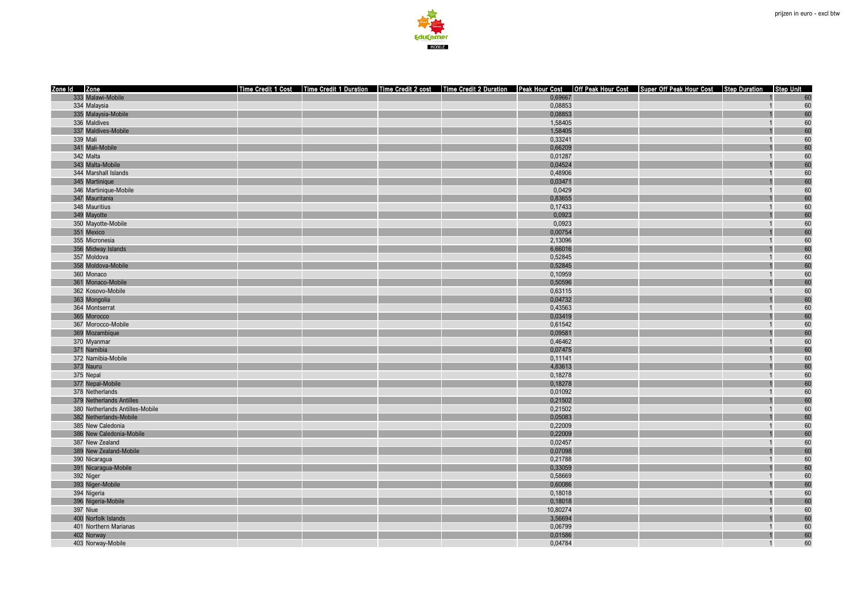

| Time Credit 1 Cost Time Credit 1 Duration Time Credit 2 cost Time Credit 2 Duration Peak Hour Cost Off Peak Hour Cost Super Off Peak Hour Cost Step Duration Step Unit<br>333 Malawi-Mobile<br>0,69667<br>60<br>334 Malaysia<br>0,08853<br>60<br>$\overline{1}$<br>335 Malaysia-Mobile<br>0,08853<br>60<br>60<br>336 Maldives<br>1,58405<br>$\overline{1}$<br>60<br>337 Maldives-Mobile<br>1,58405<br>339 Mali<br>0,33241<br>60<br>60<br>341 Mali-Mobile<br>0,66209<br>60<br>342 Malta<br>0,01287<br>$\overline{1}$<br>343 Malta-Mobile<br>0,04524<br>60<br>60<br>0,48906<br>344 Marshall Islands<br>$\overline{1}$<br>60<br>345 Martinique<br>0,03471<br>60<br>346 Martinique-Mobile<br>0,0429<br>60<br>347 Mauritania<br>0,83655<br>60<br>348 Mauritius<br>0,17433<br>$\overline{1}$<br>0,0923<br>60<br>349 Mayotte<br>350 Mayotte-Mobile<br>0,0923<br>60<br>$\overline{1}$<br>60<br>351 Mexico<br>0,00754<br>60<br>355 Micronesia<br>2,13096<br>$\overline{1}$<br>60<br>356 Midway Islands<br>6,66016<br>357 Moldova<br>0,52845<br>60<br>60<br>358 Moldova-Mobile<br>0,52845<br>60<br>360 Monaco<br>0,10959<br>$\overline{1}$<br>60<br>361 Monaco-Mobile<br>0,50596<br>60<br>362 Kosovo-Mobile<br>0,63115<br>60<br>363 Mongolia<br>0,04732<br>364 Montserrat<br>0,43563<br>60 |
|----------------------------------------------------------------------------------------------------------------------------------------------------------------------------------------------------------------------------------------------------------------------------------------------------------------------------------------------------------------------------------------------------------------------------------------------------------------------------------------------------------------------------------------------------------------------------------------------------------------------------------------------------------------------------------------------------------------------------------------------------------------------------------------------------------------------------------------------------------------------------------------------------------------------------------------------------------------------------------------------------------------------------------------------------------------------------------------------------------------------------------------------------------------------------------------------------------------------------------------------------------------------------------|
|                                                                                                                                                                                                                                                                                                                                                                                                                                                                                                                                                                                                                                                                                                                                                                                                                                                                                                                                                                                                                                                                                                                                                                                                                                                                                  |
|                                                                                                                                                                                                                                                                                                                                                                                                                                                                                                                                                                                                                                                                                                                                                                                                                                                                                                                                                                                                                                                                                                                                                                                                                                                                                  |
|                                                                                                                                                                                                                                                                                                                                                                                                                                                                                                                                                                                                                                                                                                                                                                                                                                                                                                                                                                                                                                                                                                                                                                                                                                                                                  |
|                                                                                                                                                                                                                                                                                                                                                                                                                                                                                                                                                                                                                                                                                                                                                                                                                                                                                                                                                                                                                                                                                                                                                                                                                                                                                  |
|                                                                                                                                                                                                                                                                                                                                                                                                                                                                                                                                                                                                                                                                                                                                                                                                                                                                                                                                                                                                                                                                                                                                                                                                                                                                                  |
|                                                                                                                                                                                                                                                                                                                                                                                                                                                                                                                                                                                                                                                                                                                                                                                                                                                                                                                                                                                                                                                                                                                                                                                                                                                                                  |
|                                                                                                                                                                                                                                                                                                                                                                                                                                                                                                                                                                                                                                                                                                                                                                                                                                                                                                                                                                                                                                                                                                                                                                                                                                                                                  |
|                                                                                                                                                                                                                                                                                                                                                                                                                                                                                                                                                                                                                                                                                                                                                                                                                                                                                                                                                                                                                                                                                                                                                                                                                                                                                  |
|                                                                                                                                                                                                                                                                                                                                                                                                                                                                                                                                                                                                                                                                                                                                                                                                                                                                                                                                                                                                                                                                                                                                                                                                                                                                                  |
|                                                                                                                                                                                                                                                                                                                                                                                                                                                                                                                                                                                                                                                                                                                                                                                                                                                                                                                                                                                                                                                                                                                                                                                                                                                                                  |
|                                                                                                                                                                                                                                                                                                                                                                                                                                                                                                                                                                                                                                                                                                                                                                                                                                                                                                                                                                                                                                                                                                                                                                                                                                                                                  |
|                                                                                                                                                                                                                                                                                                                                                                                                                                                                                                                                                                                                                                                                                                                                                                                                                                                                                                                                                                                                                                                                                                                                                                                                                                                                                  |
|                                                                                                                                                                                                                                                                                                                                                                                                                                                                                                                                                                                                                                                                                                                                                                                                                                                                                                                                                                                                                                                                                                                                                                                                                                                                                  |
|                                                                                                                                                                                                                                                                                                                                                                                                                                                                                                                                                                                                                                                                                                                                                                                                                                                                                                                                                                                                                                                                                                                                                                                                                                                                                  |
|                                                                                                                                                                                                                                                                                                                                                                                                                                                                                                                                                                                                                                                                                                                                                                                                                                                                                                                                                                                                                                                                                                                                                                                                                                                                                  |
|                                                                                                                                                                                                                                                                                                                                                                                                                                                                                                                                                                                                                                                                                                                                                                                                                                                                                                                                                                                                                                                                                                                                                                                                                                                                                  |
|                                                                                                                                                                                                                                                                                                                                                                                                                                                                                                                                                                                                                                                                                                                                                                                                                                                                                                                                                                                                                                                                                                                                                                                                                                                                                  |
|                                                                                                                                                                                                                                                                                                                                                                                                                                                                                                                                                                                                                                                                                                                                                                                                                                                                                                                                                                                                                                                                                                                                                                                                                                                                                  |
|                                                                                                                                                                                                                                                                                                                                                                                                                                                                                                                                                                                                                                                                                                                                                                                                                                                                                                                                                                                                                                                                                                                                                                                                                                                                                  |
|                                                                                                                                                                                                                                                                                                                                                                                                                                                                                                                                                                                                                                                                                                                                                                                                                                                                                                                                                                                                                                                                                                                                                                                                                                                                                  |
|                                                                                                                                                                                                                                                                                                                                                                                                                                                                                                                                                                                                                                                                                                                                                                                                                                                                                                                                                                                                                                                                                                                                                                                                                                                                                  |
|                                                                                                                                                                                                                                                                                                                                                                                                                                                                                                                                                                                                                                                                                                                                                                                                                                                                                                                                                                                                                                                                                                                                                                                                                                                                                  |
|                                                                                                                                                                                                                                                                                                                                                                                                                                                                                                                                                                                                                                                                                                                                                                                                                                                                                                                                                                                                                                                                                                                                                                                                                                                                                  |
|                                                                                                                                                                                                                                                                                                                                                                                                                                                                                                                                                                                                                                                                                                                                                                                                                                                                                                                                                                                                                                                                                                                                                                                                                                                                                  |
|                                                                                                                                                                                                                                                                                                                                                                                                                                                                                                                                                                                                                                                                                                                                                                                                                                                                                                                                                                                                                                                                                                                                                                                                                                                                                  |
|                                                                                                                                                                                                                                                                                                                                                                                                                                                                                                                                                                                                                                                                                                                                                                                                                                                                                                                                                                                                                                                                                                                                                                                                                                                                                  |
| 60<br>365 Morocco<br>0,03419                                                                                                                                                                                                                                                                                                                                                                                                                                                                                                                                                                                                                                                                                                                                                                                                                                                                                                                                                                                                                                                                                                                                                                                                                                                     |
| 60<br>367 Morocco-Mobile<br>0,61542<br>$\overline{1}$                                                                                                                                                                                                                                                                                                                                                                                                                                                                                                                                                                                                                                                                                                                                                                                                                                                                                                                                                                                                                                                                                                                                                                                                                            |
| 369 Mozambique<br>0,09581<br>60                                                                                                                                                                                                                                                                                                                                                                                                                                                                                                                                                                                                                                                                                                                                                                                                                                                                                                                                                                                                                                                                                                                                                                                                                                                  |
| 60<br>370 Myanmar<br>0,46462                                                                                                                                                                                                                                                                                                                                                                                                                                                                                                                                                                                                                                                                                                                                                                                                                                                                                                                                                                                                                                                                                                                                                                                                                                                     |
| 60<br>371 Namibia<br>0,07475                                                                                                                                                                                                                                                                                                                                                                                                                                                                                                                                                                                                                                                                                                                                                                                                                                                                                                                                                                                                                                                                                                                                                                                                                                                     |
| 60<br>372 Namibia-Mobile<br>0,11141                                                                                                                                                                                                                                                                                                                                                                                                                                                                                                                                                                                                                                                                                                                                                                                                                                                                                                                                                                                                                                                                                                                                                                                                                                              |
| 60<br>373 Nauru<br>4,83613                                                                                                                                                                                                                                                                                                                                                                                                                                                                                                                                                                                                                                                                                                                                                                                                                                                                                                                                                                                                                                                                                                                                                                                                                                                       |
| 60<br>375 Nepal<br>0,18278<br>$\overline{1}$                                                                                                                                                                                                                                                                                                                                                                                                                                                                                                                                                                                                                                                                                                                                                                                                                                                                                                                                                                                                                                                                                                                                                                                                                                     |
| 60<br>377 Nepal-Mobile<br>0,18278                                                                                                                                                                                                                                                                                                                                                                                                                                                                                                                                                                                                                                                                                                                                                                                                                                                                                                                                                                                                                                                                                                                                                                                                                                                |
| 60<br>378 Netherlands<br>0,01092<br>$\overline{1}$                                                                                                                                                                                                                                                                                                                                                                                                                                                                                                                                                                                                                                                                                                                                                                                                                                                                                                                                                                                                                                                                                                                                                                                                                               |
| 0,21502<br>60<br>379 Netherlands Antilles                                                                                                                                                                                                                                                                                                                                                                                                                                                                                                                                                                                                                                                                                                                                                                                                                                                                                                                                                                                                                                                                                                                                                                                                                                        |
| 60<br>380 Netherlands Antilles-Mobile<br>0,21502                                                                                                                                                                                                                                                                                                                                                                                                                                                                                                                                                                                                                                                                                                                                                                                                                                                                                                                                                                                                                                                                                                                                                                                                                                 |
| 60<br>382 Netherlands-Mobile<br>0,05083                                                                                                                                                                                                                                                                                                                                                                                                                                                                                                                                                                                                                                                                                                                                                                                                                                                                                                                                                                                                                                                                                                                                                                                                                                          |
| 0,22009<br>60<br>385 New Caledonia<br>$\overline{1}$                                                                                                                                                                                                                                                                                                                                                                                                                                                                                                                                                                                                                                                                                                                                                                                                                                                                                                                                                                                                                                                                                                                                                                                                                             |
| 60<br>0,22009<br>386 New Caledonia-Mobile                                                                                                                                                                                                                                                                                                                                                                                                                                                                                                                                                                                                                                                                                                                                                                                                                                                                                                                                                                                                                                                                                                                                                                                                                                        |
| 60<br>387 New Zealand<br>0,02457<br>$\overline{1}$                                                                                                                                                                                                                                                                                                                                                                                                                                                                                                                                                                                                                                                                                                                                                                                                                                                                                                                                                                                                                                                                                                                                                                                                                               |
| 60<br>389 New Zealand-Mobile<br>0,07098                                                                                                                                                                                                                                                                                                                                                                                                                                                                                                                                                                                                                                                                                                                                                                                                                                                                                                                                                                                                                                                                                                                                                                                                                                          |
| 60<br>390 Nicaraqua<br>0,21788<br>$\overline{1}$                                                                                                                                                                                                                                                                                                                                                                                                                                                                                                                                                                                                                                                                                                                                                                                                                                                                                                                                                                                                                                                                                                                                                                                                                                 |
| 60<br>391 Nicaragua-Mobile<br>0,33059                                                                                                                                                                                                                                                                                                                                                                                                                                                                                                                                                                                                                                                                                                                                                                                                                                                                                                                                                                                                                                                                                                                                                                                                                                            |
| 392 Niger<br>60<br>0,58669                                                                                                                                                                                                                                                                                                                                                                                                                                                                                                                                                                                                                                                                                                                                                                                                                                                                                                                                                                                                                                                                                                                                                                                                                                                       |
| 393 Niger-Mobile<br>0,60086<br>60                                                                                                                                                                                                                                                                                                                                                                                                                                                                                                                                                                                                                                                                                                                                                                                                                                                                                                                                                                                                                                                                                                                                                                                                                                                |
| 60<br>394 Nigeria<br>0,18018<br>$\overline{1}$                                                                                                                                                                                                                                                                                                                                                                                                                                                                                                                                                                                                                                                                                                                                                                                                                                                                                                                                                                                                                                                                                                                                                                                                                                   |
| 60<br>396 Nigeria-Mobile<br>0,18018                                                                                                                                                                                                                                                                                                                                                                                                                                                                                                                                                                                                                                                                                                                                                                                                                                                                                                                                                                                                                                                                                                                                                                                                                                              |
| 397 Niue<br>60<br>10,80274<br>$\overline{1}$                                                                                                                                                                                                                                                                                                                                                                                                                                                                                                                                                                                                                                                                                                                                                                                                                                                                                                                                                                                                                                                                                                                                                                                                                                     |
| 60<br>400 Norfolk Islands<br>3,56694                                                                                                                                                                                                                                                                                                                                                                                                                                                                                                                                                                                                                                                                                                                                                                                                                                                                                                                                                                                                                                                                                                                                                                                                                                             |
| 60<br>401 Northern Marianas<br>0,06799                                                                                                                                                                                                                                                                                                                                                                                                                                                                                                                                                                                                                                                                                                                                                                                                                                                                                                                                                                                                                                                                                                                                                                                                                                           |
| 60<br>0,01586<br>402 Norway                                                                                                                                                                                                                                                                                                                                                                                                                                                                                                                                                                                                                                                                                                                                                                                                                                                                                                                                                                                                                                                                                                                                                                                                                                                      |
| 60<br>403 Norway-Mobile<br>0,04784<br>$\overline{1}$                                                                                                                                                                                                                                                                                                                                                                                                                                                                                                                                                                                                                                                                                                                                                                                                                                                                                                                                                                                                                                                                                                                                                                                                                             |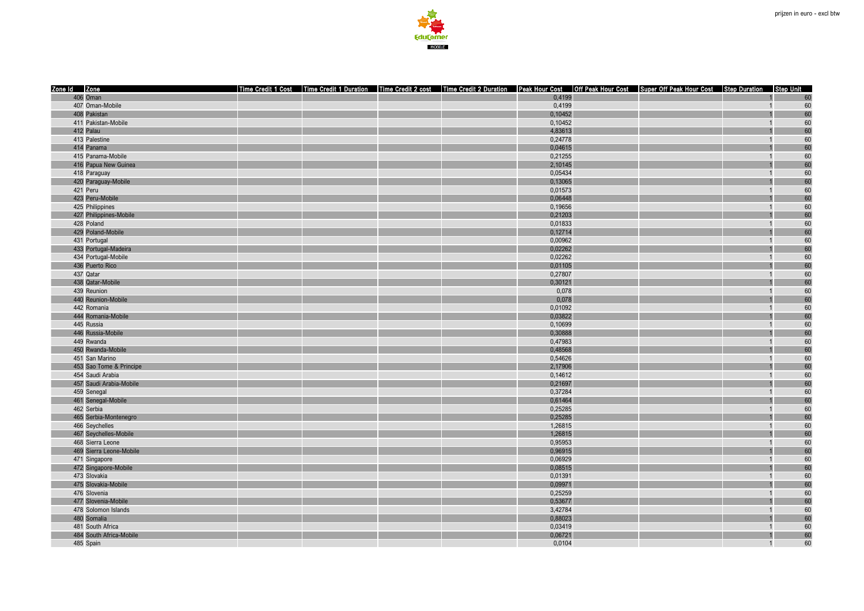

| Zone Id Zone            |  |  |         | Time Credit 1 Cost   Time Credit 1 Duration   Time Credit 2 cost   Time Credit 2 Duration   Peak Hour Cost   Off Peak Hour Cost   Super Off Peak Hour Cost   Step Duration   Step Unit |                |    |
|-------------------------|--|--|---------|----------------------------------------------------------------------------------------------------------------------------------------------------------------------------------------|----------------|----|
| 406 Oman                |  |  | 0,4199  |                                                                                                                                                                                        |                | 60 |
| 407 Oman-Mobile         |  |  | 0,4199  |                                                                                                                                                                                        | $\overline{1}$ | 60 |
| 408 Pakistan            |  |  | 0,10452 |                                                                                                                                                                                        |                | 60 |
| 411 Pakistan-Mobile     |  |  | 0,10452 |                                                                                                                                                                                        | $\overline{1}$ | 60 |
| 412 Palau               |  |  | 4,83613 |                                                                                                                                                                                        |                | 60 |
| 413 Palestine           |  |  | 0,24778 |                                                                                                                                                                                        |                | 60 |
| 414 Panama              |  |  | 0,04615 |                                                                                                                                                                                        |                | 60 |
| 415 Panama-Mobile       |  |  | 0,21255 |                                                                                                                                                                                        | $\overline{1}$ | 60 |
| 416 Papua New Guinea    |  |  | 2,10145 |                                                                                                                                                                                        |                | 60 |
| 418 Paraguay            |  |  | 0,05434 |                                                                                                                                                                                        | $\overline{1}$ | 60 |
| 420 Paraguay-Mobile     |  |  | 0,13065 |                                                                                                                                                                                        |                | 60 |
| 421 Peru                |  |  | 0,01573 |                                                                                                                                                                                        |                | 60 |
| 423 Peru-Mobile         |  |  | 0,06448 |                                                                                                                                                                                        |                | 60 |
| 425 Philippines         |  |  | 0,19656 |                                                                                                                                                                                        | $\overline{1}$ | 60 |
| 427 Philippines-Mobile  |  |  | 0,21203 |                                                                                                                                                                                        |                | 60 |
| 428 Poland              |  |  | 0,01833 |                                                                                                                                                                                        | $\overline{1}$ | 60 |
| 429 Poland-Mobile       |  |  | 0,12714 |                                                                                                                                                                                        |                | 60 |
| 431 Portugal            |  |  | 0,00962 |                                                                                                                                                                                        | $\overline{1}$ | 60 |
| 433 Portugal-Madeira    |  |  | 0,02262 |                                                                                                                                                                                        |                | 60 |
| 434 Portugal-Mobile     |  |  | 0,02262 |                                                                                                                                                                                        |                | 60 |
| 436 Puerto Rico         |  |  | 0,01105 |                                                                                                                                                                                        |                | 60 |
| 437 Qatar               |  |  | 0,27807 |                                                                                                                                                                                        | $\overline{1}$ | 60 |
| 438 Qatar-Mobile        |  |  | 0,30121 |                                                                                                                                                                                        |                | 60 |
| 439 Reunion             |  |  | 0,078   |                                                                                                                                                                                        | $\overline{1}$ | 60 |
| 440 Reunion-Mobile      |  |  | 0,078   |                                                                                                                                                                                        |                | 60 |
| 442 Romania             |  |  | 0,01092 |                                                                                                                                                                                        |                | 60 |
| 444 Romania-Mobile      |  |  | 0,03822 |                                                                                                                                                                                        |                | 60 |
| 445 Russia              |  |  | 0,10699 |                                                                                                                                                                                        | $\overline{1}$ | 60 |
| 446 Russia-Mobile       |  |  | 0,30888 |                                                                                                                                                                                        |                | 60 |
| 449 Rwanda              |  |  | 0,47983 |                                                                                                                                                                                        |                | 60 |
| 450 Rwanda-Mobile       |  |  | 0,48568 |                                                                                                                                                                                        |                | 60 |
| 451 San Marino          |  |  | 0,54626 |                                                                                                                                                                                        |                | 60 |
| 453 Sao Tome & Principe |  |  | 2,17906 |                                                                                                                                                                                        |                | 60 |
| 454 Saudi Arabia        |  |  | 0,14612 |                                                                                                                                                                                        | $\overline{1}$ | 60 |
| 457 Saudi Arabia-Mobile |  |  | 0,21697 |                                                                                                                                                                                        |                | 60 |
| 459 Senegal             |  |  | 0,37284 |                                                                                                                                                                                        | $\overline{1}$ | 60 |
| 461 Senegal-Mobile      |  |  | 0,61464 |                                                                                                                                                                                        |                | 60 |
| 462 Serbia              |  |  | 0,25285 |                                                                                                                                                                                        |                | 60 |
| 465 Serbia-Montenegro   |  |  | 0,25285 |                                                                                                                                                                                        |                | 60 |
| 466 Seychelles          |  |  | 1,26815 |                                                                                                                                                                                        | $\overline{1}$ | 60 |
| 467 Seychelles-Mobile   |  |  | 1,26815 |                                                                                                                                                                                        |                | 60 |
| 468 Sierra Leone        |  |  | 0,95953 |                                                                                                                                                                                        | $\overline{1}$ | 60 |
| 469 Sierra Leone-Mobile |  |  | 0,96915 |                                                                                                                                                                                        |                | 60 |
| 471 Singapore           |  |  | 0,06929 |                                                                                                                                                                                        | $\overline{1}$ | 60 |
| 472 Singapore-Mobile    |  |  | 0,08515 |                                                                                                                                                                                        |                | 60 |
| 473 Slovakia            |  |  | 0,01391 |                                                                                                                                                                                        | $\overline{1}$ | 60 |
| 475 Slovakia-Mobile     |  |  | 0,09971 |                                                                                                                                                                                        |                | 60 |
| 476 Slovenia            |  |  | 0,25259 |                                                                                                                                                                                        | $\overline{1}$ | 60 |
| 477 Slovenia-Mobile     |  |  | 0,53677 |                                                                                                                                                                                        |                | 60 |
| 478 Solomon Islands     |  |  | 3,42784 |                                                                                                                                                                                        | $\overline{1}$ | 60 |
| 480 Somalia             |  |  | 0,88023 |                                                                                                                                                                                        |                | 60 |
| 481 South Africa        |  |  | 0,03419 |                                                                                                                                                                                        | $\overline{1}$ | 60 |
| 484 South Africa-Mobile |  |  | 0,06721 |                                                                                                                                                                                        |                | 60 |
| 485 Spain               |  |  | 0,0104  |                                                                                                                                                                                        | $\overline{1}$ | 60 |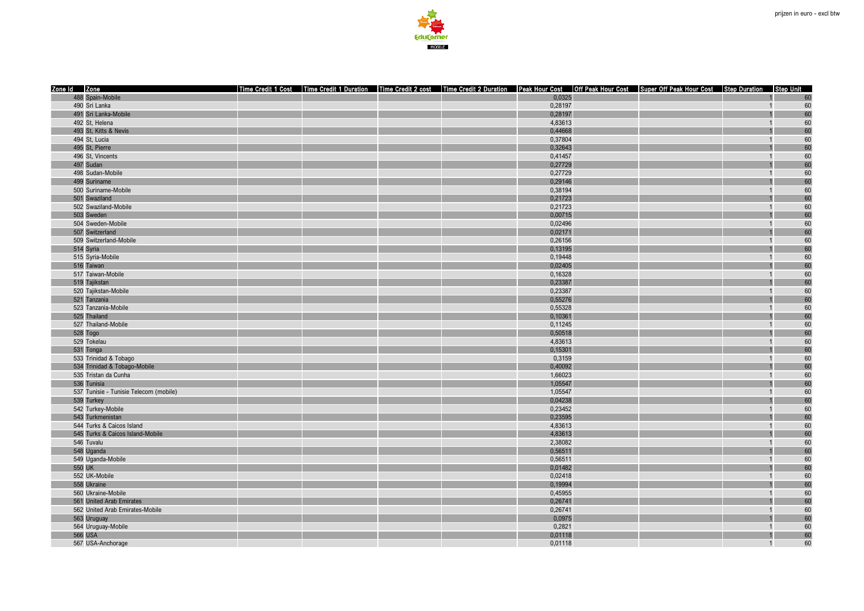

| Zone Id Zone<br>Time Credit 1 Cost   Time Credit 1 Duration   Time Credit 2 cost   Time Credit 2 Duration   Peak Hour Cost   Off Peak Hour Cost   Super Off Peak Hour Cost   Step Duration   Step Unit |                |    |
|--------------------------------------------------------------------------------------------------------------------------------------------------------------------------------------------------------|----------------|----|
| 488 Spain-Mobile<br>0,0325                                                                                                                                                                             |                | 60 |
| 490 Sri Lanka<br>0,28197                                                                                                                                                                               | $\overline{1}$ | 60 |
| 491 Sri Lanka-Mobile<br>0,28197                                                                                                                                                                        |                | 60 |
| 4.83613<br>492 St, Helena                                                                                                                                                                              | $\overline{1}$ | 60 |
| 0,44668<br>493 St, Kitts & Nevis                                                                                                                                                                       |                | 60 |
| 494 St, Lucia<br>0,37804                                                                                                                                                                               |                | 60 |
| 495 St, Pierre<br>0,32643                                                                                                                                                                              |                | 60 |
| 496 St, Vincents<br>0,41457                                                                                                                                                                            | $\overline{1}$ | 60 |
| 497 Sudan<br>0,27729                                                                                                                                                                                   |                | 60 |
| 498 Sudan-Mobile<br>0,27729                                                                                                                                                                            | $\overline{1}$ | 60 |
| 0,29146<br>499 Suriname                                                                                                                                                                                |                | 60 |
| 500 Suriname-Mobile<br>0,38194                                                                                                                                                                         |                | 60 |
| 501 Swaziland<br>0,21723                                                                                                                                                                               |                | 60 |
| 502 Swaziland-Mobile<br>0,21723                                                                                                                                                                        | $\overline{1}$ | 60 |
| 503 Sweden<br>0,00715                                                                                                                                                                                  |                | 60 |
| 504 Sweden-Mobile<br>0,02496                                                                                                                                                                           | $\overline{1}$ | 60 |
| 507 Switzerland<br>0,02171                                                                                                                                                                             |                | 60 |
| 509 Switzerland-Mobile<br>0,26156                                                                                                                                                                      | $\overline{1}$ | 60 |
| 514 Syria<br>0,13195                                                                                                                                                                                   |                | 60 |
| 515 Syria-Mobile<br>0,19448                                                                                                                                                                            |                | 60 |
| 0,02405<br>516 Taiwan                                                                                                                                                                                  |                | 60 |
| 517 Taiwan-Mobile<br>0,16328                                                                                                                                                                           | $\overline{1}$ | 60 |
| 519 Tajikstan<br>0,23387                                                                                                                                                                               |                | 60 |
| 0,23387<br>520 Taiikstan-Mobile                                                                                                                                                                        | $\overline{1}$ | 60 |
| 521 Tanzania<br>0,55276                                                                                                                                                                                |                | 60 |
| 523 Tanzania-Mobile<br>0,55328                                                                                                                                                                         |                | 60 |
| 525 Thailand<br>0,10361                                                                                                                                                                                |                | 60 |
| 527 Thailand-Mobile<br>0,11245                                                                                                                                                                         | $\overline{1}$ | 60 |
| 528 Togo<br>0,50518                                                                                                                                                                                    |                | 60 |
| 529 Tokelau<br>4,83613                                                                                                                                                                                 |                | 60 |
| 0,15301<br>531 Tonga                                                                                                                                                                                   |                | 60 |
| 533 Trinidad & Tobago<br>0,3159                                                                                                                                                                        |                | 60 |
| 534 Trinidad & Tobago-Mobile<br>0,40092                                                                                                                                                                |                | 60 |
| 1.66023<br>535 Tristan da Cunha                                                                                                                                                                        | $\overline{1}$ | 60 |
| 536 Tunisia<br>1,05547                                                                                                                                                                                 |                | 60 |
| 537 Tunisie - Tunisie Telecom (mobile)<br>1,05547                                                                                                                                                      | $\overline{1}$ | 60 |
| 0,04238<br>539 Turkey                                                                                                                                                                                  |                | 60 |
| 542 Turkey-Mobile<br>0,23452                                                                                                                                                                           |                | 60 |
| 543 Turkmenistan<br>0,23595                                                                                                                                                                            |                | 60 |
| 544 Turks & Caicos Island<br>4,83613                                                                                                                                                                   | $\overline{1}$ | 60 |
| 545 Turks & Caicos Island-Mobile<br>4,83613                                                                                                                                                            |                | 60 |
| 546 Tuvalu<br>2,38082                                                                                                                                                                                  | $\overline{1}$ | 60 |
| 0,56511<br>548 Uganda                                                                                                                                                                                  |                | 60 |
| 549 Uganda-Mobile<br>0,56511                                                                                                                                                                           | $\overline{1}$ | 60 |
| 550 UK<br>0,01482                                                                                                                                                                                      |                | 60 |
| 552 UK-Mobile<br>0,02418                                                                                                                                                                               |                | 60 |
| 558 Ukraine<br>0,19994                                                                                                                                                                                 |                | 60 |
| 0,45955<br>560 Ukraine-Mobile                                                                                                                                                                          | $\overline{1}$ | 60 |
| 561 United Arab Emirates<br>0,26741                                                                                                                                                                    |                | 60 |
| 0,26741<br>562 United Arab Emirates-Mobile                                                                                                                                                             | $\overline{1}$ | 60 |
| 0,0975<br>563 Uruguay                                                                                                                                                                                  |                | 60 |
| 564 Uruguay-Mobile<br>0,2821                                                                                                                                                                           |                | 60 |
| <b>566 USA</b><br>0,01118                                                                                                                                                                              |                | 60 |
| 567 USA-Anchorage<br>0,01118                                                                                                                                                                           | $\overline{1}$ | 60 |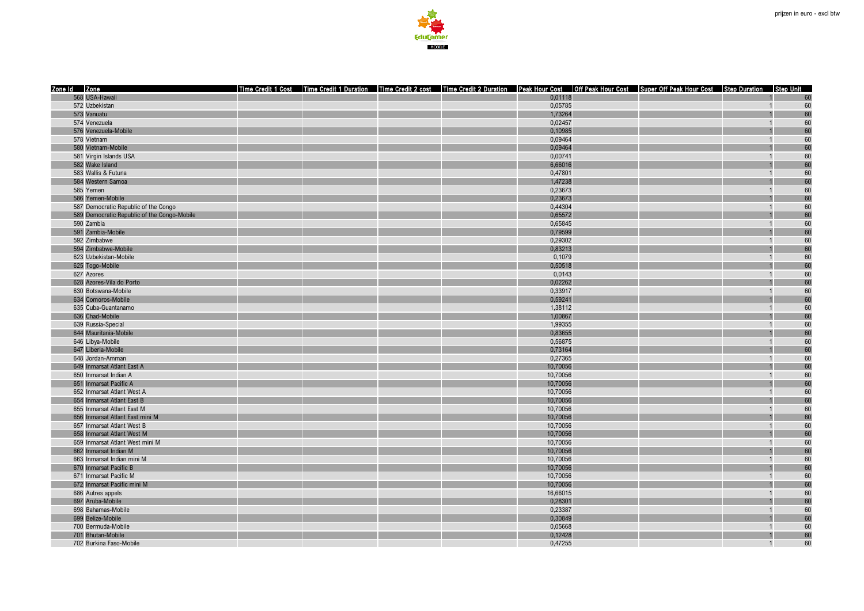

| 568 USA-Hawaii<br>0,01118<br>60<br>0.05785<br>60<br>572 Uzbekistan<br>$\overline{1}$<br>60<br>573 Vanuatu<br>1,73264<br>60<br>574 Venezuela<br>0,02457<br>60<br>0,10985<br>576 Venezuela-Mobile<br>0,09464<br>60<br>578 Vietnam<br>0,09464<br>60<br>580 Vietnam-Mobile<br>60<br>581 Virgin Islands USA<br>0,00741<br>$\overline{1}$<br>60<br>582 Wake Island<br>6,66016<br>60<br>583 Wallis & Futuna<br>0,47801<br>60<br>584 Western Samoa<br>1,47238<br>0,23673<br>60<br>585 Yemen<br>60<br>586 Yemen-Mobile<br>0,23673<br>587 Democratic Republic of the Congo<br>0,44304<br>60<br>$\overline{1}$<br>60<br>589 Democratic Republic of the Congo-Mobile<br>0,65572<br>60<br>590 Zambia<br>0,65845<br>$\overline{1}$<br>591 Zambia-Mobile<br>0,79599<br>60<br>592 Zimbabwe<br>0,29302<br>60<br>60<br>0,83213<br>594 Zimbabwe-Mobile<br>60<br>623 Uzbekistan-Mobile<br>0,1079<br>625 Togo-Mobile<br>60<br>0,50518<br>60<br>627 Azores<br>0,0143<br>$\overline{1}$<br>60<br>628 Azores-Vila do Porto<br>0,02262<br>60<br>630 Botswana-Mobile<br>0,33917<br>$\overline{1}$<br>60<br>634 Comoros-Mobile<br>0.59241<br>60<br>635 Cuba-Guantanamo<br>1,38112<br>636 Chad-Mobile<br>1,00867<br>60<br>60<br>639 Russia-Special<br>1,99355<br>$\overline{1}$<br>60<br>0,83655<br>644 Mauritania-Mobile<br>60<br>646 Libya-Mobile<br>0,56875<br>60<br>647 Liberia-Mobile<br>0,73164<br>0,27365<br>60<br>648 Jordan-Amman<br>60<br>649 Inmarsat Atlant East A<br>10,70056<br>60<br>650 Inmarsat Indian A<br>10,70056<br>$\overline{1}$<br>10,70056<br>60<br>651 Inmarsat Pacific A<br>60<br>652 Inmarsat Atlant West A<br>10,70056<br>60<br>654 Inmarsat Atlant East B<br>10,70056<br>60<br>655 Inmarsat Atlant East M<br>10,70056<br>60<br>656 Inmarsat Atlant East mini M<br>10,70056<br>60<br>657 Inmarsat Atlant West B<br>10,70056<br>$\overline{1}$<br>60<br>658 Inmarsat Atlant West M<br>10,70056<br>10,70056<br>60<br>659 Inmarsat Atlant West mini M<br>$\overline{1}$<br>60<br>662 Inmarsat Indian M<br>10,70056<br>60<br>663 Inmarsat Indian mini M<br>10,70056<br>$\overline{1}$<br>10,70056<br>60<br>670 Inmarsat Pacific B<br>60<br>671 Inmarsat Pacific M<br>10,70056<br>60<br>672 Inmarsat Pacific mini M<br>10,70056<br>60<br>686 Autres appels<br>16,66015<br>$\overline{1}$<br>60<br>697 Aruba-Mobile<br>0,28301<br>60<br>698 Bahamas-Mobile<br>0.23387<br>$\overline{1}$<br>60<br>699 Belize-Mobile<br>0,30849<br>0,05668<br>60<br>700 Bermuda-Mobile<br>701 Bhutan-Mobile<br>0,12428<br>60<br>60<br>702 Burkina Faso-Mobile<br>0,47255<br>$\overline{1}$ | Zone Id Zone |  |  |  | Time Credit 1 Cost   Time Credit 1 Duration   Time Credit 2 cost   Time Credit 2 Duration   Peak Hour Cost   Off Peak Hour Cost   Super Off Peak Hour Cost   Step Duration   Step Unit |  |
|---------------------------------------------------------------------------------------------------------------------------------------------------------------------------------------------------------------------------------------------------------------------------------------------------------------------------------------------------------------------------------------------------------------------------------------------------------------------------------------------------------------------------------------------------------------------------------------------------------------------------------------------------------------------------------------------------------------------------------------------------------------------------------------------------------------------------------------------------------------------------------------------------------------------------------------------------------------------------------------------------------------------------------------------------------------------------------------------------------------------------------------------------------------------------------------------------------------------------------------------------------------------------------------------------------------------------------------------------------------------------------------------------------------------------------------------------------------------------------------------------------------------------------------------------------------------------------------------------------------------------------------------------------------------------------------------------------------------------------------------------------------------------------------------------------------------------------------------------------------------------------------------------------------------------------------------------------------------------------------------------------------------------------------------------------------------------------------------------------------------------------------------------------------------------------------------------------------------------------------------------------------------------------------------------------------------------------------------------------------------------------------------------------------------------------------------------------------------------------------------------------------------------------------------------------------------|--------------|--|--|--|----------------------------------------------------------------------------------------------------------------------------------------------------------------------------------------|--|
|                                                                                                                                                                                                                                                                                                                                                                                                                                                                                                                                                                                                                                                                                                                                                                                                                                                                                                                                                                                                                                                                                                                                                                                                                                                                                                                                                                                                                                                                                                                                                                                                                                                                                                                                                                                                                                                                                                                                                                                                                                                                                                                                                                                                                                                                                                                                                                                                                                                                                                                                                                     |              |  |  |  |                                                                                                                                                                                        |  |
|                                                                                                                                                                                                                                                                                                                                                                                                                                                                                                                                                                                                                                                                                                                                                                                                                                                                                                                                                                                                                                                                                                                                                                                                                                                                                                                                                                                                                                                                                                                                                                                                                                                                                                                                                                                                                                                                                                                                                                                                                                                                                                                                                                                                                                                                                                                                                                                                                                                                                                                                                                     |              |  |  |  |                                                                                                                                                                                        |  |
|                                                                                                                                                                                                                                                                                                                                                                                                                                                                                                                                                                                                                                                                                                                                                                                                                                                                                                                                                                                                                                                                                                                                                                                                                                                                                                                                                                                                                                                                                                                                                                                                                                                                                                                                                                                                                                                                                                                                                                                                                                                                                                                                                                                                                                                                                                                                                                                                                                                                                                                                                                     |              |  |  |  |                                                                                                                                                                                        |  |
|                                                                                                                                                                                                                                                                                                                                                                                                                                                                                                                                                                                                                                                                                                                                                                                                                                                                                                                                                                                                                                                                                                                                                                                                                                                                                                                                                                                                                                                                                                                                                                                                                                                                                                                                                                                                                                                                                                                                                                                                                                                                                                                                                                                                                                                                                                                                                                                                                                                                                                                                                                     |              |  |  |  |                                                                                                                                                                                        |  |
|                                                                                                                                                                                                                                                                                                                                                                                                                                                                                                                                                                                                                                                                                                                                                                                                                                                                                                                                                                                                                                                                                                                                                                                                                                                                                                                                                                                                                                                                                                                                                                                                                                                                                                                                                                                                                                                                                                                                                                                                                                                                                                                                                                                                                                                                                                                                                                                                                                                                                                                                                                     |              |  |  |  |                                                                                                                                                                                        |  |
|                                                                                                                                                                                                                                                                                                                                                                                                                                                                                                                                                                                                                                                                                                                                                                                                                                                                                                                                                                                                                                                                                                                                                                                                                                                                                                                                                                                                                                                                                                                                                                                                                                                                                                                                                                                                                                                                                                                                                                                                                                                                                                                                                                                                                                                                                                                                                                                                                                                                                                                                                                     |              |  |  |  |                                                                                                                                                                                        |  |
|                                                                                                                                                                                                                                                                                                                                                                                                                                                                                                                                                                                                                                                                                                                                                                                                                                                                                                                                                                                                                                                                                                                                                                                                                                                                                                                                                                                                                                                                                                                                                                                                                                                                                                                                                                                                                                                                                                                                                                                                                                                                                                                                                                                                                                                                                                                                                                                                                                                                                                                                                                     |              |  |  |  |                                                                                                                                                                                        |  |
|                                                                                                                                                                                                                                                                                                                                                                                                                                                                                                                                                                                                                                                                                                                                                                                                                                                                                                                                                                                                                                                                                                                                                                                                                                                                                                                                                                                                                                                                                                                                                                                                                                                                                                                                                                                                                                                                                                                                                                                                                                                                                                                                                                                                                                                                                                                                                                                                                                                                                                                                                                     |              |  |  |  |                                                                                                                                                                                        |  |
|                                                                                                                                                                                                                                                                                                                                                                                                                                                                                                                                                                                                                                                                                                                                                                                                                                                                                                                                                                                                                                                                                                                                                                                                                                                                                                                                                                                                                                                                                                                                                                                                                                                                                                                                                                                                                                                                                                                                                                                                                                                                                                                                                                                                                                                                                                                                                                                                                                                                                                                                                                     |              |  |  |  |                                                                                                                                                                                        |  |
|                                                                                                                                                                                                                                                                                                                                                                                                                                                                                                                                                                                                                                                                                                                                                                                                                                                                                                                                                                                                                                                                                                                                                                                                                                                                                                                                                                                                                                                                                                                                                                                                                                                                                                                                                                                                                                                                                                                                                                                                                                                                                                                                                                                                                                                                                                                                                                                                                                                                                                                                                                     |              |  |  |  |                                                                                                                                                                                        |  |
|                                                                                                                                                                                                                                                                                                                                                                                                                                                                                                                                                                                                                                                                                                                                                                                                                                                                                                                                                                                                                                                                                                                                                                                                                                                                                                                                                                                                                                                                                                                                                                                                                                                                                                                                                                                                                                                                                                                                                                                                                                                                                                                                                                                                                                                                                                                                                                                                                                                                                                                                                                     |              |  |  |  |                                                                                                                                                                                        |  |
|                                                                                                                                                                                                                                                                                                                                                                                                                                                                                                                                                                                                                                                                                                                                                                                                                                                                                                                                                                                                                                                                                                                                                                                                                                                                                                                                                                                                                                                                                                                                                                                                                                                                                                                                                                                                                                                                                                                                                                                                                                                                                                                                                                                                                                                                                                                                                                                                                                                                                                                                                                     |              |  |  |  |                                                                                                                                                                                        |  |
|                                                                                                                                                                                                                                                                                                                                                                                                                                                                                                                                                                                                                                                                                                                                                                                                                                                                                                                                                                                                                                                                                                                                                                                                                                                                                                                                                                                                                                                                                                                                                                                                                                                                                                                                                                                                                                                                                                                                                                                                                                                                                                                                                                                                                                                                                                                                                                                                                                                                                                                                                                     |              |  |  |  |                                                                                                                                                                                        |  |
|                                                                                                                                                                                                                                                                                                                                                                                                                                                                                                                                                                                                                                                                                                                                                                                                                                                                                                                                                                                                                                                                                                                                                                                                                                                                                                                                                                                                                                                                                                                                                                                                                                                                                                                                                                                                                                                                                                                                                                                                                                                                                                                                                                                                                                                                                                                                                                                                                                                                                                                                                                     |              |  |  |  |                                                                                                                                                                                        |  |
|                                                                                                                                                                                                                                                                                                                                                                                                                                                                                                                                                                                                                                                                                                                                                                                                                                                                                                                                                                                                                                                                                                                                                                                                                                                                                                                                                                                                                                                                                                                                                                                                                                                                                                                                                                                                                                                                                                                                                                                                                                                                                                                                                                                                                                                                                                                                                                                                                                                                                                                                                                     |              |  |  |  |                                                                                                                                                                                        |  |
|                                                                                                                                                                                                                                                                                                                                                                                                                                                                                                                                                                                                                                                                                                                                                                                                                                                                                                                                                                                                                                                                                                                                                                                                                                                                                                                                                                                                                                                                                                                                                                                                                                                                                                                                                                                                                                                                                                                                                                                                                                                                                                                                                                                                                                                                                                                                                                                                                                                                                                                                                                     |              |  |  |  |                                                                                                                                                                                        |  |
|                                                                                                                                                                                                                                                                                                                                                                                                                                                                                                                                                                                                                                                                                                                                                                                                                                                                                                                                                                                                                                                                                                                                                                                                                                                                                                                                                                                                                                                                                                                                                                                                                                                                                                                                                                                                                                                                                                                                                                                                                                                                                                                                                                                                                                                                                                                                                                                                                                                                                                                                                                     |              |  |  |  |                                                                                                                                                                                        |  |
|                                                                                                                                                                                                                                                                                                                                                                                                                                                                                                                                                                                                                                                                                                                                                                                                                                                                                                                                                                                                                                                                                                                                                                                                                                                                                                                                                                                                                                                                                                                                                                                                                                                                                                                                                                                                                                                                                                                                                                                                                                                                                                                                                                                                                                                                                                                                                                                                                                                                                                                                                                     |              |  |  |  |                                                                                                                                                                                        |  |
|                                                                                                                                                                                                                                                                                                                                                                                                                                                                                                                                                                                                                                                                                                                                                                                                                                                                                                                                                                                                                                                                                                                                                                                                                                                                                                                                                                                                                                                                                                                                                                                                                                                                                                                                                                                                                                                                                                                                                                                                                                                                                                                                                                                                                                                                                                                                                                                                                                                                                                                                                                     |              |  |  |  |                                                                                                                                                                                        |  |
|                                                                                                                                                                                                                                                                                                                                                                                                                                                                                                                                                                                                                                                                                                                                                                                                                                                                                                                                                                                                                                                                                                                                                                                                                                                                                                                                                                                                                                                                                                                                                                                                                                                                                                                                                                                                                                                                                                                                                                                                                                                                                                                                                                                                                                                                                                                                                                                                                                                                                                                                                                     |              |  |  |  |                                                                                                                                                                                        |  |
|                                                                                                                                                                                                                                                                                                                                                                                                                                                                                                                                                                                                                                                                                                                                                                                                                                                                                                                                                                                                                                                                                                                                                                                                                                                                                                                                                                                                                                                                                                                                                                                                                                                                                                                                                                                                                                                                                                                                                                                                                                                                                                                                                                                                                                                                                                                                                                                                                                                                                                                                                                     |              |  |  |  |                                                                                                                                                                                        |  |
|                                                                                                                                                                                                                                                                                                                                                                                                                                                                                                                                                                                                                                                                                                                                                                                                                                                                                                                                                                                                                                                                                                                                                                                                                                                                                                                                                                                                                                                                                                                                                                                                                                                                                                                                                                                                                                                                                                                                                                                                                                                                                                                                                                                                                                                                                                                                                                                                                                                                                                                                                                     |              |  |  |  |                                                                                                                                                                                        |  |
|                                                                                                                                                                                                                                                                                                                                                                                                                                                                                                                                                                                                                                                                                                                                                                                                                                                                                                                                                                                                                                                                                                                                                                                                                                                                                                                                                                                                                                                                                                                                                                                                                                                                                                                                                                                                                                                                                                                                                                                                                                                                                                                                                                                                                                                                                                                                                                                                                                                                                                                                                                     |              |  |  |  |                                                                                                                                                                                        |  |
|                                                                                                                                                                                                                                                                                                                                                                                                                                                                                                                                                                                                                                                                                                                                                                                                                                                                                                                                                                                                                                                                                                                                                                                                                                                                                                                                                                                                                                                                                                                                                                                                                                                                                                                                                                                                                                                                                                                                                                                                                                                                                                                                                                                                                                                                                                                                                                                                                                                                                                                                                                     |              |  |  |  |                                                                                                                                                                                        |  |
|                                                                                                                                                                                                                                                                                                                                                                                                                                                                                                                                                                                                                                                                                                                                                                                                                                                                                                                                                                                                                                                                                                                                                                                                                                                                                                                                                                                                                                                                                                                                                                                                                                                                                                                                                                                                                                                                                                                                                                                                                                                                                                                                                                                                                                                                                                                                                                                                                                                                                                                                                                     |              |  |  |  |                                                                                                                                                                                        |  |
|                                                                                                                                                                                                                                                                                                                                                                                                                                                                                                                                                                                                                                                                                                                                                                                                                                                                                                                                                                                                                                                                                                                                                                                                                                                                                                                                                                                                                                                                                                                                                                                                                                                                                                                                                                                                                                                                                                                                                                                                                                                                                                                                                                                                                                                                                                                                                                                                                                                                                                                                                                     |              |  |  |  |                                                                                                                                                                                        |  |
|                                                                                                                                                                                                                                                                                                                                                                                                                                                                                                                                                                                                                                                                                                                                                                                                                                                                                                                                                                                                                                                                                                                                                                                                                                                                                                                                                                                                                                                                                                                                                                                                                                                                                                                                                                                                                                                                                                                                                                                                                                                                                                                                                                                                                                                                                                                                                                                                                                                                                                                                                                     |              |  |  |  |                                                                                                                                                                                        |  |
|                                                                                                                                                                                                                                                                                                                                                                                                                                                                                                                                                                                                                                                                                                                                                                                                                                                                                                                                                                                                                                                                                                                                                                                                                                                                                                                                                                                                                                                                                                                                                                                                                                                                                                                                                                                                                                                                                                                                                                                                                                                                                                                                                                                                                                                                                                                                                                                                                                                                                                                                                                     |              |  |  |  |                                                                                                                                                                                        |  |
|                                                                                                                                                                                                                                                                                                                                                                                                                                                                                                                                                                                                                                                                                                                                                                                                                                                                                                                                                                                                                                                                                                                                                                                                                                                                                                                                                                                                                                                                                                                                                                                                                                                                                                                                                                                                                                                                                                                                                                                                                                                                                                                                                                                                                                                                                                                                                                                                                                                                                                                                                                     |              |  |  |  |                                                                                                                                                                                        |  |
|                                                                                                                                                                                                                                                                                                                                                                                                                                                                                                                                                                                                                                                                                                                                                                                                                                                                                                                                                                                                                                                                                                                                                                                                                                                                                                                                                                                                                                                                                                                                                                                                                                                                                                                                                                                                                                                                                                                                                                                                                                                                                                                                                                                                                                                                                                                                                                                                                                                                                                                                                                     |              |  |  |  |                                                                                                                                                                                        |  |
|                                                                                                                                                                                                                                                                                                                                                                                                                                                                                                                                                                                                                                                                                                                                                                                                                                                                                                                                                                                                                                                                                                                                                                                                                                                                                                                                                                                                                                                                                                                                                                                                                                                                                                                                                                                                                                                                                                                                                                                                                                                                                                                                                                                                                                                                                                                                                                                                                                                                                                                                                                     |              |  |  |  |                                                                                                                                                                                        |  |
|                                                                                                                                                                                                                                                                                                                                                                                                                                                                                                                                                                                                                                                                                                                                                                                                                                                                                                                                                                                                                                                                                                                                                                                                                                                                                                                                                                                                                                                                                                                                                                                                                                                                                                                                                                                                                                                                                                                                                                                                                                                                                                                                                                                                                                                                                                                                                                                                                                                                                                                                                                     |              |  |  |  |                                                                                                                                                                                        |  |
|                                                                                                                                                                                                                                                                                                                                                                                                                                                                                                                                                                                                                                                                                                                                                                                                                                                                                                                                                                                                                                                                                                                                                                                                                                                                                                                                                                                                                                                                                                                                                                                                                                                                                                                                                                                                                                                                                                                                                                                                                                                                                                                                                                                                                                                                                                                                                                                                                                                                                                                                                                     |              |  |  |  |                                                                                                                                                                                        |  |
|                                                                                                                                                                                                                                                                                                                                                                                                                                                                                                                                                                                                                                                                                                                                                                                                                                                                                                                                                                                                                                                                                                                                                                                                                                                                                                                                                                                                                                                                                                                                                                                                                                                                                                                                                                                                                                                                                                                                                                                                                                                                                                                                                                                                                                                                                                                                                                                                                                                                                                                                                                     |              |  |  |  |                                                                                                                                                                                        |  |
|                                                                                                                                                                                                                                                                                                                                                                                                                                                                                                                                                                                                                                                                                                                                                                                                                                                                                                                                                                                                                                                                                                                                                                                                                                                                                                                                                                                                                                                                                                                                                                                                                                                                                                                                                                                                                                                                                                                                                                                                                                                                                                                                                                                                                                                                                                                                                                                                                                                                                                                                                                     |              |  |  |  |                                                                                                                                                                                        |  |
|                                                                                                                                                                                                                                                                                                                                                                                                                                                                                                                                                                                                                                                                                                                                                                                                                                                                                                                                                                                                                                                                                                                                                                                                                                                                                                                                                                                                                                                                                                                                                                                                                                                                                                                                                                                                                                                                                                                                                                                                                                                                                                                                                                                                                                                                                                                                                                                                                                                                                                                                                                     |              |  |  |  |                                                                                                                                                                                        |  |
|                                                                                                                                                                                                                                                                                                                                                                                                                                                                                                                                                                                                                                                                                                                                                                                                                                                                                                                                                                                                                                                                                                                                                                                                                                                                                                                                                                                                                                                                                                                                                                                                                                                                                                                                                                                                                                                                                                                                                                                                                                                                                                                                                                                                                                                                                                                                                                                                                                                                                                                                                                     |              |  |  |  |                                                                                                                                                                                        |  |
|                                                                                                                                                                                                                                                                                                                                                                                                                                                                                                                                                                                                                                                                                                                                                                                                                                                                                                                                                                                                                                                                                                                                                                                                                                                                                                                                                                                                                                                                                                                                                                                                                                                                                                                                                                                                                                                                                                                                                                                                                                                                                                                                                                                                                                                                                                                                                                                                                                                                                                                                                                     |              |  |  |  |                                                                                                                                                                                        |  |
|                                                                                                                                                                                                                                                                                                                                                                                                                                                                                                                                                                                                                                                                                                                                                                                                                                                                                                                                                                                                                                                                                                                                                                                                                                                                                                                                                                                                                                                                                                                                                                                                                                                                                                                                                                                                                                                                                                                                                                                                                                                                                                                                                                                                                                                                                                                                                                                                                                                                                                                                                                     |              |  |  |  |                                                                                                                                                                                        |  |
|                                                                                                                                                                                                                                                                                                                                                                                                                                                                                                                                                                                                                                                                                                                                                                                                                                                                                                                                                                                                                                                                                                                                                                                                                                                                                                                                                                                                                                                                                                                                                                                                                                                                                                                                                                                                                                                                                                                                                                                                                                                                                                                                                                                                                                                                                                                                                                                                                                                                                                                                                                     |              |  |  |  |                                                                                                                                                                                        |  |
|                                                                                                                                                                                                                                                                                                                                                                                                                                                                                                                                                                                                                                                                                                                                                                                                                                                                                                                                                                                                                                                                                                                                                                                                                                                                                                                                                                                                                                                                                                                                                                                                                                                                                                                                                                                                                                                                                                                                                                                                                                                                                                                                                                                                                                                                                                                                                                                                                                                                                                                                                                     |              |  |  |  |                                                                                                                                                                                        |  |
|                                                                                                                                                                                                                                                                                                                                                                                                                                                                                                                                                                                                                                                                                                                                                                                                                                                                                                                                                                                                                                                                                                                                                                                                                                                                                                                                                                                                                                                                                                                                                                                                                                                                                                                                                                                                                                                                                                                                                                                                                                                                                                                                                                                                                                                                                                                                                                                                                                                                                                                                                                     |              |  |  |  |                                                                                                                                                                                        |  |
|                                                                                                                                                                                                                                                                                                                                                                                                                                                                                                                                                                                                                                                                                                                                                                                                                                                                                                                                                                                                                                                                                                                                                                                                                                                                                                                                                                                                                                                                                                                                                                                                                                                                                                                                                                                                                                                                                                                                                                                                                                                                                                                                                                                                                                                                                                                                                                                                                                                                                                                                                                     |              |  |  |  |                                                                                                                                                                                        |  |
|                                                                                                                                                                                                                                                                                                                                                                                                                                                                                                                                                                                                                                                                                                                                                                                                                                                                                                                                                                                                                                                                                                                                                                                                                                                                                                                                                                                                                                                                                                                                                                                                                                                                                                                                                                                                                                                                                                                                                                                                                                                                                                                                                                                                                                                                                                                                                                                                                                                                                                                                                                     |              |  |  |  |                                                                                                                                                                                        |  |
|                                                                                                                                                                                                                                                                                                                                                                                                                                                                                                                                                                                                                                                                                                                                                                                                                                                                                                                                                                                                                                                                                                                                                                                                                                                                                                                                                                                                                                                                                                                                                                                                                                                                                                                                                                                                                                                                                                                                                                                                                                                                                                                                                                                                                                                                                                                                                                                                                                                                                                                                                                     |              |  |  |  |                                                                                                                                                                                        |  |
|                                                                                                                                                                                                                                                                                                                                                                                                                                                                                                                                                                                                                                                                                                                                                                                                                                                                                                                                                                                                                                                                                                                                                                                                                                                                                                                                                                                                                                                                                                                                                                                                                                                                                                                                                                                                                                                                                                                                                                                                                                                                                                                                                                                                                                                                                                                                                                                                                                                                                                                                                                     |              |  |  |  |                                                                                                                                                                                        |  |
|                                                                                                                                                                                                                                                                                                                                                                                                                                                                                                                                                                                                                                                                                                                                                                                                                                                                                                                                                                                                                                                                                                                                                                                                                                                                                                                                                                                                                                                                                                                                                                                                                                                                                                                                                                                                                                                                                                                                                                                                                                                                                                                                                                                                                                                                                                                                                                                                                                                                                                                                                                     |              |  |  |  |                                                                                                                                                                                        |  |
|                                                                                                                                                                                                                                                                                                                                                                                                                                                                                                                                                                                                                                                                                                                                                                                                                                                                                                                                                                                                                                                                                                                                                                                                                                                                                                                                                                                                                                                                                                                                                                                                                                                                                                                                                                                                                                                                                                                                                                                                                                                                                                                                                                                                                                                                                                                                                                                                                                                                                                                                                                     |              |  |  |  |                                                                                                                                                                                        |  |
|                                                                                                                                                                                                                                                                                                                                                                                                                                                                                                                                                                                                                                                                                                                                                                                                                                                                                                                                                                                                                                                                                                                                                                                                                                                                                                                                                                                                                                                                                                                                                                                                                                                                                                                                                                                                                                                                                                                                                                                                                                                                                                                                                                                                                                                                                                                                                                                                                                                                                                                                                                     |              |  |  |  |                                                                                                                                                                                        |  |
|                                                                                                                                                                                                                                                                                                                                                                                                                                                                                                                                                                                                                                                                                                                                                                                                                                                                                                                                                                                                                                                                                                                                                                                                                                                                                                                                                                                                                                                                                                                                                                                                                                                                                                                                                                                                                                                                                                                                                                                                                                                                                                                                                                                                                                                                                                                                                                                                                                                                                                                                                                     |              |  |  |  |                                                                                                                                                                                        |  |
|                                                                                                                                                                                                                                                                                                                                                                                                                                                                                                                                                                                                                                                                                                                                                                                                                                                                                                                                                                                                                                                                                                                                                                                                                                                                                                                                                                                                                                                                                                                                                                                                                                                                                                                                                                                                                                                                                                                                                                                                                                                                                                                                                                                                                                                                                                                                                                                                                                                                                                                                                                     |              |  |  |  |                                                                                                                                                                                        |  |
|                                                                                                                                                                                                                                                                                                                                                                                                                                                                                                                                                                                                                                                                                                                                                                                                                                                                                                                                                                                                                                                                                                                                                                                                                                                                                                                                                                                                                                                                                                                                                                                                                                                                                                                                                                                                                                                                                                                                                                                                                                                                                                                                                                                                                                                                                                                                                                                                                                                                                                                                                                     |              |  |  |  |                                                                                                                                                                                        |  |
|                                                                                                                                                                                                                                                                                                                                                                                                                                                                                                                                                                                                                                                                                                                                                                                                                                                                                                                                                                                                                                                                                                                                                                                                                                                                                                                                                                                                                                                                                                                                                                                                                                                                                                                                                                                                                                                                                                                                                                                                                                                                                                                                                                                                                                                                                                                                                                                                                                                                                                                                                                     |              |  |  |  |                                                                                                                                                                                        |  |
|                                                                                                                                                                                                                                                                                                                                                                                                                                                                                                                                                                                                                                                                                                                                                                                                                                                                                                                                                                                                                                                                                                                                                                                                                                                                                                                                                                                                                                                                                                                                                                                                                                                                                                                                                                                                                                                                                                                                                                                                                                                                                                                                                                                                                                                                                                                                                                                                                                                                                                                                                                     |              |  |  |  |                                                                                                                                                                                        |  |
|                                                                                                                                                                                                                                                                                                                                                                                                                                                                                                                                                                                                                                                                                                                                                                                                                                                                                                                                                                                                                                                                                                                                                                                                                                                                                                                                                                                                                                                                                                                                                                                                                                                                                                                                                                                                                                                                                                                                                                                                                                                                                                                                                                                                                                                                                                                                                                                                                                                                                                                                                                     |              |  |  |  |                                                                                                                                                                                        |  |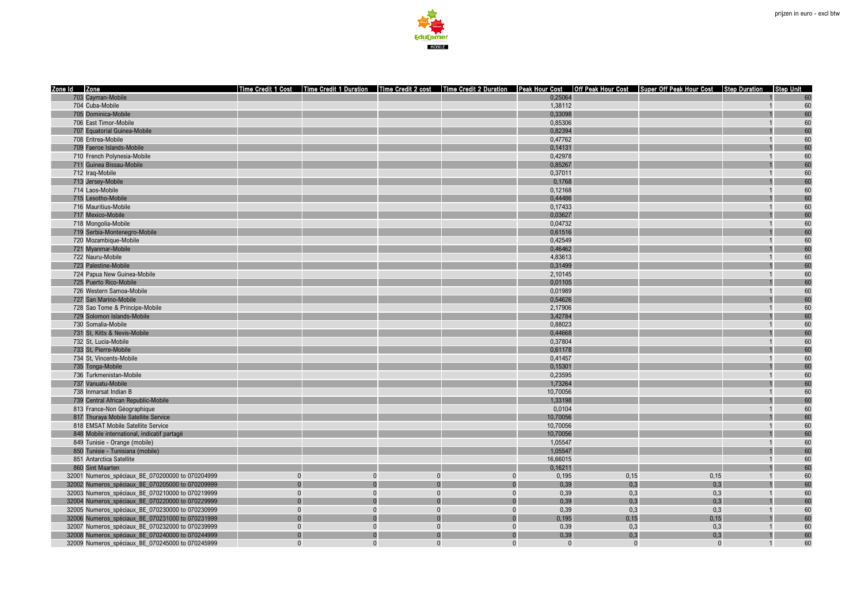

| Zone Id Zone                                     |              |          |          |          |          |          | Time Credit 1 Cost   Time Credit 1 Duration   Time Credit 2 cost   Time Credit 2 Duration   Peak Hour Cost   Off Peak Hour Cost   Super Off Peak Hour Cost   Step Duration   Step Unit |                |    |
|--------------------------------------------------|--------------|----------|----------|----------|----------|----------|----------------------------------------------------------------------------------------------------------------------------------------------------------------------------------------|----------------|----|
| 703 Cayman-Mobile                                |              |          |          |          | 0.25064  |          |                                                                                                                                                                                        |                | 60 |
| 704 Cuba-Mobile                                  |              |          |          |          | 1,38112  |          |                                                                                                                                                                                        |                | 60 |
| 705 Dominica-Mobile                              |              |          |          |          | 0,33098  |          |                                                                                                                                                                                        |                | 60 |
| 706 East Timor-Mobile                            |              |          |          |          | 0,85306  |          |                                                                                                                                                                                        |                | 60 |
| 707 Equatorial Guinea-Mobile                     |              |          |          |          | 0,82394  |          |                                                                                                                                                                                        |                | 60 |
| 708 Eritrea-Mobile                               |              |          |          |          | 0,47762  |          |                                                                                                                                                                                        |                | 60 |
| 709 Faeroe Islands-Mobile                        |              |          |          |          | 0,14131  |          |                                                                                                                                                                                        |                | 60 |
| 710 French Polynesia-Mobile                      |              |          |          |          | 0,42978  |          |                                                                                                                                                                                        |                | 60 |
| 711 Guinea Bissau-Mobile                         |              |          |          |          | 0,85267  |          |                                                                                                                                                                                        |                | 60 |
| 712 Iraq-Mobile                                  |              |          |          |          | 0.37011  |          |                                                                                                                                                                                        |                | 60 |
| 713 Jersey-Mobile                                |              |          |          |          | 0,1768   |          |                                                                                                                                                                                        |                | 60 |
| 714 Laos-Mobile                                  |              |          |          |          | 0,12168  |          |                                                                                                                                                                                        |                | 60 |
| 715 Lesotho-Mobile                               |              |          |          |          | 0,44486  |          |                                                                                                                                                                                        |                | 60 |
| 716 Mauritius-Mobile                             |              |          |          |          | 0,17433  |          |                                                                                                                                                                                        |                | 60 |
| 717 Mexico-Mobile                                |              |          |          |          | 0,03627  |          |                                                                                                                                                                                        |                | 60 |
| 718 Mongolia-Mobile                              |              |          |          |          | 0,04732  |          |                                                                                                                                                                                        |                | 60 |
| 719 Serbia-Montenegro-Mobile                     |              |          |          |          | 0,61516  |          |                                                                                                                                                                                        |                | 60 |
| 720 Mozambique-Mobile                            |              |          |          |          | 0,42549  |          |                                                                                                                                                                                        |                | 60 |
| 721 Myanmar-Mobile                               |              |          |          |          | 0,46462  |          |                                                                                                                                                                                        |                | 60 |
| 722 Nauru-Mobile                                 |              |          |          |          | 4,83613  |          |                                                                                                                                                                                        |                | 60 |
| 723 Palestine-Mobile                             |              |          |          |          | 0,31499  |          |                                                                                                                                                                                        |                | 60 |
| 724 Papua New Guinea-Mobile                      |              |          |          |          | 2.10145  |          |                                                                                                                                                                                        |                | 60 |
| 725 Puerto Rico-Mobile                           |              |          |          |          | 0,01105  |          |                                                                                                                                                                                        |                | 60 |
| 726 Western Samoa-Mobile                         |              |          |          |          | 0,01989  |          |                                                                                                                                                                                        |                | 60 |
| 727 San Marino-Mobile                            |              |          |          |          | 0,54626  |          |                                                                                                                                                                                        |                | 60 |
| 728 Sao Tome & Principe-Mobile                   |              |          |          |          | 2,17906  |          |                                                                                                                                                                                        |                | 60 |
| 729 Solomon Islands-Mobile                       |              |          |          |          | 3,42784  |          |                                                                                                                                                                                        |                | 60 |
| 730 Somalia-Mobile                               |              |          |          |          | 0,88023  |          |                                                                                                                                                                                        |                | 60 |
| 731 St, Kitts & Nevis-Mobile                     |              |          |          |          | 0,44668  |          |                                                                                                                                                                                        |                | 60 |
| 732 St. Lucia-Mobile                             |              |          |          |          | 0,37804  |          |                                                                                                                                                                                        |                | 60 |
| 733 St, Pierre-Mobile                            |              |          |          |          | 0,61178  |          |                                                                                                                                                                                        |                | 60 |
| 734 St, Vincents-Mobile                          |              |          |          |          | 0,41457  |          |                                                                                                                                                                                        |                | 60 |
| 735 Tonga-Mobile                                 |              |          |          |          | 0,15301  |          |                                                                                                                                                                                        |                | 60 |
| 736 Turkmenistan-Mobile                          |              |          |          |          | 0.23595  |          |                                                                                                                                                                                        |                | 60 |
| 737 Vanuatu-Mobile                               |              |          |          |          | 1,73264  |          |                                                                                                                                                                                        |                | 60 |
| 738 Inmarsat Indian B                            |              |          |          |          | 10,70056 |          |                                                                                                                                                                                        |                | 60 |
| 739 Central African Republic-Mobile              |              |          |          |          | 1,33198  |          |                                                                                                                                                                                        |                | 60 |
| 813 France-Non Géographique                      |              |          |          |          | 0,0104   |          |                                                                                                                                                                                        |                | 60 |
| 817 Thuraya Mobile Satellite Service             |              |          |          |          | 10,70056 |          |                                                                                                                                                                                        |                | 60 |
| 818 EMSAT Mobile Satellite Service               |              |          |          |          | 10,70056 |          |                                                                                                                                                                                        |                | 60 |
| 848 Mobile international, indicatif partagé      |              |          |          |          | 10,70056 |          |                                                                                                                                                                                        |                | 60 |
| 849 Tunisie - Orange (mobile)                    |              |          |          |          | 1.05547  |          |                                                                                                                                                                                        |                | 60 |
| 850 Tunisie - Tunisiana (mobile)                 |              |          |          |          | 1,05547  |          |                                                                                                                                                                                        |                | 60 |
| 851 Antarctica Satellite                         |              |          |          |          | 16,66015 |          |                                                                                                                                                                                        |                | 60 |
| 860 Sint Maarten                                 |              |          |          |          | 0.16211  |          |                                                                                                                                                                                        |                | 60 |
| 32001 Numeros spéciaux BE 070200000 to 070204999 | $\Omega$     |          | $\Omega$ | $\Omega$ | 0,195    | 0,15     | 0,15                                                                                                                                                                                   |                | 60 |
| 32002 Numeros_spéciaux_BE_070205000 to 070209999 |              |          |          |          | 0,39     | 0,3      | 0,3                                                                                                                                                                                    |                | 60 |
| 32003 Numeros_spéciaux_BE_070210000 to 070219999 | $\mathbf{0}$ | $\Omega$ | $\Omega$ | $\Omega$ | 0,39     | 0,3      | 0,3                                                                                                                                                                                    | $\overline{1}$ | 60 |
| 32004 Numeros spéciaux BE 070220000 to 070229999 | $\Omega$     |          |          |          | 0,39     | 0,3      | 0,3                                                                                                                                                                                    |                | 60 |
| 32005 Numeros spéciaux BE 070230000 to 070230999 | $\Omega$     | $\Omega$ | $\Omega$ | $\Omega$ | 0,39     | 0,3      | 0,3                                                                                                                                                                                    | $\overline{1}$ | 60 |
| 32006 Numeros_spéciaux_BE_070231000 to 070231999 |              |          |          |          | 0,195    | 0,15     | 0,15                                                                                                                                                                                   |                | 60 |
| 32007 Numeros_spéciaux_BE_070232000 to 070239999 | $\mathbf{0}$ | $\Omega$ | $\Omega$ | $\Omega$ | 0,39     | 0,3      | 0,3                                                                                                                                                                                    | $\overline{1}$ | 60 |
| 32008 Numeros_spéciaux_BE_070240000 to 070244999 | $\Omega$     |          |          |          | 0,39     | 0,3      | 0,3                                                                                                                                                                                    |                | 60 |
| 32009 Numeros spéciaux BE 070245000 to 070245999 | $\Omega$     | $\Omega$ | $\Omega$ | $\Omega$ | $\Omega$ | $\Omega$ | $\Omega$                                                                                                                                                                               | $\overline{1}$ | 60 |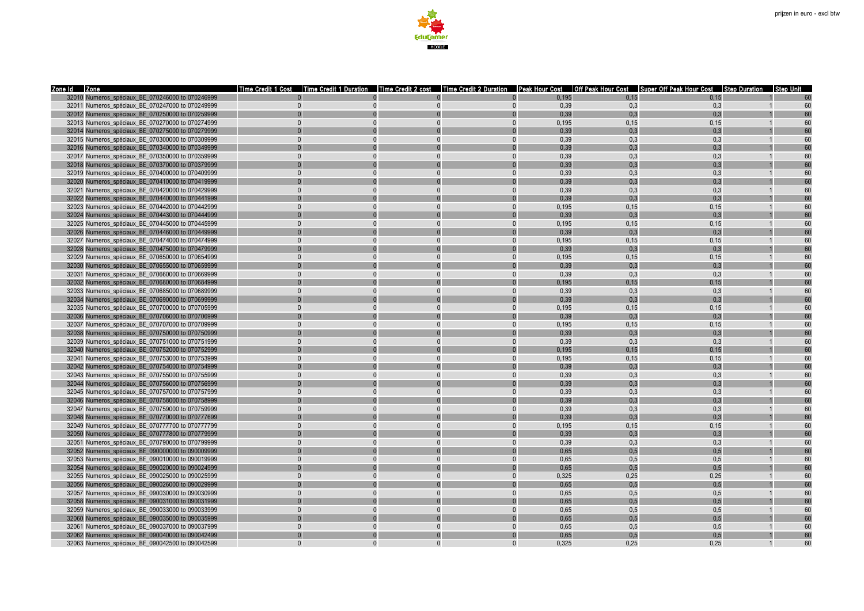

| Zone Id Zone                                     | Time Credit 1 Duration   Time Credit 2 cost   Time Credit 2 Duration<br>l Time Credit 1 Cost |                      |              |               |              | <b>Peak Hour Cost Off Peak Hour Cost</b> Super Off Peak Hour Cost Step Duration | l Step Unit    |          |
|--------------------------------------------------|----------------------------------------------------------------------------------------------|----------------------|--------------|---------------|--------------|---------------------------------------------------------------------------------|----------------|----------|
| 32010 Numeros spéciaux BE 070246000 to 070246999 |                                                                                              |                      |              | 0.195         | 0.15         | 0.15                                                                            |                |          |
| 32011 Numeros_spéciaux_BE_070247000 to 070249999 | $\overline{0}$                                                                               | $\Omega$<br>$\Omega$ | $\Omega$     | 0,39          | 0,3          | 0,3                                                                             | $\overline{1}$ | 60       |
| 32012 Numeros spéciaux BE 070250000 to 070259999 |                                                                                              |                      | $\Omega$     | 0,39          | 0,3          | 0.3                                                                             |                | 60       |
| 32013 Numeros spéciaux BE 070270000 to 070274999 | $\Omega$                                                                                     | $\Omega$             | $\Omega$     | 0.195         | 0.15         | 0.15                                                                            |                | 60       |
| 32014 Numeros_spéciaux_BE_070275000 to 070279999 |                                                                                              |                      |              | 0,39          | 0,3          | 0.3                                                                             |                | 60       |
| 32015 Numeros spéciaux BE 070300000 to 070309999 | $\Omega$                                                                                     | $\Omega$<br>$\Omega$ | $\Omega$     | 0,39          | 0,3          | 0.3                                                                             |                | 60       |
| 32016 Numeros_spéciaux_BE_070340000 to 070349999 |                                                                                              |                      |              | 0,39          | 0,3          | 0.3                                                                             |                | 60       |
| 32017 Numeros spéciaux BE 070350000 to 070359999 | $\Omega$                                                                                     | $\Omega$<br>$\Omega$ | $\Omega$     | 0,39          | 0,3          | 0,3                                                                             |                | 60       |
| 32018 Numeros spéciaux BE 070370000 to 070379999 |                                                                                              |                      |              | 0.39          | 0.3          | 0.3                                                                             |                | 60       |
| 32019 Numeros_spéciaux_BE_070400000 to 070409999 | $\Omega$                                                                                     | $\Omega$<br>$\Omega$ | $\Omega$     | 0,39          | 0,3          | 0,3                                                                             |                | 60       |
| 32020 Numeros spéciaux BE 070410000 to 070419999 |                                                                                              |                      |              | 0,39          | 0,3          | 0.3                                                                             |                | 60       |
| 32021 Numeros spéciaux BE 070420000 to 070429999 |                                                                                              |                      |              | 0,39          | 0.3          | 0.3                                                                             |                | 60       |
| 32022 Numeros_spéciaux_BE_070440000 to 070441999 |                                                                                              |                      |              | 0,39          | 0,3          | 0.3                                                                             |                | 60       |
| 32023 Numeros spéciaux BE 070442000 to 070442999 | $\Omega$                                                                                     | $\Omega$             | $\Omega$     | 0.195         | 0.15         | 0.15                                                                            |                | 60       |
| 32024 Numeros_spéciaux_BE_070443000 to 070444999 |                                                                                              |                      |              | 0.39          | 0,3          | 0.3                                                                             |                | 60       |
| 32025 Numeros spéciaux BE 070445000 to 070445999 | $\Omega$                                                                                     | $\Omega$<br>$\Omega$ | $\Omega$     | 0,195         | 0, 15        | 0.15                                                                            |                | 60       |
| 32026 Numeros spéciaux BE 070446000 to 070449999 |                                                                                              |                      |              | 0,39          | 0.3          | 0.3                                                                             |                | 60       |
| 32027 Numeros_spéciaux_BE_070474000 to 070474999 | $\Omega$                                                                                     | $\Omega$<br>$\Omega$ | $\Omega$     | 0,195         | 0, 15        | 0, 15                                                                           |                | 60       |
| 32028 Numeros spéciaux BE 070475000 to 070479999 |                                                                                              |                      |              | 0,39          | 0,3          | 0,3                                                                             |                |          |
| 32029 Numeros spéciaux BE 070650000 to 070654999 |                                                                                              |                      | $\Omega$     | 0.195         | 0.15         | 0, 15                                                                           |                | 60       |
| 32030 Numeros_spéciaux_BE_070655000 to 070659999 |                                                                                              |                      |              | 0,39          | 0.3          | 0.3                                                                             |                | 60       |
| 32031 Numeros spéciaux BE 070660000 to 070669999 | $\Omega$                                                                                     | $\Omega$<br>$\Omega$ | $\Omega$     | 0.39          | 0.3          | 0.3                                                                             |                | 60       |
| 32032 Numeros_spéciaux_BE_070680000 to 070684999 |                                                                                              |                      |              | 0,195         | 0,15         | 0,15                                                                            |                | 60       |
| 32033 Numeros spéciaux BE 070685000 to 070689999 | $\Omega$                                                                                     | $\Omega$<br>$\Omega$ | $\Omega$     | 0,39          | 0,3          | 0,3                                                                             |                | 60       |
| 32034 Numeros spéciaux BE 070690000 to 070699999 |                                                                                              |                      |              | 0.39          | 0.3          | 0.3                                                                             |                | 60       |
| 32035 Numeros spéciaux BE 070700000 to 070705999 | $\Omega$                                                                                     | $\Omega$<br>$\Omega$ | $\Omega$     | 0,195         | 0,15         | 0, 15                                                                           |                | 60       |
| 32036 Numeros spéciaux BE 070706000 to 070706999 |                                                                                              |                      |              | 0,39          | 0.3          | 0.3                                                                             |                | 60       |
| 32037 Numeros spéciaux BE 070707000 to 070709999 | $\Omega$                                                                                     | $\Omega$<br>$\Omega$ | $\Omega$     | 0.195         | 0.15         | 0.15                                                                            |                | 60       |
| 32038 Numeros_spéciaux_BE_070750000 to 070750999 |                                                                                              |                      |              | 0,39          | 0,3          | 0,3                                                                             |                | 60       |
| 32039 Numeros spéciaux BE 070751000 to 070751999 | $\Omega$                                                                                     | $\Omega$<br>$\Omega$ | $\Omega$     | 0.39          | 0.3          | 0.3                                                                             |                | 60       |
|                                                  |                                                                                              | $\Omega$             |              | 0,195         | 0, 15        | 0, 15                                                                           |                | 60       |
| 32040 Numeros_spéciaux_BE_070752000 to 070752999 | $\Omega$                                                                                     | $\Omega$<br>$\Omega$ | $\Omega$     |               |              |                                                                                 |                | 60       |
| 32041 Numeros spéciaux BE 070753000 to 070753999 |                                                                                              |                      |              | 0,195<br>0,39 | 0, 15<br>0.3 | 0, 15<br>0.3                                                                    |                | 60       |
| 32042 Numeros spéciaux BE 070754000 to 070754999 |                                                                                              |                      |              |               |              |                                                                                 |                |          |
| 32043 Numeros spéciaux BE 070755000 to 070755999 | $\Omega$                                                                                     | $\Omega$<br>$\Omega$ | $\Omega$     | 0,39<br>0,39  | 0,3          | 0,3                                                                             | $\mathbf 1$    | 60<br>60 |
| 32044 Numeros spéciaux BE 070756000 to 070756999 | $\Omega$                                                                                     | $\Omega$             | $\Omega$     |               | 0,3<br>0.3   | 0,3<br>0.3                                                                      |                | 60       |
| 32045 Numeros_spéciaux_BE_070757000 to 070757999 |                                                                                              |                      |              | 0,39          |              |                                                                                 |                |          |
| 32046 Numeros_spéciaux_BE_070758000 to 070758999 |                                                                                              |                      |              | 0,39          | 0,3          | 0,3                                                                             |                | 60       |
| 32047 Numeros spéciaux BE 070759000 to 070759999 | $\Omega$                                                                                     | $\Omega$             | $\Omega$     | 0,39          | 0,3          | 0.3                                                                             |                | 60       |
| 32048 Numeros_spéciaux_BE_070770000 to 070777699 |                                                                                              |                      |              | 0,39          | 0,3          | 0.3                                                                             |                | 60       |
| 32049 Numeros spéciaux BE 070777700 to 070777799 | $\Omega$                                                                                     | $\Omega$<br>$\Omega$ | $\Omega$     | 0,195         | 0, 15        | 0, 15                                                                           |                | 60       |
| 32050 Numeros spéciaux BE 070777800 to 070779999 |                                                                                              |                      |              | 0.39          | 0.3          | 0.3                                                                             |                | 60       |
| 32051 Numeros_spéciaux_BE_070790000 to 070799999 | $\Omega$                                                                                     | $\Omega$<br>$\Omega$ | $\Omega$     | 0,39          | 0,3          | 0.3                                                                             |                | 60       |
| 32052 Numeros spéciaux BE 090000000 to 090009999 |                                                                                              |                      |              | 0,65          | 0.5          | 0.5                                                                             |                | 60       |
| 32053 Numeros_spéciaux_BE_090010000 to 090019999 | $\Omega$                                                                                     |                      |              | 0,65          | 0,5          | 0.5                                                                             |                | 60       |
| 32054 Numeros_spéciaux_BE_090020000 to 090024999 |                                                                                              |                      |              | 0,65          | 0,5          | 0,5                                                                             |                | 60       |
| 32055 Numeros spéciaux BE 090025000 to 090025999 | $\Omega$                                                                                     | $\Omega$<br>$\Omega$ | $\Omega$     | 0.325         | 0.25         | 0,25                                                                            |                | 60       |
| 32056 Numeros_spéciaux_BE_090026000 to 090029999 |                                                                                              |                      |              | 0,65          | 0,5          | 0.5                                                                             |                | 60       |
| 32057 Numeros spéciaux BE 090030000 to 090030999 | $\Omega$                                                                                     | $\Omega$<br>$\Omega$ | $\Omega$     | 0,65          | 0,5          | 0.5                                                                             |                | 60       |
| 32058 Numeros spéciaux BE 090031000 to 090031999 |                                                                                              |                      |              | 0,65          | 0.5          | 0.5                                                                             |                | 60       |
| 32059 Numeros_spéciaux_BE_090033000 to 090033999 | $\Omega$                                                                                     | $\Omega$<br>$\Omega$ | $\Omega$     | 0,65          | 0,5          | 0,5                                                                             |                | 60       |
| 32060 Numeros spéciaux BE 090035000 to 090035999 |                                                                                              |                      |              | 0,65          | 0,5          | 0.5                                                                             |                | 60       |
| 32061 Numeros_spéciaux_BE_090037000 to 090037999 | $\Omega$                                                                                     | $\Omega$<br>$\Omega$ | $\mathbf{0}$ | 0,65          | 0,5          | 0,5                                                                             |                | 60       |
| 32062 Numeros spéciaux BE 090040000 to 090042499 |                                                                                              |                      | $\Omega$     | 0,65          | 0,5          | 0.5                                                                             |                | 60       |
| 32063 Numeros_spéciaux_BE_090042500 to 090042599 |                                                                                              | $\Omega$             | $\Omega$     | 0.325         | 0.25         | 0.25                                                                            |                | 60       |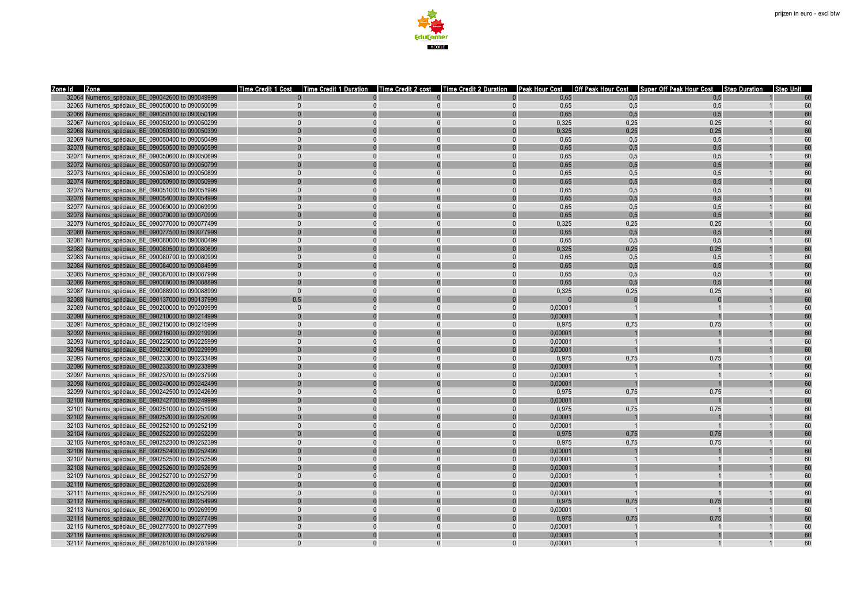

| Zone Id Zone                                                                                         | l Time Credit 1 Cost<br>Time Credit 1 Duration |                      |          |                    |      | Time Credit 2 cost   Time Credit 2 Duration   Peak Hour Cost   Off Peak Hour Cost   Super Off Peak Hour Cost   Step Duration | <b>Step Unit</b> |
|------------------------------------------------------------------------------------------------------|------------------------------------------------|----------------------|----------|--------------------|------|------------------------------------------------------------------------------------------------------------------------------|------------------|
| 32064 Numeros spéciaux BE 090042600 to 090049999                                                     |                                                |                      |          | 0.65               | 0.5  | 0.5                                                                                                                          |                  |
| 32065 Numeros_spéciaux_BE_090050000 to 090050099                                                     | $\Omega$                                       | $\Omega$             | $\Omega$ | 0,65               | 0,5  | 0,5                                                                                                                          | 60               |
| 32066 Numeros spéciaux BE 090050100 to 090050199                                                     |                                                |                      | $\Omega$ | 0,65               | 0.5  | 0.5                                                                                                                          | 60               |
| 32067 Numeros spéciaux BE 090050200 to 090050299                                                     | $\Omega$                                       |                      | $\Omega$ | 0.325              | 0.25 | 0.25                                                                                                                         | 60               |
| 32068 Numeros spéciaux BE 090050300 to 090050399                                                     |                                                |                      |          | 0,325              | 0.25 | 0.25                                                                                                                         | 60               |
| 32069 Numeros spéciaux BE 090050400 to 090050499                                                     | $\Omega$                                       |                      | $\Omega$ | 0,65               | 0.5  | 0.5                                                                                                                          | 60               |
| 32070 Numeros spéciaux BE 090050500 to 090050599                                                     |                                                |                      |          | 0,65               | 0.5  | 0.5                                                                                                                          | 60               |
| 32071 Numeros spéciaux BE 090050600 to 090050699                                                     | $\Omega$                                       | $\Omega$             | $\Omega$ | 0,65               | 0.5  | 0.5                                                                                                                          | 60               |
| 32072 Numeros spéciaux BE 090050700 to 090050799                                                     |                                                |                      | $\Omega$ | 0.65               | 0.5  | 0.5                                                                                                                          | 60               |
| 32073 Numeros_spéciaux_BE_090050800 to 090050899                                                     | $\Omega$                                       | $\Omega$<br>$\Omega$ | $\Omega$ | 0,65               | 0,5  | 0,5                                                                                                                          | 60               |
| 32074 Numeros spéciaux BE 090050900 to 090050999                                                     |                                                |                      |          | 0,65               | 0,5  | 0.5                                                                                                                          | 60               |
| 32075 Numeros spéciaux BE 090051000 to 090051999                                                     |                                                |                      |          | 0,65               | 0.5  | 0.5                                                                                                                          | 60               |
| 32076 Numeros_spéciaux_BE_090054000 to 090054999                                                     |                                                |                      |          | 0,65               | 0,5  | 0,5                                                                                                                          | 60               |
| 32077 Numeros spéciaux BE 090069000 to 090069999                                                     |                                                |                      | $\Omega$ | 0,65               | 0.5  | 0.5                                                                                                                          | 60               |
| 32078 Numeros spéciaux BE 090070000 to 090070999                                                     |                                                |                      |          | 0.65               | 0.5  | 0.5                                                                                                                          | 60               |
| 32079 Numeros spéciaux BE 090077000 to 090077499                                                     | $\Omega$                                       | $\Omega$<br>$\Omega$ | $\Omega$ | 0,325              | 0.25 | 0,25                                                                                                                         | 60               |
| 32080 Numeros spéciaux BE 090077500 to 090077999                                                     |                                                |                      |          | 0,65               | 0.5  | 0.5                                                                                                                          | 60               |
| 32081 Numeros spéciaux BE 090080000 to 090080499                                                     | $\Omega$                                       |                      | $\Omega$ | 0,65               | 0,5  | 0.5                                                                                                                          | 60               |
| 32082 Numeros_spéciaux_BE_090080500 to 090080699                                                     |                                                |                      |          | 0,325              | 0,25 | 0,25                                                                                                                         | 60               |
| 32083 Numeros spéciaux BE 090080700 to 090080999                                                     | $\Omega$                                       |                      | $\Omega$ | 0,65               | 0,5  | 0,5                                                                                                                          | 60               |
| 32084 Numeros spéciaux BE 090084000 to 090084999                                                     |                                                |                      |          | 0.65               | 0.5  | 0.5                                                                                                                          | 60               |
| 32085 Numeros_spéciaux_BE_090087000 to 090087999                                                     |                                                |                      | $\Omega$ | 0,65               | 0.5  | 0.5                                                                                                                          | 60               |
| 32086 Numeros spéciaux BE 090088000 to 090088899                                                     |                                                |                      |          | 0,65               | 0.5  | 0.5                                                                                                                          | 60               |
| 32087 Numeros spéciaux BE 090088900 to 090088999                                                     | $\Omega$                                       |                      | $\Omega$ | 0,325              | 0,25 | 0,25                                                                                                                         | 60               |
| 32088 Numeros_spéciaux_BE_090137000 to 090137999                                                     | 0,5                                            |                      |          |                    |      |                                                                                                                              | 60               |
| 32089 Numeros spéciaux BE 090200000 to 090209999                                                     | $\Omega$                                       | $\Omega$             | $\Omega$ | 0.00001            |      |                                                                                                                              | 60               |
| 32090 Numeros_spéciaux_BE_090210000 to 090214999                                                     |                                                |                      |          | 0,00001            |      |                                                                                                                              | 60               |
| 32091 Numeros_spéciaux_BE_090215000 to 090215999                                                     | $\Omega$                                       | $\Omega$             | $\Omega$ | 0,975              | 0,75 | 0,75                                                                                                                         | 60               |
| 32092 Numeros spéciaux BE 090216000 to 090219999                                                     |                                                |                      | $\Omega$ | 0,00001            |      |                                                                                                                              | 6ſ               |
| 32093 Numeros spéciaux BE 090225000 to 090225999                                                     | $\Omega$                                       |                      | $\Omega$ | 0.00001            |      |                                                                                                                              | 60               |
| 32094 Numeros spéciaux BE 090229000 to 090229999                                                     |                                                |                      |          | 0.00001            |      |                                                                                                                              | 60               |
| 32095 Numeros spéciaux BE 090233000 to 090233499                                                     | $\Omega$                                       |                      | $\Omega$ | 0.975              | 0.75 | 0.75                                                                                                                         | 60               |
| 32096 Numeros spéciaux BE 090233500 to 090233999                                                     |                                                |                      |          | 0.00001            |      |                                                                                                                              | 60               |
| 32097 Numeros spéciaux BE 090237000 to 090237999                                                     | $\Omega$                                       | $\Omega$             | $\Omega$ | 0.00001            |      | $\overline{1}$                                                                                                               | 60               |
| 32098 Numeros spéciaux BE 090240000 to 090242499                                                     |                                                |                      |          | 0.00001            |      |                                                                                                                              | 60               |
| 32099 Numeros_spéciaux_BE_090242500 to 090242699                                                     | $\Omega$                                       |                      | $\Omega$ | 0,975              | 0,75 | 0.75                                                                                                                         | 60               |
| 32100 Numeros spéciaux BE 090242700 to 090249999                                                     |                                                |                      |          | 0,00001            |      |                                                                                                                              | 60               |
| 32101 Numeros_spéciaux_BE_090251000 to 090251999                                                     |                                                |                      | $\Omega$ | 0,975              | 0,75 | 0,75                                                                                                                         | 60               |
| 32102 Numeros spéciaux BE 090252000 to 090252099                                                     |                                                |                      |          | 0.00001            |      |                                                                                                                              | 60               |
| 32103 Numeros spéciaux BE 090252100 to 090252199                                                     | $\Omega$                                       |                      | $\Omega$ | 0.00001            |      | $\overline{1}$                                                                                                               | 60               |
| 32104 Numeros_spéciaux_BE_090252200 to 090252299                                                     |                                                |                      |          | 0,975              | 0,75 | 0,75                                                                                                                         | 60               |
| 32105 Numeros spéciaux BE 090252300 to 090252399                                                     | $\Omega$                                       | $\Omega$<br>$\Omega$ | $\Omega$ | 0,975              | 0,75 | 0,75                                                                                                                         | 60               |
| 32106 Numeros_spéciaux_BE_090252400 to 090252499                                                     | $\Omega$                                       |                      | $\Omega$ | 0.00001<br>0,00001 |      |                                                                                                                              | 60<br>60         |
| 32107 Numeros_spéciaux_BE_090252500 to 090252599                                                     |                                                |                      |          |                    |      |                                                                                                                              |                  |
| 32108 Numeros spéciaux BE 090252600 to 090252699                                                     | $\Omega$                                       |                      | $\Omega$ | 0,00001            |      |                                                                                                                              | 60               |
| 32109 Numeros spéciaux BE 090252700 to 090252799                                                     |                                                |                      |          | 0.00001<br>0.00001 |      |                                                                                                                              | 60               |
| 32110 Numeros_spéciaux_BE_090252800 to 090252899<br>32111 Numeros spéciaux BE 090252900 to 090252999 | $\Omega$                                       | $\Omega$<br>$\Omega$ | $\Omega$ | 0.00001            |      | $\overline{1}$                                                                                                               | 60               |
| 32112 Numeros_spéciaux_BE_090254000 to 090254999                                                     |                                                |                      |          | 0,975              | 0,75 | 0,75                                                                                                                         | 60               |
| 32113 Numeros spéciaux BE 090269000 to 090269999                                                     | $\Omega$                                       | $\Omega$             | $\Omega$ | 0,00001            |      | $\overline{1}$                                                                                                               | 60               |
| 32114 Numeros spéciaux BE 090277000 to 090277499                                                     |                                                |                      |          | 0.975              | 0,75 | 0.75                                                                                                                         | 60               |
| 32115 Numeros spéciaux BE 090277500 to 090277999                                                     | $\Omega$                                       | $\Omega$             | $\Omega$ | 0,00001            |      |                                                                                                                              | 60               |
| 32116 Numeros spéciaux BE 090282000 to 090282999                                                     |                                                |                      |          | 0,00001            |      |                                                                                                                              | 60               |
| 32117 Numeros spéciaux BE 090281000 to 090281999                                                     | $\Omega$                                       |                      | $\Omega$ | 0.00001            |      |                                                                                                                              | 60               |
|                                                                                                      |                                                |                      |          |                    |      |                                                                                                                              |                  |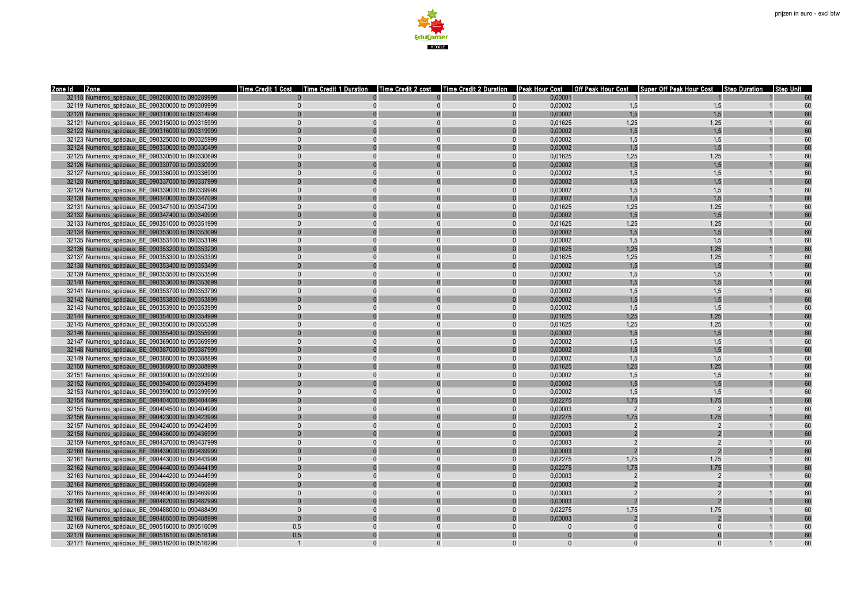

| 32118 Numeros spéciaux BE 090288000 to 090289999<br>0.00001<br>32119 Numeros_spéciaux_BE_090300000 to 090309999<br>0,00002<br>1,5<br>1,5<br>60<br>$\mathbf{0}$<br>$\Omega$<br>$\Omega$<br>$\Omega$<br>0,00002<br>1.5<br>1,5<br>32120 Numeros spéciaux BE 090310000 to 090314999<br>60<br>$\Omega$<br>0.01625<br>1.25<br>1.25<br>60<br>32121 Numeros spéciaux BE 090315000 to 090315999<br>$\Omega$<br>$\Omega$<br>$\Omega$<br>$\Omega$<br>60<br>0,00002<br>1,5<br>32122 Numeros_spéciaux_BE_090316000 to 090319999<br>1,5<br>0,00002<br>32123 Numeros spéciaux BE 090325000 to 090325999<br>1,5<br>1,5<br>60<br>$\Omega$<br>$\Omega$<br>$\Omega$<br>$\Omega$<br>1.5<br>32124 Numeros spéciaux BE 090330000 to 090330499<br>0.00002<br>1.5<br>60<br>32125 Numeros spéciaux BE 090330500 to 090330699<br>0,01625<br>1,25<br>1,25<br>$\Omega$<br>$\Omega$<br>$\Omega$<br>$\Omega$<br>32126 Numeros spéciaux BE 090330700 to 090330999<br>0,00002<br>1.5<br>1,5<br>60<br>1.5<br>1.5<br>60<br>32127 Numeros_spéciaux_BE_090336000 to 090336999<br>0.00002<br>$\Omega$<br>$\Omega$<br>32128 Numeros_spéciaux_BE_090337000 to 090337999<br>0,00002<br>1,5<br>1,5<br>60<br>32129 Numeros_spéciaux_BE_090339000 to 090339999<br>0,00002<br>1,5<br>1,5<br>60<br>32130 Numeros_spéciaux_BE_090340000 to 090347099<br>0,00002<br>1,5<br>1,5<br>60<br>60<br>32131 Numeros spéciaux BE 090347100 to 090347399<br>0,01625<br>1.25<br>1,25<br>$\Omega$<br>$\Omega$<br>$\Omega$<br>$\Omega$<br>0.00002<br>1.5<br>1.5<br>60<br>32132 Numeros spéciaux BE 090347400 to 090349999<br>32133 Numeros_spéciaux_BE_090351000 to 090351999<br>0,01625<br>1,25<br>1,25<br>60<br>$\Omega$<br>$\Omega$<br>$\Omega$<br>$\Omega$<br>0.00002<br>1.5<br>1.5<br>60<br>32134 Numeros spéciaux BE 090353000 to 090353099<br>0,00002<br>60<br>32135 Numeros spéciaux BE 090353100 to 090353199<br>1,5<br>1,5<br>32136 Numeros_spéciaux_BE_090353200 to 090353299<br>0,01625<br>1,25<br>1,25<br>60<br>0,01625<br>1.25<br>1.25<br>60<br>32137 Numeros spéciaux BE 090353300 to 090353399<br>$\Omega$<br>0.00002<br>1.5<br>60<br>32138 Numeros spéciaux BE 090353400 to 090353499<br>1.5<br>32139 Numeros spéciaux BE 090353500 to 090353599<br>$\Omega$<br>0,00002<br>1,5<br>1,5<br>60<br>$\Omega$<br>$\Omega$<br>0,00002<br>1.5<br>1.5<br>60<br>32140 Numeros spéciaux BE 090353600 to 090353699<br>32141 Numeros_spéciaux_BE_090353700 to 090353799<br>0,00002<br>60<br>1,5<br>1,5<br>$\Omega$<br>$\Omega$<br>$\Omega$<br>32142 Numeros spéciaux BE 090353800 to 090353899<br>0,00002<br>1,5<br>1,5<br>60<br>32143 Numeros_spéciaux_BE_090353900 to 090353999<br>0,00002<br>1.5<br>1,5<br>60<br>$\Omega$<br>0,01625<br>1,25<br>1,25<br>32144 Numeros_spéciaux_BE_090354000 to 090354999<br>60<br>1,25<br>1,25<br>60<br>32145 Numeros_spéciaux_BE_090355000 to 090355399<br>0,01625<br>$\Omega$<br>$\Omega$<br>$\Omega$<br>32146 Numeros spéciaux BE 090355400 to 090355999<br>0,00002<br>1.5<br>1.5<br>60<br>32147 Numeros spéciaux BE 090369000 to 090369999<br>0,00002<br>1,5<br>1,5<br>60<br>$\Omega$<br>$\Omega$<br>$\Omega$<br>60<br>32148 Numeros spéciaux BE 090387000 to 090387999<br>0,00002<br>1,5<br>1,5<br>32149 Numeros spéciaux BE 090388000 to 090388899<br>0,00002<br>60<br>1.5<br>1,5<br>$\Omega$<br>$\Omega$<br>1.25<br>1.25<br>32150 Numeros spéciaux BE 090388900 to 090388999<br>0,01625<br>60<br>60<br>32151 Numeros spéciaux BE 090390000 to 090393999<br>0,00002<br>1.5<br>1,5<br>$\Omega$<br>$\Omega$<br>$\Omega$<br>$\Omega$<br>0,00002<br>32152 Numeros spéciaux BE 090394000 to 090394999<br>1.5<br>1,5<br>60<br>32153 Numeros spéciaux BE 090399000 to 090399999<br>0,00002<br>1,5<br>1,5<br>60<br>$\Omega$<br>60<br>32154 Numeros spéciaux BE 090404000 to 090404499<br>0,02275<br>1,75<br>1.75<br>32155 Numeros spéciaux BE 090404500 to 090404999<br>0,00003<br>60<br>$\Omega$<br>$\mathcal{D}$<br>$\overline{2}$<br>1.75<br>1.75<br>32156 Numeros spéciaux BE 090423000 to 090423999<br>0,02275<br>60<br>60<br>32157 Numeros spéciaux BE 090424000 to 090424999<br>$\Omega$<br>0,00003<br>$\overline{2}$<br>$\Omega$<br>$\Omega$<br>$\Omega$<br>$\overline{2}$<br>32158 Numeros spéciaux BE 090436000 to 090436999<br>0,00003<br>60<br>32159 Numeros spéciaux BE 090437000 to 090437999<br>0,00003<br>$\overline{2}$<br>60<br>$\Omega$<br>$\Omega$<br>$\Omega$<br>$\Omega$<br>$\overline{2}$<br>32160 Numeros spéciaux BE 090439000 to 090439999<br>0.00003<br>$\overline{2}$<br>60<br>32161 Numeros_spéciaux_BE_090443000 to 090443999<br>0,02275<br>1,75<br>1,75<br>60<br>32162 Numeros_spéciaux_BE_090444000 to 090444199<br>0,02275<br>1,75<br>1,75<br>60<br>0.00003<br>2<br>60<br>32163 Numeros spéciaux BE 090444200 to 090444999<br>$\overline{2}$<br>$\Omega$<br>$\Omega$<br>$\Omega$<br>60<br>32164 Numeros_spéciaux_BE_090456000 to 090456999<br>0,00003<br>32165 Numeros spéciaux BE 090469000 to 090469999<br>$\Omega$<br>0,00003<br>$\overline{2}$<br>$\mathfrak{p}$<br>60<br>$\Omega$<br>$\Omega$<br>$\Omega$<br>32166 Numeros_spéciaux_BE_090482000 to 090482999<br>0.00003<br>$\overline{2}$<br>60<br>32167 Numeros spéciaux BE 090488000 to 090488499<br>0,02275<br>1,75<br>1,75<br>60<br>$\Omega$<br>$\Omega$<br>$\Omega$<br>$\Omega$<br>0.00003<br>32168 Numeros spéciaux BE 090488500 to 090488999<br>60 | Zone Id Zone |  |  |  | Time Credit 1 Cost   Time Credit 1 Duration   Time Credit 2 cost   Time Credit 2 Duration   Peak Hour Cost   Off Peak Hour Cost   Super Off Peak Hour Cost   Step Duration   Step Unit |    |
|---------------------------------------------------------------------------------------------------------------------------------------------------------------------------------------------------------------------------------------------------------------------------------------------------------------------------------------------------------------------------------------------------------------------------------------------------------------------------------------------------------------------------------------------------------------------------------------------------------------------------------------------------------------------------------------------------------------------------------------------------------------------------------------------------------------------------------------------------------------------------------------------------------------------------------------------------------------------------------------------------------------------------------------------------------------------------------------------------------------------------------------------------------------------------------------------------------------------------------------------------------------------------------------------------------------------------------------------------------------------------------------------------------------------------------------------------------------------------------------------------------------------------------------------------------------------------------------------------------------------------------------------------------------------------------------------------------------------------------------------------------------------------------------------------------------------------------------------------------------------------------------------------------------------------------------------------------------------------------------------------------------------------------------------------------------------------------------------------------------------------------------------------------------------------------------------------------------------------------------------------------------------------------------------------------------------------------------------------------------------------------------------------------------------------------------------------------------------------------------------------------------------------------------------------------------------------------------------------------------------------------------------------------------------------------------------------------------------------------------------------------------------------------------------------------------------------------------------------------------------------------------------------------------------------------------------------------------------------------------------------------------------------------------------------------------------------------------------------------------------------------------------------------------------------------------------------------------------------------------------------------------------------------------------------------------------------------------------------------------------------------------------------------------------------------------------------------------------------------------------------------------------------------------------------------------------------------------------------------------------------------------------------------------------------------------------------------------------------------------------------------------------------------------------------------------------------------------------------------------------------------------------------------------------------------------------------------------------------------------------------------------------------------------------------------------------------------------------------------------------------------------------------------------------------------------------------------------------------------------------------------------------------------------------------------------------------------------------------------------------------------------------------------------------------------------------------------------------------------------------------------------------------------------------------------------------------------------------------------------------------------------------------------------------------------------------------------------------------------------------------------------------------------------------------------------------------------------------------------------------------------------------------------------------------------------------------------------------------------------------------------------------------------------------------------------------------------------------------------------------------------------------------------------------------------------------------------------------------------------------------------------------------------------------------------------------------|--------------|--|--|--|----------------------------------------------------------------------------------------------------------------------------------------------------------------------------------------|----|
|                                                                                                                                                                                                                                                                                                                                                                                                                                                                                                                                                                                                                                                                                                                                                                                                                                                                                                                                                                                                                                                                                                                                                                                                                                                                                                                                                                                                                                                                                                                                                                                                                                                                                                                                                                                                                                                                                                                                                                                                                                                                                                                                                                                                                                                                                                                                                                                                                                                                                                                                                                                                                                                                                                                                                                                                                                                                                                                                                                                                                                                                                                                                                                                                                                                                                                                                                                                                                                                                                                                                                                                                                                                                                                                                                                                                                                                                                                                                                                                                                                                                                                                                                                                                                                                                                                                                                                                                                                                                                                                                                                                                                                                                                                                                                                                                                                                                                                                                                                                                                                                                                                                                                                                                                                                                                                                           |              |  |  |  |                                                                                                                                                                                        |    |
|                                                                                                                                                                                                                                                                                                                                                                                                                                                                                                                                                                                                                                                                                                                                                                                                                                                                                                                                                                                                                                                                                                                                                                                                                                                                                                                                                                                                                                                                                                                                                                                                                                                                                                                                                                                                                                                                                                                                                                                                                                                                                                                                                                                                                                                                                                                                                                                                                                                                                                                                                                                                                                                                                                                                                                                                                                                                                                                                                                                                                                                                                                                                                                                                                                                                                                                                                                                                                                                                                                                                                                                                                                                                                                                                                                                                                                                                                                                                                                                                                                                                                                                                                                                                                                                                                                                                                                                                                                                                                                                                                                                                                                                                                                                                                                                                                                                                                                                                                                                                                                                                                                                                                                                                                                                                                                                           |              |  |  |  |                                                                                                                                                                                        |    |
|                                                                                                                                                                                                                                                                                                                                                                                                                                                                                                                                                                                                                                                                                                                                                                                                                                                                                                                                                                                                                                                                                                                                                                                                                                                                                                                                                                                                                                                                                                                                                                                                                                                                                                                                                                                                                                                                                                                                                                                                                                                                                                                                                                                                                                                                                                                                                                                                                                                                                                                                                                                                                                                                                                                                                                                                                                                                                                                                                                                                                                                                                                                                                                                                                                                                                                                                                                                                                                                                                                                                                                                                                                                                                                                                                                                                                                                                                                                                                                                                                                                                                                                                                                                                                                                                                                                                                                                                                                                                                                                                                                                                                                                                                                                                                                                                                                                                                                                                                                                                                                                                                                                                                                                                                                                                                                                           |              |  |  |  |                                                                                                                                                                                        |    |
|                                                                                                                                                                                                                                                                                                                                                                                                                                                                                                                                                                                                                                                                                                                                                                                                                                                                                                                                                                                                                                                                                                                                                                                                                                                                                                                                                                                                                                                                                                                                                                                                                                                                                                                                                                                                                                                                                                                                                                                                                                                                                                                                                                                                                                                                                                                                                                                                                                                                                                                                                                                                                                                                                                                                                                                                                                                                                                                                                                                                                                                                                                                                                                                                                                                                                                                                                                                                                                                                                                                                                                                                                                                                                                                                                                                                                                                                                                                                                                                                                                                                                                                                                                                                                                                                                                                                                                                                                                                                                                                                                                                                                                                                                                                                                                                                                                                                                                                                                                                                                                                                                                                                                                                                                                                                                                                           |              |  |  |  |                                                                                                                                                                                        |    |
|                                                                                                                                                                                                                                                                                                                                                                                                                                                                                                                                                                                                                                                                                                                                                                                                                                                                                                                                                                                                                                                                                                                                                                                                                                                                                                                                                                                                                                                                                                                                                                                                                                                                                                                                                                                                                                                                                                                                                                                                                                                                                                                                                                                                                                                                                                                                                                                                                                                                                                                                                                                                                                                                                                                                                                                                                                                                                                                                                                                                                                                                                                                                                                                                                                                                                                                                                                                                                                                                                                                                                                                                                                                                                                                                                                                                                                                                                                                                                                                                                                                                                                                                                                                                                                                                                                                                                                                                                                                                                                                                                                                                                                                                                                                                                                                                                                                                                                                                                                                                                                                                                                                                                                                                                                                                                                                           |              |  |  |  |                                                                                                                                                                                        |    |
|                                                                                                                                                                                                                                                                                                                                                                                                                                                                                                                                                                                                                                                                                                                                                                                                                                                                                                                                                                                                                                                                                                                                                                                                                                                                                                                                                                                                                                                                                                                                                                                                                                                                                                                                                                                                                                                                                                                                                                                                                                                                                                                                                                                                                                                                                                                                                                                                                                                                                                                                                                                                                                                                                                                                                                                                                                                                                                                                                                                                                                                                                                                                                                                                                                                                                                                                                                                                                                                                                                                                                                                                                                                                                                                                                                                                                                                                                                                                                                                                                                                                                                                                                                                                                                                                                                                                                                                                                                                                                                                                                                                                                                                                                                                                                                                                                                                                                                                                                                                                                                                                                                                                                                                                                                                                                                                           |              |  |  |  |                                                                                                                                                                                        |    |
|                                                                                                                                                                                                                                                                                                                                                                                                                                                                                                                                                                                                                                                                                                                                                                                                                                                                                                                                                                                                                                                                                                                                                                                                                                                                                                                                                                                                                                                                                                                                                                                                                                                                                                                                                                                                                                                                                                                                                                                                                                                                                                                                                                                                                                                                                                                                                                                                                                                                                                                                                                                                                                                                                                                                                                                                                                                                                                                                                                                                                                                                                                                                                                                                                                                                                                                                                                                                                                                                                                                                                                                                                                                                                                                                                                                                                                                                                                                                                                                                                                                                                                                                                                                                                                                                                                                                                                                                                                                                                                                                                                                                                                                                                                                                                                                                                                                                                                                                                                                                                                                                                                                                                                                                                                                                                                                           |              |  |  |  |                                                                                                                                                                                        |    |
|                                                                                                                                                                                                                                                                                                                                                                                                                                                                                                                                                                                                                                                                                                                                                                                                                                                                                                                                                                                                                                                                                                                                                                                                                                                                                                                                                                                                                                                                                                                                                                                                                                                                                                                                                                                                                                                                                                                                                                                                                                                                                                                                                                                                                                                                                                                                                                                                                                                                                                                                                                                                                                                                                                                                                                                                                                                                                                                                                                                                                                                                                                                                                                                                                                                                                                                                                                                                                                                                                                                                                                                                                                                                                                                                                                                                                                                                                                                                                                                                                                                                                                                                                                                                                                                                                                                                                                                                                                                                                                                                                                                                                                                                                                                                                                                                                                                                                                                                                                                                                                                                                                                                                                                                                                                                                                                           |              |  |  |  |                                                                                                                                                                                        |    |
|                                                                                                                                                                                                                                                                                                                                                                                                                                                                                                                                                                                                                                                                                                                                                                                                                                                                                                                                                                                                                                                                                                                                                                                                                                                                                                                                                                                                                                                                                                                                                                                                                                                                                                                                                                                                                                                                                                                                                                                                                                                                                                                                                                                                                                                                                                                                                                                                                                                                                                                                                                                                                                                                                                                                                                                                                                                                                                                                                                                                                                                                                                                                                                                                                                                                                                                                                                                                                                                                                                                                                                                                                                                                                                                                                                                                                                                                                                                                                                                                                                                                                                                                                                                                                                                                                                                                                                                                                                                                                                                                                                                                                                                                                                                                                                                                                                                                                                                                                                                                                                                                                                                                                                                                                                                                                                                           |              |  |  |  |                                                                                                                                                                                        |    |
|                                                                                                                                                                                                                                                                                                                                                                                                                                                                                                                                                                                                                                                                                                                                                                                                                                                                                                                                                                                                                                                                                                                                                                                                                                                                                                                                                                                                                                                                                                                                                                                                                                                                                                                                                                                                                                                                                                                                                                                                                                                                                                                                                                                                                                                                                                                                                                                                                                                                                                                                                                                                                                                                                                                                                                                                                                                                                                                                                                                                                                                                                                                                                                                                                                                                                                                                                                                                                                                                                                                                                                                                                                                                                                                                                                                                                                                                                                                                                                                                                                                                                                                                                                                                                                                                                                                                                                                                                                                                                                                                                                                                                                                                                                                                                                                                                                                                                                                                                                                                                                                                                                                                                                                                                                                                                                                           |              |  |  |  |                                                                                                                                                                                        |    |
|                                                                                                                                                                                                                                                                                                                                                                                                                                                                                                                                                                                                                                                                                                                                                                                                                                                                                                                                                                                                                                                                                                                                                                                                                                                                                                                                                                                                                                                                                                                                                                                                                                                                                                                                                                                                                                                                                                                                                                                                                                                                                                                                                                                                                                                                                                                                                                                                                                                                                                                                                                                                                                                                                                                                                                                                                                                                                                                                                                                                                                                                                                                                                                                                                                                                                                                                                                                                                                                                                                                                                                                                                                                                                                                                                                                                                                                                                                                                                                                                                                                                                                                                                                                                                                                                                                                                                                                                                                                                                                                                                                                                                                                                                                                                                                                                                                                                                                                                                                                                                                                                                                                                                                                                                                                                                                                           |              |  |  |  |                                                                                                                                                                                        |    |
|                                                                                                                                                                                                                                                                                                                                                                                                                                                                                                                                                                                                                                                                                                                                                                                                                                                                                                                                                                                                                                                                                                                                                                                                                                                                                                                                                                                                                                                                                                                                                                                                                                                                                                                                                                                                                                                                                                                                                                                                                                                                                                                                                                                                                                                                                                                                                                                                                                                                                                                                                                                                                                                                                                                                                                                                                                                                                                                                                                                                                                                                                                                                                                                                                                                                                                                                                                                                                                                                                                                                                                                                                                                                                                                                                                                                                                                                                                                                                                                                                                                                                                                                                                                                                                                                                                                                                                                                                                                                                                                                                                                                                                                                                                                                                                                                                                                                                                                                                                                                                                                                                                                                                                                                                                                                                                                           |              |  |  |  |                                                                                                                                                                                        |    |
|                                                                                                                                                                                                                                                                                                                                                                                                                                                                                                                                                                                                                                                                                                                                                                                                                                                                                                                                                                                                                                                                                                                                                                                                                                                                                                                                                                                                                                                                                                                                                                                                                                                                                                                                                                                                                                                                                                                                                                                                                                                                                                                                                                                                                                                                                                                                                                                                                                                                                                                                                                                                                                                                                                                                                                                                                                                                                                                                                                                                                                                                                                                                                                                                                                                                                                                                                                                                                                                                                                                                                                                                                                                                                                                                                                                                                                                                                                                                                                                                                                                                                                                                                                                                                                                                                                                                                                                                                                                                                                                                                                                                                                                                                                                                                                                                                                                                                                                                                                                                                                                                                                                                                                                                                                                                                                                           |              |  |  |  |                                                                                                                                                                                        |    |
|                                                                                                                                                                                                                                                                                                                                                                                                                                                                                                                                                                                                                                                                                                                                                                                                                                                                                                                                                                                                                                                                                                                                                                                                                                                                                                                                                                                                                                                                                                                                                                                                                                                                                                                                                                                                                                                                                                                                                                                                                                                                                                                                                                                                                                                                                                                                                                                                                                                                                                                                                                                                                                                                                                                                                                                                                                                                                                                                                                                                                                                                                                                                                                                                                                                                                                                                                                                                                                                                                                                                                                                                                                                                                                                                                                                                                                                                                                                                                                                                                                                                                                                                                                                                                                                                                                                                                                                                                                                                                                                                                                                                                                                                                                                                                                                                                                                                                                                                                                                                                                                                                                                                                                                                                                                                                                                           |              |  |  |  |                                                                                                                                                                                        |    |
|                                                                                                                                                                                                                                                                                                                                                                                                                                                                                                                                                                                                                                                                                                                                                                                                                                                                                                                                                                                                                                                                                                                                                                                                                                                                                                                                                                                                                                                                                                                                                                                                                                                                                                                                                                                                                                                                                                                                                                                                                                                                                                                                                                                                                                                                                                                                                                                                                                                                                                                                                                                                                                                                                                                                                                                                                                                                                                                                                                                                                                                                                                                                                                                                                                                                                                                                                                                                                                                                                                                                                                                                                                                                                                                                                                                                                                                                                                                                                                                                                                                                                                                                                                                                                                                                                                                                                                                                                                                                                                                                                                                                                                                                                                                                                                                                                                                                                                                                                                                                                                                                                                                                                                                                                                                                                                                           |              |  |  |  |                                                                                                                                                                                        |    |
|                                                                                                                                                                                                                                                                                                                                                                                                                                                                                                                                                                                                                                                                                                                                                                                                                                                                                                                                                                                                                                                                                                                                                                                                                                                                                                                                                                                                                                                                                                                                                                                                                                                                                                                                                                                                                                                                                                                                                                                                                                                                                                                                                                                                                                                                                                                                                                                                                                                                                                                                                                                                                                                                                                                                                                                                                                                                                                                                                                                                                                                                                                                                                                                                                                                                                                                                                                                                                                                                                                                                                                                                                                                                                                                                                                                                                                                                                                                                                                                                                                                                                                                                                                                                                                                                                                                                                                                                                                                                                                                                                                                                                                                                                                                                                                                                                                                                                                                                                                                                                                                                                                                                                                                                                                                                                                                           |              |  |  |  |                                                                                                                                                                                        |    |
|                                                                                                                                                                                                                                                                                                                                                                                                                                                                                                                                                                                                                                                                                                                                                                                                                                                                                                                                                                                                                                                                                                                                                                                                                                                                                                                                                                                                                                                                                                                                                                                                                                                                                                                                                                                                                                                                                                                                                                                                                                                                                                                                                                                                                                                                                                                                                                                                                                                                                                                                                                                                                                                                                                                                                                                                                                                                                                                                                                                                                                                                                                                                                                                                                                                                                                                                                                                                                                                                                                                                                                                                                                                                                                                                                                                                                                                                                                                                                                                                                                                                                                                                                                                                                                                                                                                                                                                                                                                                                                                                                                                                                                                                                                                                                                                                                                                                                                                                                                                                                                                                                                                                                                                                                                                                                                                           |              |  |  |  |                                                                                                                                                                                        |    |
|                                                                                                                                                                                                                                                                                                                                                                                                                                                                                                                                                                                                                                                                                                                                                                                                                                                                                                                                                                                                                                                                                                                                                                                                                                                                                                                                                                                                                                                                                                                                                                                                                                                                                                                                                                                                                                                                                                                                                                                                                                                                                                                                                                                                                                                                                                                                                                                                                                                                                                                                                                                                                                                                                                                                                                                                                                                                                                                                                                                                                                                                                                                                                                                                                                                                                                                                                                                                                                                                                                                                                                                                                                                                                                                                                                                                                                                                                                                                                                                                                                                                                                                                                                                                                                                                                                                                                                                                                                                                                                                                                                                                                                                                                                                                                                                                                                                                                                                                                                                                                                                                                                                                                                                                                                                                                                                           |              |  |  |  |                                                                                                                                                                                        |    |
|                                                                                                                                                                                                                                                                                                                                                                                                                                                                                                                                                                                                                                                                                                                                                                                                                                                                                                                                                                                                                                                                                                                                                                                                                                                                                                                                                                                                                                                                                                                                                                                                                                                                                                                                                                                                                                                                                                                                                                                                                                                                                                                                                                                                                                                                                                                                                                                                                                                                                                                                                                                                                                                                                                                                                                                                                                                                                                                                                                                                                                                                                                                                                                                                                                                                                                                                                                                                                                                                                                                                                                                                                                                                                                                                                                                                                                                                                                                                                                                                                                                                                                                                                                                                                                                                                                                                                                                                                                                                                                                                                                                                                                                                                                                                                                                                                                                                                                                                                                                                                                                                                                                                                                                                                                                                                                                           |              |  |  |  |                                                                                                                                                                                        |    |
|                                                                                                                                                                                                                                                                                                                                                                                                                                                                                                                                                                                                                                                                                                                                                                                                                                                                                                                                                                                                                                                                                                                                                                                                                                                                                                                                                                                                                                                                                                                                                                                                                                                                                                                                                                                                                                                                                                                                                                                                                                                                                                                                                                                                                                                                                                                                                                                                                                                                                                                                                                                                                                                                                                                                                                                                                                                                                                                                                                                                                                                                                                                                                                                                                                                                                                                                                                                                                                                                                                                                                                                                                                                                                                                                                                                                                                                                                                                                                                                                                                                                                                                                                                                                                                                                                                                                                                                                                                                                                                                                                                                                                                                                                                                                                                                                                                                                                                                                                                                                                                                                                                                                                                                                                                                                                                                           |              |  |  |  |                                                                                                                                                                                        |    |
|                                                                                                                                                                                                                                                                                                                                                                                                                                                                                                                                                                                                                                                                                                                                                                                                                                                                                                                                                                                                                                                                                                                                                                                                                                                                                                                                                                                                                                                                                                                                                                                                                                                                                                                                                                                                                                                                                                                                                                                                                                                                                                                                                                                                                                                                                                                                                                                                                                                                                                                                                                                                                                                                                                                                                                                                                                                                                                                                                                                                                                                                                                                                                                                                                                                                                                                                                                                                                                                                                                                                                                                                                                                                                                                                                                                                                                                                                                                                                                                                                                                                                                                                                                                                                                                                                                                                                                                                                                                                                                                                                                                                                                                                                                                                                                                                                                                                                                                                                                                                                                                                                                                                                                                                                                                                                                                           |              |  |  |  |                                                                                                                                                                                        |    |
|                                                                                                                                                                                                                                                                                                                                                                                                                                                                                                                                                                                                                                                                                                                                                                                                                                                                                                                                                                                                                                                                                                                                                                                                                                                                                                                                                                                                                                                                                                                                                                                                                                                                                                                                                                                                                                                                                                                                                                                                                                                                                                                                                                                                                                                                                                                                                                                                                                                                                                                                                                                                                                                                                                                                                                                                                                                                                                                                                                                                                                                                                                                                                                                                                                                                                                                                                                                                                                                                                                                                                                                                                                                                                                                                                                                                                                                                                                                                                                                                                                                                                                                                                                                                                                                                                                                                                                                                                                                                                                                                                                                                                                                                                                                                                                                                                                                                                                                                                                                                                                                                                                                                                                                                                                                                                                                           |              |  |  |  |                                                                                                                                                                                        |    |
|                                                                                                                                                                                                                                                                                                                                                                                                                                                                                                                                                                                                                                                                                                                                                                                                                                                                                                                                                                                                                                                                                                                                                                                                                                                                                                                                                                                                                                                                                                                                                                                                                                                                                                                                                                                                                                                                                                                                                                                                                                                                                                                                                                                                                                                                                                                                                                                                                                                                                                                                                                                                                                                                                                                                                                                                                                                                                                                                                                                                                                                                                                                                                                                                                                                                                                                                                                                                                                                                                                                                                                                                                                                                                                                                                                                                                                                                                                                                                                                                                                                                                                                                                                                                                                                                                                                                                                                                                                                                                                                                                                                                                                                                                                                                                                                                                                                                                                                                                                                                                                                                                                                                                                                                                                                                                                                           |              |  |  |  |                                                                                                                                                                                        |    |
|                                                                                                                                                                                                                                                                                                                                                                                                                                                                                                                                                                                                                                                                                                                                                                                                                                                                                                                                                                                                                                                                                                                                                                                                                                                                                                                                                                                                                                                                                                                                                                                                                                                                                                                                                                                                                                                                                                                                                                                                                                                                                                                                                                                                                                                                                                                                                                                                                                                                                                                                                                                                                                                                                                                                                                                                                                                                                                                                                                                                                                                                                                                                                                                                                                                                                                                                                                                                                                                                                                                                                                                                                                                                                                                                                                                                                                                                                                                                                                                                                                                                                                                                                                                                                                                                                                                                                                                                                                                                                                                                                                                                                                                                                                                                                                                                                                                                                                                                                                                                                                                                                                                                                                                                                                                                                                                           |              |  |  |  |                                                                                                                                                                                        |    |
|                                                                                                                                                                                                                                                                                                                                                                                                                                                                                                                                                                                                                                                                                                                                                                                                                                                                                                                                                                                                                                                                                                                                                                                                                                                                                                                                                                                                                                                                                                                                                                                                                                                                                                                                                                                                                                                                                                                                                                                                                                                                                                                                                                                                                                                                                                                                                                                                                                                                                                                                                                                                                                                                                                                                                                                                                                                                                                                                                                                                                                                                                                                                                                                                                                                                                                                                                                                                                                                                                                                                                                                                                                                                                                                                                                                                                                                                                                                                                                                                                                                                                                                                                                                                                                                                                                                                                                                                                                                                                                                                                                                                                                                                                                                                                                                                                                                                                                                                                                                                                                                                                                                                                                                                                                                                                                                           |              |  |  |  |                                                                                                                                                                                        |    |
|                                                                                                                                                                                                                                                                                                                                                                                                                                                                                                                                                                                                                                                                                                                                                                                                                                                                                                                                                                                                                                                                                                                                                                                                                                                                                                                                                                                                                                                                                                                                                                                                                                                                                                                                                                                                                                                                                                                                                                                                                                                                                                                                                                                                                                                                                                                                                                                                                                                                                                                                                                                                                                                                                                                                                                                                                                                                                                                                                                                                                                                                                                                                                                                                                                                                                                                                                                                                                                                                                                                                                                                                                                                                                                                                                                                                                                                                                                                                                                                                                                                                                                                                                                                                                                                                                                                                                                                                                                                                                                                                                                                                                                                                                                                                                                                                                                                                                                                                                                                                                                                                                                                                                                                                                                                                                                                           |              |  |  |  |                                                                                                                                                                                        |    |
|                                                                                                                                                                                                                                                                                                                                                                                                                                                                                                                                                                                                                                                                                                                                                                                                                                                                                                                                                                                                                                                                                                                                                                                                                                                                                                                                                                                                                                                                                                                                                                                                                                                                                                                                                                                                                                                                                                                                                                                                                                                                                                                                                                                                                                                                                                                                                                                                                                                                                                                                                                                                                                                                                                                                                                                                                                                                                                                                                                                                                                                                                                                                                                                                                                                                                                                                                                                                                                                                                                                                                                                                                                                                                                                                                                                                                                                                                                                                                                                                                                                                                                                                                                                                                                                                                                                                                                                                                                                                                                                                                                                                                                                                                                                                                                                                                                                                                                                                                                                                                                                                                                                                                                                                                                                                                                                           |              |  |  |  |                                                                                                                                                                                        |    |
|                                                                                                                                                                                                                                                                                                                                                                                                                                                                                                                                                                                                                                                                                                                                                                                                                                                                                                                                                                                                                                                                                                                                                                                                                                                                                                                                                                                                                                                                                                                                                                                                                                                                                                                                                                                                                                                                                                                                                                                                                                                                                                                                                                                                                                                                                                                                                                                                                                                                                                                                                                                                                                                                                                                                                                                                                                                                                                                                                                                                                                                                                                                                                                                                                                                                                                                                                                                                                                                                                                                                                                                                                                                                                                                                                                                                                                                                                                                                                                                                                                                                                                                                                                                                                                                                                                                                                                                                                                                                                                                                                                                                                                                                                                                                                                                                                                                                                                                                                                                                                                                                                                                                                                                                                                                                                                                           |              |  |  |  |                                                                                                                                                                                        |    |
|                                                                                                                                                                                                                                                                                                                                                                                                                                                                                                                                                                                                                                                                                                                                                                                                                                                                                                                                                                                                                                                                                                                                                                                                                                                                                                                                                                                                                                                                                                                                                                                                                                                                                                                                                                                                                                                                                                                                                                                                                                                                                                                                                                                                                                                                                                                                                                                                                                                                                                                                                                                                                                                                                                                                                                                                                                                                                                                                                                                                                                                                                                                                                                                                                                                                                                                                                                                                                                                                                                                                                                                                                                                                                                                                                                                                                                                                                                                                                                                                                                                                                                                                                                                                                                                                                                                                                                                                                                                                                                                                                                                                                                                                                                                                                                                                                                                                                                                                                                                                                                                                                                                                                                                                                                                                                                                           |              |  |  |  |                                                                                                                                                                                        |    |
|                                                                                                                                                                                                                                                                                                                                                                                                                                                                                                                                                                                                                                                                                                                                                                                                                                                                                                                                                                                                                                                                                                                                                                                                                                                                                                                                                                                                                                                                                                                                                                                                                                                                                                                                                                                                                                                                                                                                                                                                                                                                                                                                                                                                                                                                                                                                                                                                                                                                                                                                                                                                                                                                                                                                                                                                                                                                                                                                                                                                                                                                                                                                                                                                                                                                                                                                                                                                                                                                                                                                                                                                                                                                                                                                                                                                                                                                                                                                                                                                                                                                                                                                                                                                                                                                                                                                                                                                                                                                                                                                                                                                                                                                                                                                                                                                                                                                                                                                                                                                                                                                                                                                                                                                                                                                                                                           |              |  |  |  |                                                                                                                                                                                        |    |
|                                                                                                                                                                                                                                                                                                                                                                                                                                                                                                                                                                                                                                                                                                                                                                                                                                                                                                                                                                                                                                                                                                                                                                                                                                                                                                                                                                                                                                                                                                                                                                                                                                                                                                                                                                                                                                                                                                                                                                                                                                                                                                                                                                                                                                                                                                                                                                                                                                                                                                                                                                                                                                                                                                                                                                                                                                                                                                                                                                                                                                                                                                                                                                                                                                                                                                                                                                                                                                                                                                                                                                                                                                                                                                                                                                                                                                                                                                                                                                                                                                                                                                                                                                                                                                                                                                                                                                                                                                                                                                                                                                                                                                                                                                                                                                                                                                                                                                                                                                                                                                                                                                                                                                                                                                                                                                                           |              |  |  |  |                                                                                                                                                                                        |    |
|                                                                                                                                                                                                                                                                                                                                                                                                                                                                                                                                                                                                                                                                                                                                                                                                                                                                                                                                                                                                                                                                                                                                                                                                                                                                                                                                                                                                                                                                                                                                                                                                                                                                                                                                                                                                                                                                                                                                                                                                                                                                                                                                                                                                                                                                                                                                                                                                                                                                                                                                                                                                                                                                                                                                                                                                                                                                                                                                                                                                                                                                                                                                                                                                                                                                                                                                                                                                                                                                                                                                                                                                                                                                                                                                                                                                                                                                                                                                                                                                                                                                                                                                                                                                                                                                                                                                                                                                                                                                                                                                                                                                                                                                                                                                                                                                                                                                                                                                                                                                                                                                                                                                                                                                                                                                                                                           |              |  |  |  |                                                                                                                                                                                        |    |
|                                                                                                                                                                                                                                                                                                                                                                                                                                                                                                                                                                                                                                                                                                                                                                                                                                                                                                                                                                                                                                                                                                                                                                                                                                                                                                                                                                                                                                                                                                                                                                                                                                                                                                                                                                                                                                                                                                                                                                                                                                                                                                                                                                                                                                                                                                                                                                                                                                                                                                                                                                                                                                                                                                                                                                                                                                                                                                                                                                                                                                                                                                                                                                                                                                                                                                                                                                                                                                                                                                                                                                                                                                                                                                                                                                                                                                                                                                                                                                                                                                                                                                                                                                                                                                                                                                                                                                                                                                                                                                                                                                                                                                                                                                                                                                                                                                                                                                                                                                                                                                                                                                                                                                                                                                                                                                                           |              |  |  |  |                                                                                                                                                                                        |    |
|                                                                                                                                                                                                                                                                                                                                                                                                                                                                                                                                                                                                                                                                                                                                                                                                                                                                                                                                                                                                                                                                                                                                                                                                                                                                                                                                                                                                                                                                                                                                                                                                                                                                                                                                                                                                                                                                                                                                                                                                                                                                                                                                                                                                                                                                                                                                                                                                                                                                                                                                                                                                                                                                                                                                                                                                                                                                                                                                                                                                                                                                                                                                                                                                                                                                                                                                                                                                                                                                                                                                                                                                                                                                                                                                                                                                                                                                                                                                                                                                                                                                                                                                                                                                                                                                                                                                                                                                                                                                                                                                                                                                                                                                                                                                                                                                                                                                                                                                                                                                                                                                                                                                                                                                                                                                                                                           |              |  |  |  |                                                                                                                                                                                        |    |
|                                                                                                                                                                                                                                                                                                                                                                                                                                                                                                                                                                                                                                                                                                                                                                                                                                                                                                                                                                                                                                                                                                                                                                                                                                                                                                                                                                                                                                                                                                                                                                                                                                                                                                                                                                                                                                                                                                                                                                                                                                                                                                                                                                                                                                                                                                                                                                                                                                                                                                                                                                                                                                                                                                                                                                                                                                                                                                                                                                                                                                                                                                                                                                                                                                                                                                                                                                                                                                                                                                                                                                                                                                                                                                                                                                                                                                                                                                                                                                                                                                                                                                                                                                                                                                                                                                                                                                                                                                                                                                                                                                                                                                                                                                                                                                                                                                                                                                                                                                                                                                                                                                                                                                                                                                                                                                                           |              |  |  |  |                                                                                                                                                                                        |    |
|                                                                                                                                                                                                                                                                                                                                                                                                                                                                                                                                                                                                                                                                                                                                                                                                                                                                                                                                                                                                                                                                                                                                                                                                                                                                                                                                                                                                                                                                                                                                                                                                                                                                                                                                                                                                                                                                                                                                                                                                                                                                                                                                                                                                                                                                                                                                                                                                                                                                                                                                                                                                                                                                                                                                                                                                                                                                                                                                                                                                                                                                                                                                                                                                                                                                                                                                                                                                                                                                                                                                                                                                                                                                                                                                                                                                                                                                                                                                                                                                                                                                                                                                                                                                                                                                                                                                                                                                                                                                                                                                                                                                                                                                                                                                                                                                                                                                                                                                                                                                                                                                                                                                                                                                                                                                                                                           |              |  |  |  |                                                                                                                                                                                        |    |
|                                                                                                                                                                                                                                                                                                                                                                                                                                                                                                                                                                                                                                                                                                                                                                                                                                                                                                                                                                                                                                                                                                                                                                                                                                                                                                                                                                                                                                                                                                                                                                                                                                                                                                                                                                                                                                                                                                                                                                                                                                                                                                                                                                                                                                                                                                                                                                                                                                                                                                                                                                                                                                                                                                                                                                                                                                                                                                                                                                                                                                                                                                                                                                                                                                                                                                                                                                                                                                                                                                                                                                                                                                                                                                                                                                                                                                                                                                                                                                                                                                                                                                                                                                                                                                                                                                                                                                                                                                                                                                                                                                                                                                                                                                                                                                                                                                                                                                                                                                                                                                                                                                                                                                                                                                                                                                                           |              |  |  |  |                                                                                                                                                                                        |    |
|                                                                                                                                                                                                                                                                                                                                                                                                                                                                                                                                                                                                                                                                                                                                                                                                                                                                                                                                                                                                                                                                                                                                                                                                                                                                                                                                                                                                                                                                                                                                                                                                                                                                                                                                                                                                                                                                                                                                                                                                                                                                                                                                                                                                                                                                                                                                                                                                                                                                                                                                                                                                                                                                                                                                                                                                                                                                                                                                                                                                                                                                                                                                                                                                                                                                                                                                                                                                                                                                                                                                                                                                                                                                                                                                                                                                                                                                                                                                                                                                                                                                                                                                                                                                                                                                                                                                                                                                                                                                                                                                                                                                                                                                                                                                                                                                                                                                                                                                                                                                                                                                                                                                                                                                                                                                                                                           |              |  |  |  |                                                                                                                                                                                        |    |
|                                                                                                                                                                                                                                                                                                                                                                                                                                                                                                                                                                                                                                                                                                                                                                                                                                                                                                                                                                                                                                                                                                                                                                                                                                                                                                                                                                                                                                                                                                                                                                                                                                                                                                                                                                                                                                                                                                                                                                                                                                                                                                                                                                                                                                                                                                                                                                                                                                                                                                                                                                                                                                                                                                                                                                                                                                                                                                                                                                                                                                                                                                                                                                                                                                                                                                                                                                                                                                                                                                                                                                                                                                                                                                                                                                                                                                                                                                                                                                                                                                                                                                                                                                                                                                                                                                                                                                                                                                                                                                                                                                                                                                                                                                                                                                                                                                                                                                                                                                                                                                                                                                                                                                                                                                                                                                                           |              |  |  |  |                                                                                                                                                                                        |    |
|                                                                                                                                                                                                                                                                                                                                                                                                                                                                                                                                                                                                                                                                                                                                                                                                                                                                                                                                                                                                                                                                                                                                                                                                                                                                                                                                                                                                                                                                                                                                                                                                                                                                                                                                                                                                                                                                                                                                                                                                                                                                                                                                                                                                                                                                                                                                                                                                                                                                                                                                                                                                                                                                                                                                                                                                                                                                                                                                                                                                                                                                                                                                                                                                                                                                                                                                                                                                                                                                                                                                                                                                                                                                                                                                                                                                                                                                                                                                                                                                                                                                                                                                                                                                                                                                                                                                                                                                                                                                                                                                                                                                                                                                                                                                                                                                                                                                                                                                                                                                                                                                                                                                                                                                                                                                                                                           |              |  |  |  |                                                                                                                                                                                        |    |
|                                                                                                                                                                                                                                                                                                                                                                                                                                                                                                                                                                                                                                                                                                                                                                                                                                                                                                                                                                                                                                                                                                                                                                                                                                                                                                                                                                                                                                                                                                                                                                                                                                                                                                                                                                                                                                                                                                                                                                                                                                                                                                                                                                                                                                                                                                                                                                                                                                                                                                                                                                                                                                                                                                                                                                                                                                                                                                                                                                                                                                                                                                                                                                                                                                                                                                                                                                                                                                                                                                                                                                                                                                                                                                                                                                                                                                                                                                                                                                                                                                                                                                                                                                                                                                                                                                                                                                                                                                                                                                                                                                                                                                                                                                                                                                                                                                                                                                                                                                                                                                                                                                                                                                                                                                                                                                                           |              |  |  |  |                                                                                                                                                                                        |    |
|                                                                                                                                                                                                                                                                                                                                                                                                                                                                                                                                                                                                                                                                                                                                                                                                                                                                                                                                                                                                                                                                                                                                                                                                                                                                                                                                                                                                                                                                                                                                                                                                                                                                                                                                                                                                                                                                                                                                                                                                                                                                                                                                                                                                                                                                                                                                                                                                                                                                                                                                                                                                                                                                                                                                                                                                                                                                                                                                                                                                                                                                                                                                                                                                                                                                                                                                                                                                                                                                                                                                                                                                                                                                                                                                                                                                                                                                                                                                                                                                                                                                                                                                                                                                                                                                                                                                                                                                                                                                                                                                                                                                                                                                                                                                                                                                                                                                                                                                                                                                                                                                                                                                                                                                                                                                                                                           |              |  |  |  |                                                                                                                                                                                        |    |
|                                                                                                                                                                                                                                                                                                                                                                                                                                                                                                                                                                                                                                                                                                                                                                                                                                                                                                                                                                                                                                                                                                                                                                                                                                                                                                                                                                                                                                                                                                                                                                                                                                                                                                                                                                                                                                                                                                                                                                                                                                                                                                                                                                                                                                                                                                                                                                                                                                                                                                                                                                                                                                                                                                                                                                                                                                                                                                                                                                                                                                                                                                                                                                                                                                                                                                                                                                                                                                                                                                                                                                                                                                                                                                                                                                                                                                                                                                                                                                                                                                                                                                                                                                                                                                                                                                                                                                                                                                                                                                                                                                                                                                                                                                                                                                                                                                                                                                                                                                                                                                                                                                                                                                                                                                                                                                                           |              |  |  |  |                                                                                                                                                                                        |    |
|                                                                                                                                                                                                                                                                                                                                                                                                                                                                                                                                                                                                                                                                                                                                                                                                                                                                                                                                                                                                                                                                                                                                                                                                                                                                                                                                                                                                                                                                                                                                                                                                                                                                                                                                                                                                                                                                                                                                                                                                                                                                                                                                                                                                                                                                                                                                                                                                                                                                                                                                                                                                                                                                                                                                                                                                                                                                                                                                                                                                                                                                                                                                                                                                                                                                                                                                                                                                                                                                                                                                                                                                                                                                                                                                                                                                                                                                                                                                                                                                                                                                                                                                                                                                                                                                                                                                                                                                                                                                                                                                                                                                                                                                                                                                                                                                                                                                                                                                                                                                                                                                                                                                                                                                                                                                                                                           |              |  |  |  |                                                                                                                                                                                        |    |
|                                                                                                                                                                                                                                                                                                                                                                                                                                                                                                                                                                                                                                                                                                                                                                                                                                                                                                                                                                                                                                                                                                                                                                                                                                                                                                                                                                                                                                                                                                                                                                                                                                                                                                                                                                                                                                                                                                                                                                                                                                                                                                                                                                                                                                                                                                                                                                                                                                                                                                                                                                                                                                                                                                                                                                                                                                                                                                                                                                                                                                                                                                                                                                                                                                                                                                                                                                                                                                                                                                                                                                                                                                                                                                                                                                                                                                                                                                                                                                                                                                                                                                                                                                                                                                                                                                                                                                                                                                                                                                                                                                                                                                                                                                                                                                                                                                                                                                                                                                                                                                                                                                                                                                                                                                                                                                                           |              |  |  |  |                                                                                                                                                                                        |    |
|                                                                                                                                                                                                                                                                                                                                                                                                                                                                                                                                                                                                                                                                                                                                                                                                                                                                                                                                                                                                                                                                                                                                                                                                                                                                                                                                                                                                                                                                                                                                                                                                                                                                                                                                                                                                                                                                                                                                                                                                                                                                                                                                                                                                                                                                                                                                                                                                                                                                                                                                                                                                                                                                                                                                                                                                                                                                                                                                                                                                                                                                                                                                                                                                                                                                                                                                                                                                                                                                                                                                                                                                                                                                                                                                                                                                                                                                                                                                                                                                                                                                                                                                                                                                                                                                                                                                                                                                                                                                                                                                                                                                                                                                                                                                                                                                                                                                                                                                                                                                                                                                                                                                                                                                                                                                                                                           |              |  |  |  |                                                                                                                                                                                        |    |
|                                                                                                                                                                                                                                                                                                                                                                                                                                                                                                                                                                                                                                                                                                                                                                                                                                                                                                                                                                                                                                                                                                                                                                                                                                                                                                                                                                                                                                                                                                                                                                                                                                                                                                                                                                                                                                                                                                                                                                                                                                                                                                                                                                                                                                                                                                                                                                                                                                                                                                                                                                                                                                                                                                                                                                                                                                                                                                                                                                                                                                                                                                                                                                                                                                                                                                                                                                                                                                                                                                                                                                                                                                                                                                                                                                                                                                                                                                                                                                                                                                                                                                                                                                                                                                                                                                                                                                                                                                                                                                                                                                                                                                                                                                                                                                                                                                                                                                                                                                                                                                                                                                                                                                                                                                                                                                                           |              |  |  |  |                                                                                                                                                                                        |    |
|                                                                                                                                                                                                                                                                                                                                                                                                                                                                                                                                                                                                                                                                                                                                                                                                                                                                                                                                                                                                                                                                                                                                                                                                                                                                                                                                                                                                                                                                                                                                                                                                                                                                                                                                                                                                                                                                                                                                                                                                                                                                                                                                                                                                                                                                                                                                                                                                                                                                                                                                                                                                                                                                                                                                                                                                                                                                                                                                                                                                                                                                                                                                                                                                                                                                                                                                                                                                                                                                                                                                                                                                                                                                                                                                                                                                                                                                                                                                                                                                                                                                                                                                                                                                                                                                                                                                                                                                                                                                                                                                                                                                                                                                                                                                                                                                                                                                                                                                                                                                                                                                                                                                                                                                                                                                                                                           |              |  |  |  |                                                                                                                                                                                        |    |
|                                                                                                                                                                                                                                                                                                                                                                                                                                                                                                                                                                                                                                                                                                                                                                                                                                                                                                                                                                                                                                                                                                                                                                                                                                                                                                                                                                                                                                                                                                                                                                                                                                                                                                                                                                                                                                                                                                                                                                                                                                                                                                                                                                                                                                                                                                                                                                                                                                                                                                                                                                                                                                                                                                                                                                                                                                                                                                                                                                                                                                                                                                                                                                                                                                                                                                                                                                                                                                                                                                                                                                                                                                                                                                                                                                                                                                                                                                                                                                                                                                                                                                                                                                                                                                                                                                                                                                                                                                                                                                                                                                                                                                                                                                                                                                                                                                                                                                                                                                                                                                                                                                                                                                                                                                                                                                                           |              |  |  |  |                                                                                                                                                                                        |    |
|                                                                                                                                                                                                                                                                                                                                                                                                                                                                                                                                                                                                                                                                                                                                                                                                                                                                                                                                                                                                                                                                                                                                                                                                                                                                                                                                                                                                                                                                                                                                                                                                                                                                                                                                                                                                                                                                                                                                                                                                                                                                                                                                                                                                                                                                                                                                                                                                                                                                                                                                                                                                                                                                                                                                                                                                                                                                                                                                                                                                                                                                                                                                                                                                                                                                                                                                                                                                                                                                                                                                                                                                                                                                                                                                                                                                                                                                                                                                                                                                                                                                                                                                                                                                                                                                                                                                                                                                                                                                                                                                                                                                                                                                                                                                                                                                                                                                                                                                                                                                                                                                                                                                                                                                                                                                                                                           |              |  |  |  |                                                                                                                                                                                        |    |
|                                                                                                                                                                                                                                                                                                                                                                                                                                                                                                                                                                                                                                                                                                                                                                                                                                                                                                                                                                                                                                                                                                                                                                                                                                                                                                                                                                                                                                                                                                                                                                                                                                                                                                                                                                                                                                                                                                                                                                                                                                                                                                                                                                                                                                                                                                                                                                                                                                                                                                                                                                                                                                                                                                                                                                                                                                                                                                                                                                                                                                                                                                                                                                                                                                                                                                                                                                                                                                                                                                                                                                                                                                                                                                                                                                                                                                                                                                                                                                                                                                                                                                                                                                                                                                                                                                                                                                                                                                                                                                                                                                                                                                                                                                                                                                                                                                                                                                                                                                                                                                                                                                                                                                                                                                                                                                                           |              |  |  |  |                                                                                                                                                                                        |    |
|                                                                                                                                                                                                                                                                                                                                                                                                                                                                                                                                                                                                                                                                                                                                                                                                                                                                                                                                                                                                                                                                                                                                                                                                                                                                                                                                                                                                                                                                                                                                                                                                                                                                                                                                                                                                                                                                                                                                                                                                                                                                                                                                                                                                                                                                                                                                                                                                                                                                                                                                                                                                                                                                                                                                                                                                                                                                                                                                                                                                                                                                                                                                                                                                                                                                                                                                                                                                                                                                                                                                                                                                                                                                                                                                                                                                                                                                                                                                                                                                                                                                                                                                                                                                                                                                                                                                                                                                                                                                                                                                                                                                                                                                                                                                                                                                                                                                                                                                                                                                                                                                                                                                                                                                                                                                                                                           |              |  |  |  |                                                                                                                                                                                        |    |
| 32169 Numeros_spéciaux_BE_090516000 to 090516099<br>0,5<br>$\Omega$<br>$\Omega$<br>$\mathbf{0}$<br>$\Omega$<br>$\Omega$                                                                                                                                                                                                                                                                                                                                                                                                                                                                                                                                                                                                                                                                                                                                                                                                                                                                                                                                                                                                                                                                                                                                                                                                                                                                                                                                                                                                                                                                                                                                                                                                                                                                                                                                                                                                                                                                                                                                                                                                                                                                                                                                                                                                                                                                                                                                                                                                                                                                                                                                                                                                                                                                                                                                                                                                                                                                                                                                                                                                                                                                                                                                                                                                                                                                                                                                                                                                                                                                                                                                                                                                                                                                                                                                                                                                                                                                                                                                                                                                                                                                                                                                                                                                                                                                                                                                                                                                                                                                                                                                                                                                                                                                                                                                                                                                                                                                                                                                                                                                                                                                                                                                                                                                   |              |  |  |  | $\Omega$                                                                                                                                                                               | 60 |
| 0,5<br>32170 Numeros spéciaux BE 090516100 to 090516199<br>60                                                                                                                                                                                                                                                                                                                                                                                                                                                                                                                                                                                                                                                                                                                                                                                                                                                                                                                                                                                                                                                                                                                                                                                                                                                                                                                                                                                                                                                                                                                                                                                                                                                                                                                                                                                                                                                                                                                                                                                                                                                                                                                                                                                                                                                                                                                                                                                                                                                                                                                                                                                                                                                                                                                                                                                                                                                                                                                                                                                                                                                                                                                                                                                                                                                                                                                                                                                                                                                                                                                                                                                                                                                                                                                                                                                                                                                                                                                                                                                                                                                                                                                                                                                                                                                                                                                                                                                                                                                                                                                                                                                                                                                                                                                                                                                                                                                                                                                                                                                                                                                                                                                                                                                                                                                             |              |  |  |  |                                                                                                                                                                                        |    |
| 60<br>32171 Numeros spéciaux BE 090516200 to 090516299<br>$\Omega$<br>$\Omega$<br>$\Omega$<br>$\Omega$<br>$\Omega$<br>$\Omega$                                                                                                                                                                                                                                                                                                                                                                                                                                                                                                                                                                                                                                                                                                                                                                                                                                                                                                                                                                                                                                                                                                                                                                                                                                                                                                                                                                                                                                                                                                                                                                                                                                                                                                                                                                                                                                                                                                                                                                                                                                                                                                                                                                                                                                                                                                                                                                                                                                                                                                                                                                                                                                                                                                                                                                                                                                                                                                                                                                                                                                                                                                                                                                                                                                                                                                                                                                                                                                                                                                                                                                                                                                                                                                                                                                                                                                                                                                                                                                                                                                                                                                                                                                                                                                                                                                                                                                                                                                                                                                                                                                                                                                                                                                                                                                                                                                                                                                                                                                                                                                                                                                                                                                                            |              |  |  |  |                                                                                                                                                                                        |    |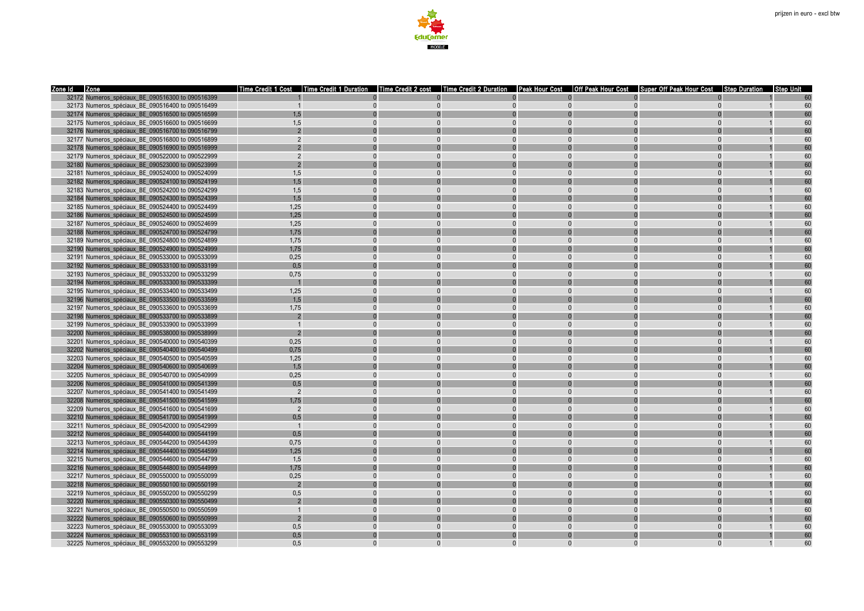

| Zone Id Zone                                     | l Time Credit 1 Cost | Time Credit 1 Duration | Time Credit 2 cost Time Credit 2 Duration Peak Hour Cost   Off Peak Hour Cost   Super Off Peak Hour Cost |          |          |          | <b>Step Duration</b> | IStep Unit |
|--------------------------------------------------|----------------------|------------------------|----------------------------------------------------------------------------------------------------------|----------|----------|----------|----------------------|------------|
| 32172 Numeros spéciaux BE 090516300 to 090516399 |                      |                        |                                                                                                          |          |          |          |                      |            |
| 32173 Numeros_spéciaux_BE_090516400 to 090516499 |                      |                        | $\Omega$                                                                                                 | $\Omega$ | $\Omega$ |          |                      | 60         |
| 32174 Numeros spéciaux BE 090516500 to 090516599 | 1,5                  |                        |                                                                                                          |          |          |          |                      |            |
| 32175 Numeros spéciaux BE 090516600 to 090516699 | 1.5                  |                        |                                                                                                          |          |          |          |                      |            |
| 32176 Numeros_spéciaux_BE_090516700 to 090516799 |                      |                        |                                                                                                          |          |          |          |                      |            |
| 32177 Numeros spéciaux BE 090516800 to 090516899 |                      |                        |                                                                                                          |          |          |          |                      | 60         |
| 32178 Numeros spéciaux BE 090516900 to 090516999 |                      |                        |                                                                                                          |          |          |          |                      |            |
| 32179 Numeros spéciaux BE 090522000 to 090522999 | $\mathcal{P}$        |                        |                                                                                                          | $\Omega$ | $\Omega$ | $\Omega$ |                      | 60         |
| 32180 Numeros_spéciaux_BE_090523000 to 090523999 |                      |                        |                                                                                                          |          |          |          |                      |            |
| 32181 Numeros_spéciaux_BE_090524000 to 090524099 | 1,5                  | $\Omega$               | $\Omega$                                                                                                 | $\Omega$ | $\Omega$ | $\Omega$ |                      | 60         |
| 32182 Numeros spéciaux BE 090524100 to 090524199 | 1.5                  |                        |                                                                                                          |          |          |          |                      |            |
| 32183 Numeros_spéciaux_BE_090524200 to 090524299 | 1,5                  |                        |                                                                                                          |          |          |          |                      | 60         |
| 32184 Numeros spéciaux BE 090524300 to 090524399 | 1,5                  |                        |                                                                                                          |          |          |          |                      |            |
| 32185 Numeros spéciaux BE 090524400 to 090524499 | 1,25                 |                        |                                                                                                          |          |          |          |                      |            |
| 32186 Numeros_spéciaux_BE_090524500 to 090524599 | 1,25                 |                        |                                                                                                          |          |          |          |                      |            |
| 32187 Numeros spéciaux BE 090524600 to 090524699 | 1,25                 |                        |                                                                                                          | $\Omega$ |          |          |                      | 60         |
| 32188 Numeros spéciaux BE 090524700 to 090524799 | 1,75                 |                        |                                                                                                          |          |          |          |                      |            |
| 32189 Numeros_spéciaux_BE_090524800 to 090524899 | 1,75                 |                        |                                                                                                          | $\Omega$ | $\Omega$ |          |                      | 60         |
| 32190 Numeros_spéciaux_BE_090524900 to 090524999 | 1,75                 |                        |                                                                                                          |          |          |          |                      |            |
| 32191 Numeros spéciaux BE 090533000 to 090533099 | 0,25                 |                        |                                                                                                          | $\Omega$ |          |          |                      |            |
| 32192 Numeros_spéciaux_BE_090533100 to 090533199 | 0.5                  |                        |                                                                                                          |          |          |          |                      |            |
| 32193 Numeros_spéciaux_BE_090533200 to 090533299 | 0,75                 |                        |                                                                                                          |          |          |          |                      |            |
| 32194 Numeros spéciaux BE 090533300 to 090533399 |                      |                        |                                                                                                          |          |          |          |                      |            |
| 32195 Numeros_spéciaux_BE_090533400 to 090533499 | 1,25                 |                        |                                                                                                          |          |          |          |                      |            |
| 32196 Numeros spéciaux BE 090533500 to 090533599 | 1,5                  |                        |                                                                                                          |          |          |          |                      |            |
| 32197 Numeros spéciaux BE 090533600 to 090533699 | 1,75                 |                        |                                                                                                          |          |          |          |                      |            |
| 32198 Numeros_spéciaux_BE_090533700 to 090533899 |                      |                        |                                                                                                          |          |          |          |                      |            |
| 32199 Numeros_spéciaux_BE_090533900 to 090533999 | $\overline{1}$       |                        |                                                                                                          | $\Omega$ |          | $\Omega$ |                      | 60         |
| 32200 Numeros spéciaux BE 090538000 to 090538999 |                      |                        |                                                                                                          |          |          |          |                      |            |
| 32201 Numeros_spéciaux_BE_090540000 to 090540399 | 0,25                 |                        |                                                                                                          |          |          |          |                      |            |
| 32202 Numeros spéciaux BE 090540400 to 090540499 | 0,75                 |                        |                                                                                                          |          |          |          |                      |            |
| 32203 Numeros spéciaux BE 090540500 to 090540599 | 1,25                 |                        |                                                                                                          |          |          |          |                      |            |
| 32204 Numeros_spéciaux_BE_090540600 to 090540699 | 1,5                  |                        |                                                                                                          |          |          |          |                      |            |
| 32205 Numeros spéciaux BE 090540700 to 090540999 | 0,25                 |                        |                                                                                                          | $\Omega$ |          |          |                      | 60         |
| 32206 Numeros_spéciaux_BE_090541000 to 090541399 | 0.5                  |                        |                                                                                                          |          |          |          |                      |            |
| 32207 Numeros_spéciaux_BE_090541400 to 090541499 | $\overline{2}$       | $\Omega$               | $\Omega$                                                                                                 | $\Omega$ |          | $\Omega$ |                      | 60         |
| 32208 Numeros_spéciaux_BE_090541500 to 090541599 | 1,75                 |                        |                                                                                                          |          |          |          |                      |            |
| 32209 Numeros spéciaux BE 090541600 to 090541699 | $\overline{2}$       |                        |                                                                                                          |          |          |          |                      | 60         |
| 32210 Numeros_spéciaux_BE_090541700 to 090541999 | 0,5                  |                        |                                                                                                          |          |          |          |                      |            |
| 32211 Numeros_spéciaux_BE_090542000 to 090542999 | $\overline{1}$       |                        |                                                                                                          |          |          |          |                      |            |
| 32212 Numeros spéciaux BE 090544000 to 090544199 | 0.5                  |                        |                                                                                                          |          |          |          |                      |            |
| 32213 Numeros spéciaux BE 090544200 to 090544399 | 0,75                 |                        |                                                                                                          |          |          |          |                      |            |
| 32214 Numeros_spéciaux_BE_090544400 to 090544599 | 1,25                 |                        |                                                                                                          |          |          |          |                      |            |
| 32215 Numeros spéciaux BE 090544600 to 090544799 | 1,5                  |                        |                                                                                                          | $\Omega$ |          |          |                      | 60         |
| 32216 Numeros_spéciaux_BE_090544800 to 090544999 | 1,75                 |                        |                                                                                                          |          |          |          |                      |            |
| 32217 Numeros_spéciaux_BE_090550000 to 090550099 | 0,25                 |                        |                                                                                                          |          |          |          |                      |            |
| 32218 Numeros spéciaux BE 090550100 to 090550199 |                      |                        |                                                                                                          |          |          |          |                      |            |
| 32219 Numeros spéciaux BE 090550200 to 090550299 | 0,5                  |                        |                                                                                                          |          |          |          |                      | 60         |
| 32220 Numeros spéciaux BE 090550300 to 090550499 |                      |                        |                                                                                                          |          |          |          |                      |            |
| 32221 Numeros spéciaux BE 090550500 to 090550599 |                      |                        |                                                                                                          |          |          |          |                      |            |
| 32222 Numeros spéciaux BE 090550600 to 090550999 |                      |                        |                                                                                                          |          |          |          |                      |            |
| 32223 Numeros spéciaux BE 090553000 to 090553099 | 0,5                  |                        |                                                                                                          |          |          |          |                      |            |
| 32224 Numeros_spéciaux_BE_090553100 to 090553199 | 0,5                  |                        |                                                                                                          |          |          |          |                      |            |
| 32225 Numeros spéciaux BE 090553200 to 090553299 | 0.5                  |                        |                                                                                                          | $\Omega$ |          |          |                      | 60         |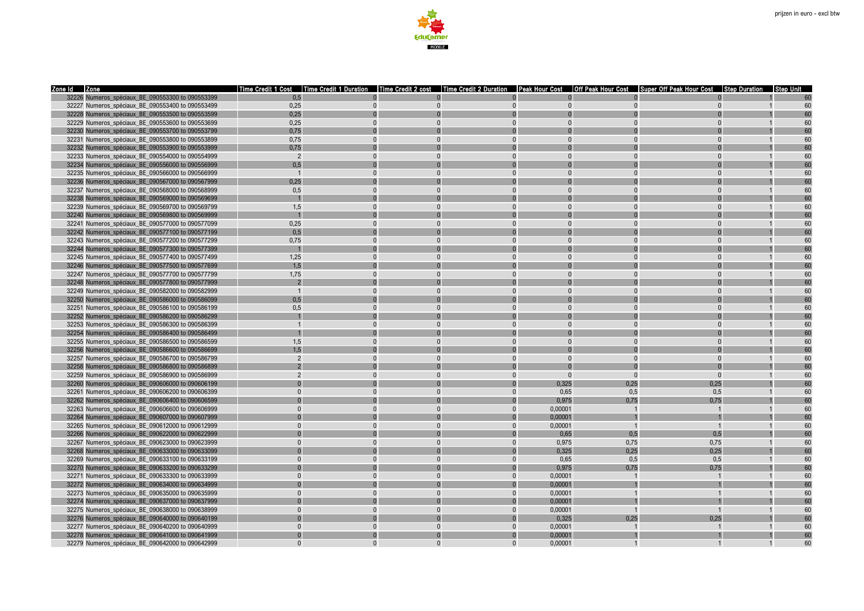

| Zone Id Zone                                                                                         |                | Time Credit 1 Cost Time Credit 1 Duration<br>Time Credit 2 cost |          |                      |          | Time Credit 2 Duration   Peak Hour Cost   Off Peak Hour Cost   Super Off Peak Hour Cost | <b>Step Duration</b> | <b>Step Unit</b> |
|------------------------------------------------------------------------------------------------------|----------------|-----------------------------------------------------------------|----------|----------------------|----------|-----------------------------------------------------------------------------------------|----------------------|------------------|
| 32226 Numeros spéciaux BE 090553300 to 090553399                                                     | 0.5            |                                                                 |          |                      |          |                                                                                         |                      |                  |
| 32227 Numeros_spéciaux_BE_090553400 to 090553499                                                     | 0,25           |                                                                 | $\Omega$ | $\Omega$<br>$\Omega$ |          |                                                                                         |                      | 60               |
| 32228 Numeros spéciaux BE 090553500 to 090553599                                                     | 0,25           |                                                                 |          |                      |          |                                                                                         |                      |                  |
| 32229 Numeros spéciaux BE 090553600 to 090553699                                                     | 0.25           |                                                                 |          |                      |          |                                                                                         |                      |                  |
| 32230 Numeros_spéciaux_BE_090553700 to 090553799                                                     | 0,75           |                                                                 |          |                      |          |                                                                                         |                      |                  |
| 32231 Numeros spéciaux BE 090553800 to 090553899                                                     | 0,75           |                                                                 |          |                      |          |                                                                                         |                      | 60               |
| 32232 Numeros spéciaux BE 090553900 to 090553999                                                     | 0,75           |                                                                 |          |                      |          |                                                                                         |                      |                  |
| 32233 Numeros spéciaux BE 090554000 to 090554999                                                     | $\overline{2}$ |                                                                 | $\Omega$ | $\Omega$             |          | $\Omega$                                                                                |                      | 60               |
| 32234 Numeros_spéciaux_BE_090556000 to 090556999                                                     | 0,5            |                                                                 |          |                      |          |                                                                                         |                      |                  |
| 32235 Numeros_spéciaux_BE_090566000 to 090566999                                                     | $\overline{1}$ | $\Omega$                                                        | $\Omega$ | $\Omega$             |          | $\Omega$                                                                                |                      | 60               |
| 32236 Numeros_spéciaux_BE_090567000 to 090567999                                                     | 0,25           |                                                                 |          |                      |          |                                                                                         |                      |                  |
| 32237 Numeros spéciaux BE 090568000 to 090568999                                                     | 0,5            |                                                                 |          |                      |          |                                                                                         |                      | 60               |
| 32238 Numeros spéciaux BE 090569000 to 090569699                                                     |                |                                                                 |          |                      |          |                                                                                         |                      |                  |
| 32239 Numeros_spéciaux_BE_090569700 to 090569799                                                     | 1,5            |                                                                 |          |                      |          |                                                                                         |                      | 60               |
| 32240 Numeros spéciaux BE 090569800 to 090569999                                                     |                |                                                                 |          |                      |          |                                                                                         |                      |                  |
| 32241 Numeros spéciaux BE 090577000 to 090577099                                                     | 0.25           | $\Omega$                                                        | $\Omega$ | $\Omega$             |          | $\Omega$                                                                                |                      | 60               |
| 32242 Numeros spéciaux BE 090577100 to 090577199                                                     | 0,5            |                                                                 |          |                      |          |                                                                                         |                      |                  |
| 32243 Numeros_spéciaux_BE_090577200 to 090577299                                                     | 0,75           |                                                                 |          |                      |          | $\Omega$                                                                                |                      | 60               |
| 32244 Numeros spéciaux BE 090577300 to 090577399                                                     |                |                                                                 |          |                      |          |                                                                                         |                      |                  |
| 32245 Numeros_spéciaux_BE_090577400 to 090577499                                                     | 1,25           |                                                                 |          |                      |          | $\Omega$                                                                                |                      | 60               |
| 32246 Numeros spéciaux BE 090577500 to 090577699                                                     | 1.5            |                                                                 |          |                      |          |                                                                                         |                      |                  |
| 32247 Numeros spéciaux BE 090577700 to 090577799                                                     | 1,75           |                                                                 |          |                      |          |                                                                                         |                      | 60               |
| 32248 Numeros_spéciaux_BE_090577800 to 090577999                                                     | $\overline{2}$ |                                                                 |          |                      |          |                                                                                         |                      |                  |
| 32249 Numeros spéciaux BE 090582000 to 090582999                                                     | $\overline{1}$ |                                                                 |          |                      |          |                                                                                         |                      | 60               |
| 32250 Numeros spéciaux BE 090586000 to 090586099                                                     | 0,5            |                                                                 |          |                      |          | $\Omega$                                                                                |                      | 60               |
| 32251 Numeros spéciaux BE 090586100 to 090586199<br>32252 Numeros spéciaux BE 090586200 to 090586299 | 0,5            |                                                                 |          |                      |          |                                                                                         |                      |                  |
| 32253 Numeros spéciaux BE 090586300 to 090586399                                                     | $\overline{1}$ | $\Omega$                                                        |          |                      |          | $\Omega$                                                                                |                      | 60               |
| 32254 Numeros spéciaux BE 090586400 to 090586499                                                     |                |                                                                 |          |                      |          |                                                                                         |                      |                  |
| 32255 Numeros spéciaux BE 090586500 to 090586599                                                     | 1,5            |                                                                 |          |                      |          |                                                                                         |                      | 60               |
| 32256 Numeros spéciaux BE 090586600 to 090586699                                                     | 1.5            |                                                                 |          |                      |          |                                                                                         |                      |                  |
| 32257 Numeros spéciaux BE 090586700 to 090586799                                                     | $\overline{2}$ |                                                                 |          |                      |          | $\Omega$                                                                                |                      | 60               |
| 32258 Numeros spéciaux BE 090586800 to 090586899                                                     |                |                                                                 |          |                      |          |                                                                                         |                      |                  |
| 32259 Numeros spéciaux BE 090586900 to 090586999                                                     | $\overline{2}$ |                                                                 |          | $\Omega$<br>$\Omega$ | $\Omega$ | $\Omega$                                                                                |                      | 60               |
| 32260 Numeros_spéciaux_BE_090606000 to 090606199                                                     |                |                                                                 |          | 0.325                | 0.25     | 0.25                                                                                    |                      |                  |
| 32261 Numeros_spéciaux_BE_090606200 to 090606399                                                     | $\Omega$       | $\Omega$                                                        | $\Omega$ | 0,65<br>$\Omega$     | 0,5      | 0,5                                                                                     |                      | 60               |
| 32262 Numeros_spéciaux_BE_090606400 to 090606599                                                     |                |                                                                 |          | 0,975                | 0,75     | 0,75                                                                                    |                      | 60               |
| 32263 Numeros_spéciaux_BE_090606600 to 090606999                                                     |                |                                                                 |          | 0,00001              |          |                                                                                         |                      | 60               |
| 32264 Numeros spéciaux BE 090607000 to 090607999                                                     |                |                                                                 |          | 0,00001              |          |                                                                                         |                      |                  |
| 32265 Numeros_spéciaux_BE_090612000 to 090612999                                                     | $\Omega$       |                                                                 |          | 0,00001              |          | $\overline{1}$                                                                          |                      | 60               |
| 32266 Numeros spéciaux BE 090622000 to 090622999                                                     |                |                                                                 |          | 0.65                 | 0.5      | 0.5                                                                                     |                      | 60               |
| 32267 Numeros spéciaux BE 090623000 to 090623999                                                     | $\Omega$       | $\Omega$                                                        | $\Omega$ | 0.975<br>$\Omega$    | 0.75     | 0.75                                                                                    |                      | 60               |
| 32268 Numeros_spéciaux_BE_090633000 to 090633099                                                     |                |                                                                 |          | 0,325                | 0,25     | 0,25                                                                                    |                      | 60               |
| 32269 Numeros_spéciaux_BE_090633100 to 090633199                                                     | $\Omega$       |                                                                 | $\Omega$ | 0,65                 | 0,5      | 0,5                                                                                     |                      | 60               |
| 32270 Numeros_spéciaux_BE_090633200 to 090633299                                                     |                |                                                                 |          | 0,975                | 0,75     | 0,75                                                                                    |                      |                  |
| 32271 Numeros_spéciaux_BE_090633300 to 090633999                                                     | $\Omega$       |                                                                 |          | 0,00001              |          |                                                                                         |                      | 60               |
| 32272 Numeros spéciaux BE 090634000 to 090634999                                                     |                |                                                                 |          | 0,00001              |          |                                                                                         |                      |                  |
| 32273 Numeros_spéciaux_BE_090635000 to 090635999                                                     | $\Omega$       |                                                                 |          | 0,00001              |          |                                                                                         |                      | 60               |
| 32274 Numeros_spéciaux_BE_090637000 to 090637999                                                     |                |                                                                 |          | 0,00001              |          |                                                                                         |                      |                  |
| 32275 Numeros spéciaux BE 090638000 to 090638999                                                     | $\Omega$       |                                                                 | $\Omega$ | 0.00001              |          |                                                                                         |                      | 60               |
| 32276 Numeros spéciaux BE 090640000 to 090640199                                                     |                |                                                                 |          | 0.325                | 0.25     | 0.25                                                                                    |                      | 60               |
| 32277 Numeros spéciaux BE 090640200 to 090640999                                                     | $\Omega$       |                                                                 | $\Omega$ | 0,00001<br>$\Omega$  |          |                                                                                         |                      | 60               |
| 32278 Numeros spéciaux BE 090641000 to 090641999                                                     | $\Omega$       |                                                                 |          | 0.00001<br>$\Omega$  |          |                                                                                         |                      |                  |
| 32279 Numeros spéciaux BE 090642000 to 090642999                                                     |                |                                                                 |          | 0.00001              |          |                                                                                         |                      | 60               |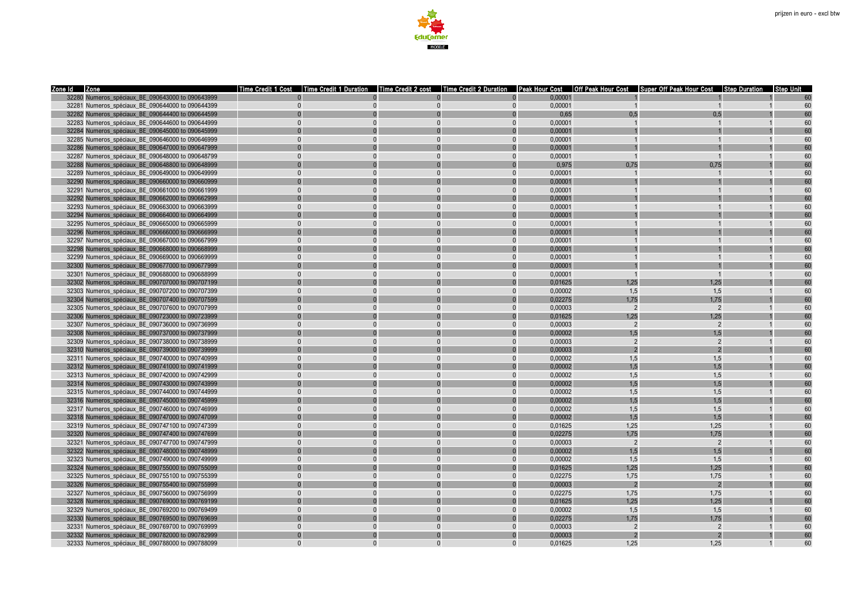

| Zone Id Zone                                     | Time Credit 1 Cost |          |                      |                         |                | Time Credit 1 Duration   Time Credit 2 cost   Time Credit 2 Duration   Peak Hour Cost   Off Peak Hour Cost   Super Off Peak Hour Cost   Step Duration   Step Duration   Step Unit |              |    |
|--------------------------------------------------|--------------------|----------|----------------------|-------------------------|----------------|-----------------------------------------------------------------------------------------------------------------------------------------------------------------------------------|--------------|----|
| 32280 Numeros spéciaux BE 090643000 to 090643999 |                    |          |                      | 0.00001                 |                |                                                                                                                                                                                   |              |    |
| 32281 Numeros_spéciaux_BE_090644000 to 090644399 | $\mathbf{0}$       | $\Omega$ | $\Omega$             | 0,00001<br>$\mathbf{0}$ | $\overline{1}$ | $\overline{1}$                                                                                                                                                                    |              | 60 |
| 32282 Numeros spéciaux BE 090644400 to 090644599 | $\Omega$           |          | $\Omega$             | 0,65                    | 0,5            | 0,5                                                                                                                                                                               |              | 60 |
| 32283 Numeros spéciaux BE 090644600 to 090644999 | $\Omega$           |          | $\Omega$<br>$\Omega$ | 0.00001                 |                |                                                                                                                                                                                   |              | 60 |
| 32284 Numeros_spéciaux_BE_090645000 to 090645999 |                    |          |                      | 0,00001                 |                |                                                                                                                                                                                   |              | 60 |
| 32285 Numeros spéciaux BE 090646000 to 090646999 | $\Omega$           |          | $\Omega$<br>$\Omega$ | 0,00001                 |                |                                                                                                                                                                                   |              | 60 |
| 32286 Numeros spéciaux BE 090647000 to 090647999 |                    |          |                      | 0.00001                 |                |                                                                                                                                                                                   |              | 60 |
| 32287 Numeros spéciaux BE 090648000 to 090648799 | $\Omega$           |          | $\Omega$<br>$\Omega$ | 0,00001                 | $\overline{1}$ | $\overline{1}$                                                                                                                                                                    |              | 60 |
| 32288 Numeros spéciaux BE 090648800 to 090648999 |                    |          |                      | 0,975                   | 0,75           | 0,75                                                                                                                                                                              |              | 60 |
| 32289 Numeros spéciaux BE 090649000 to 090649999 | $\Omega$           |          | $\Omega$<br>$\Omega$ | 0.00001                 |                |                                                                                                                                                                                   |              | 60 |
| 32290 Numeros_spéciaux_BE_090660000 to 090660999 |                    |          |                      | 0,00001                 |                |                                                                                                                                                                                   |              | 60 |
| 32291 Numeros spéciaux BE 090661000 to 090661999 |                    |          |                      | 0,00001                 |                |                                                                                                                                                                                   |              | 60 |
| 32292 Numeros spéciaux BE 090662000 to 090662999 |                    |          |                      | 0,00001                 |                |                                                                                                                                                                                   |              | 60 |
| 32293 Numeros spéciaux BE 090663000 to 090663999 | $\Omega$           |          | $\Omega$<br>$\Omega$ | 0,00001                 |                |                                                                                                                                                                                   |              | 60 |
| 32294 Numeros spéciaux BE 090664000 to 090664999 |                    |          |                      | 0.00001                 |                |                                                                                                                                                                                   |              | 60 |
| 32295 Numeros spéciaux BE 090665000 to 090665999 | $\Omega$           | $\Omega$ | $\Omega$<br>$\Omega$ | 0.00001                 |                | $\mathbf{1}$                                                                                                                                                                      |              | 60 |
| 32296 Numeros spéciaux BE 090666000 to 090666999 |                    |          |                      | 0,00001                 |                |                                                                                                                                                                                   |              | 60 |
| 32297 Numeros_spéciaux_BE_090667000 to 090667999 | $\Omega$           |          |                      | 0,00001                 |                |                                                                                                                                                                                   |              | 60 |
| 32298 Numeros spéciaux BE 090668000 to 090668999 |                    |          |                      | 0,00001                 |                |                                                                                                                                                                                   |              | 60 |
| 32299 Numeros_spéciaux_BE_090669000 to 090669999 |                    |          | $\Omega$             | 0,00001                 |                |                                                                                                                                                                                   |              | 60 |
| 32300 Numeros spéciaux BE 090677000 to 090677999 |                    |          |                      | 0.00001                 |                |                                                                                                                                                                                   |              | 60 |
| 32301 Numeros spéciaux BE 090688000 to 090688999 | $\Omega$           |          | $\Omega$<br>$\Omega$ | 0.00001                 | $\overline{1}$ | $\overline{1}$                                                                                                                                                                    |              | 60 |
| 32302 Numeros_spéciaux_BE_090707000 to 090707199 |                    |          |                      | 0,01625                 | 1.25           | 1,25                                                                                                                                                                              |              | 60 |
| 32303 Numeros spéciaux BE 090707200 to 090707399 | $\Omega$           |          | $\Omega$<br>$\Omega$ | 0,00002                 | 1,5            | 1,5                                                                                                                                                                               |              | 60 |
| 32304 Numeros spéciaux BE 090707400 to 090707599 |                    |          |                      | 0.02275                 | 1.75           | 1.75                                                                                                                                                                              |              | 60 |
| 32305 Numeros spéciaux BE 090707600 to 090707999 | $\Omega$           |          | $\Omega$             | 0,00003                 | $\overline{2}$ | $\overline{2}$                                                                                                                                                                    |              | 60 |
| 32306 Numeros spéciaux BE 090723000 to 090723999 |                    |          |                      | 0,01625                 | 1.25           | 1.25                                                                                                                                                                              |              | 60 |
| 32307 Numeros spéciaux BE 090736000 to 090736999 |                    |          | $\Omega$             | 0.00003                 | $\overline{2}$ | $\overline{2}$                                                                                                                                                                    |              | 60 |
| 32308 Numeros_spéciaux_BE_090737000 to 090737999 |                    |          |                      | 0,00002                 | 1.5            | 1,5                                                                                                                                                                               |              | 60 |
| 32309 Numeros spéciaux BE 090738000 to 090738999 | $\Omega$           |          | $\Omega$             | 0.00003                 | $\mathcal{P}$  | $\overline{2}$                                                                                                                                                                    |              | 60 |
| 32310 Numeros spéciaux BE 090739000 to 090739999 |                    |          |                      | 0.00003                 | $\overline{2}$ | $\overline{2}$                                                                                                                                                                    |              | 60 |
| 32311 Numeros spéciaux BE 090740000 to 090740999 | $\Omega$           |          | $\Omega$<br>$\Omega$ | 0,00002                 | 1,5            | 1,5                                                                                                                                                                               |              | 60 |
| 32312 Numeros spéciaux BE 090741000 to 090741999 |                    |          |                      | 0.00002                 | 1.5            | 1.5                                                                                                                                                                               |              | 60 |
| 32313 Numeros spéciaux BE 090742000 to 090742999 | $\Omega$           | $\Omega$ | $\Omega$             | 0.00002                 | 1.5            | 1.5                                                                                                                                                                               | $\mathbf{1}$ | 60 |
| 32314 Numeros_spéciaux_BE_090743000 to 090743999 |                    |          |                      | 0,00002                 | 1,5            | 1,5                                                                                                                                                                               |              | 60 |
| 32315 Numeros_spéciaux_BE_090744000 to 090744999 | $\Omega$           |          | $\Omega$             | 0,00002                 | 1.5            | 1.5                                                                                                                                                                               |              | 60 |
| 32316 Numeros_spéciaux_BE_090745000 to 090745999 |                    |          |                      | 0.00002                 | 1.5            | 1.5                                                                                                                                                                               |              | 60 |
| 32317 Numeros spéciaux BE 090746000 to 090746999 | $\Omega$           |          |                      | 0,00002                 | 1,5            | 1,5                                                                                                                                                                               |              | 60 |
| 32318 Numeros spéciaux BE 090747000 to 090747099 |                    |          |                      | 0,00002                 | 1.5            | 1.5                                                                                                                                                                               |              | 60 |
| 32319 Numeros spéciaux BE 090747100 to 090747399 | $\Omega$           |          | $\Omega$<br>$\Omega$ | 0,01625                 | 1,25           | 1,25                                                                                                                                                                              |              | 60 |
| 32320 Numeros spéciaux BE 090747400 to 090747699 |                    |          |                      | 0,02275                 | 1.75           | 1.75                                                                                                                                                                              |              | 60 |
| 32321 Numeros spéciaux BE 090747700 to 090747999 | $\Omega$           | $\Omega$ | $\Omega$<br>$\Omega$ | 0,00003                 | $\overline{2}$ | $\overline{2}$                                                                                                                                                                    |              | 60 |
| 32322 Numeros spéciaux BE 090748000 to 090748999 |                    |          |                      | 0,00002                 | 1,5            | 1,5                                                                                                                                                                               |              | 60 |
| 32323 Numeros_spéciaux_BE_090749000 to 090749999 | $\Omega$           |          | $\Omega$             | 0,00002                 | 1,5            | 1,5                                                                                                                                                                               |              | 60 |
| 32324 Numeros spéciaux BE 090755000 to 090755099 |                    |          |                      | 0,01625                 | 1,25           | 1,25                                                                                                                                                                              |              | 60 |
| 32325 Numeros_spéciaux_BE_090755100 to 090755399 | $\Omega$           |          | $\Omega$             | 0,02275                 | 1,75           | 1,75                                                                                                                                                                              |              | 60 |
| 32326 Numeros spéciaux BE 090755400 to 090755999 |                    |          |                      | 0,00003                 | $\overline{2}$ | $\overline{2}$                                                                                                                                                                    |              | 60 |
| 32327 Numeros spéciaux BE 090756000 to 090756999 | $\Omega$           |          | $\Omega$<br>$\Omega$ | 0,02275                 | 1.75           | 1,75                                                                                                                                                                              |              | 60 |
| 32328 Numeros_spéciaux_BE_090769000 to 090769199 |                    |          |                      | 0,01625                 | 1,25           | 1,25                                                                                                                                                                              |              | 60 |
| 32329 Numeros spéciaux BE 090769200 to 090769499 | $\Omega$           |          | $\Omega$<br>$\Omega$ | 0,00002                 | 1,5            | 1,5                                                                                                                                                                               |              | 60 |
| 32330 Numeros spéciaux BE 090769500 to 090769699 |                    |          |                      | 0.02275                 | 1,75           | 1,75                                                                                                                                                                              |              | 60 |
| 32331 Numeros spéciaux BE 090769700 to 090769999 | $\Omega$           | $\Omega$ | $\Omega$             | 0,00003                 | $\overline{2}$ | $\overline{2}$                                                                                                                                                                    |              | 60 |
| 32332 Numeros spéciaux BE 090782000 to 090782999 |                    |          |                      | 0,00003                 |                | $\overline{2}$                                                                                                                                                                    |              | 60 |
| 32333 Numeros spéciaux BE 090788000 to 090788099 |                    |          | $\Omega$             | 0.01625                 | 1.25           | 1.25                                                                                                                                                                              |              | 60 |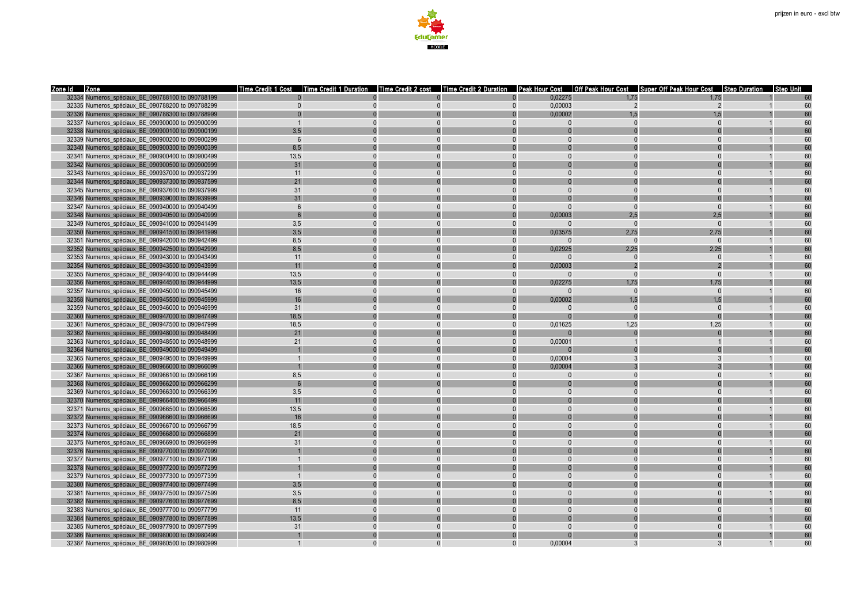

| Zone Id Zone |                                                  |              |          |              |          |          |                | Time Credit 1 Cost  Time Credit 1 Duration  Time Credit 2 cost  Time Credit 2 Duration  Peak Hour Cost  Off Peak Hour Cost  Super Off Peak Hour Cost  Step Duration  Step Unit |                |    |
|--------------|--------------------------------------------------|--------------|----------|--------------|----------|----------|----------------|--------------------------------------------------------------------------------------------------------------------------------------------------------------------------------|----------------|----|
|              | 32334 Numeros spéciaux BE 090788100 to 090788199 |              |          |              |          | 0.02275  | 1.75           | 1.75                                                                                                                                                                           |                |    |
|              | 32335 Numeros_spéciaux_BE_090788200 to 090788299 | $\mathbf{0}$ | $\Omega$ | $\mathbf{0}$ | $\Omega$ | 0,00003  | $\overline{2}$ | $\overline{2}$                                                                                                                                                                 | $\overline{1}$ | 60 |
|              | 32336 Numeros spéciaux BE 090788300 to 090788999 | $\Omega$     |          |              |          | 0,00002  | 1.5            | 1.5                                                                                                                                                                            |                | 60 |
|              | 32337 Numeros spéciaux BE 090900000 to 090900099 |              |          | $\Omega$     |          |          |                |                                                                                                                                                                                |                | 60 |
|              | 32338 Numeros_spéciaux_BE_090900100 to 090900199 | 3,5          |          |              |          |          |                |                                                                                                                                                                                |                | 60 |
|              | 32339 Numeros spéciaux BE 090900200 to 090900299 | 6            |          | $\Omega$     |          |          |                |                                                                                                                                                                                |                | 60 |
|              | 32340 Numeros spéciaux BE 090900300 to 090900399 | 8,5          |          |              |          |          |                |                                                                                                                                                                                |                |    |
|              | 32341 Numeros_spéciaux_BE_090900400 to 090900499 | 13,5         |          | $\Omega$     |          |          |                |                                                                                                                                                                                |                | 60 |
|              | 32342 Numeros_spéciaux_BE_090900500 to 090900999 | 31           |          |              |          |          |                |                                                                                                                                                                                |                | 60 |
|              | 32343 Numeros_spéciaux_BE_090937000 to 090937299 | 11           |          |              |          |          |                |                                                                                                                                                                                |                | 60 |
|              | 32344 Numeros_spéciaux_BE_090937300 to 090937599 | 21           |          |              |          |          |                |                                                                                                                                                                                |                | 60 |
|              | 32345 Numeros spéciaux BE 090937600 to 090937999 | 31           |          |              |          |          |                |                                                                                                                                                                                |                | 60 |
|              | 32346 Numeros spéciaux BE 090939000 to 090939999 | 31           |          |              |          |          |                |                                                                                                                                                                                |                | 60 |
|              | 32347 Numeros spéciaux BE 090940000 to 090940499 | 6            |          | $\Omega$     | $\Omega$ |          |                | $\Omega$                                                                                                                                                                       |                | 60 |
|              | 32348 Numeros spéciaux BE 090940500 to 090940999 |              |          |              |          | 0.00003  | 2.5            | 2.5                                                                                                                                                                            |                | 60 |
|              | 32349 Numeros spéciaux BE 090941000 to 090941499 | 3,5          | $\Omega$ | $\Omega$     | $\Omega$ | n        | $\Omega$       | $\Omega$                                                                                                                                                                       |                | 60 |
|              | 32350 Numeros spéciaux BE 090941500 to 090941999 | 3,5          |          |              |          | 0,03575  | 2,75           | 2,75                                                                                                                                                                           |                | 60 |
|              | 32351 Numeros_spéciaux_BE_090942000 to 090942499 | 8,5          |          |              |          |          | $\Omega$       | $\Omega$                                                                                                                                                                       |                | 60 |
|              | 32352 Numeros spéciaux BE 090942500 to 090942999 | 8,5          |          |              |          | 0,02925  | 2,25           | 2.25                                                                                                                                                                           |                | 60 |
|              | 32353 Numeros_spéciaux_BE_090943000 to 090943499 | 11           |          |              |          |          |                | $\Omega$                                                                                                                                                                       |                | 60 |
|              | 32354 Numeros spéciaux BE 090943500 to 090943999 | 11           |          |              |          | 0,00003  |                |                                                                                                                                                                                |                | 60 |
|              | 32355 Numeros spéciaux BE 090944000 to 090944499 | 13,5         |          | $\Omega$     | $\Omega$ | $\Omega$ | $\Omega$       | $\Omega$                                                                                                                                                                       |                | 60 |
|              | 32356 Numeros_spéciaux_BE_090944500 to 090944999 | 13,5         |          |              |          | 0,02275  | 1.75           | 1.75                                                                                                                                                                           |                |    |
|              | 32357 Numeros spéciaux BE 090945000 to 090945499 | 16           | $\Omega$ | $\Omega$     |          |          |                | $\Omega$                                                                                                                                                                       |                | 60 |
|              | 32358 Numeros spéciaux BE 090945500 to 090945999 | 16           |          |              |          | 0,00002  | 1,5            | 1.5                                                                                                                                                                            |                |    |
|              | 32359 Numeros spéciaux BE 090946000 to 090946999 | 31           |          |              |          | n        |                | $\Omega$                                                                                                                                                                       |                | 60 |
|              | 32360 Numeros spéciaux BE 090947000 to 090947499 | 18,5         |          |              |          |          |                |                                                                                                                                                                                |                |    |
|              | 32361 Numeros spéciaux BE 090947500 to 090947999 | 18,5         |          | $\Omega$     | $\Omega$ | 0,01625  | 1,25           | 1,25                                                                                                                                                                           |                | 60 |
|              | 32362 Numeros_spéciaux_BE_090948000 to 090948499 | 21           |          |              |          |          |                | $\Omega$                                                                                                                                                                       |                | 60 |
|              | 32363 Numeros spéciaux BE 090948500 to 090948999 | 21           |          | $\Omega$     |          | 0,00001  |                |                                                                                                                                                                                |                | 60 |
|              | 32364 Numeros spéciaux BE 090949000 to 090949499 |              |          |              |          |          |                |                                                                                                                                                                                |                | 60 |
|              | 32365 Numeros spéciaux BE 090949500 to 090949999 |              |          | $\Omega$     | $\Omega$ | 0,00004  |                |                                                                                                                                                                                |                | 60 |
|              | 32366 Numeros spéciaux BE 090966000 to 090966099 |              |          |              |          | 0.00004  |                |                                                                                                                                                                                |                |    |
|              | 32367 Numeros_spéciaux_BE_090966100 to 090966199 | 8,5          |          | $\Omega$     | $\Omega$ |          |                | $\Omega$                                                                                                                                                                       |                | 60 |
|              | 32368 Numeros_spéciaux_BE_090966200 to 090966299 |              |          |              |          |          |                |                                                                                                                                                                                |                | 60 |
|              | 32369 Numeros_spéciaux_BE_090966300 to 090966399 | 3,5          |          |              |          |          |                |                                                                                                                                                                                |                | 60 |
|              | 32370 Numeros_spéciaux_BE_090966400 to 090966499 | 11           |          |              |          |          |                |                                                                                                                                                                                |                | 60 |
|              | 32371 Numeros spéciaux BE 090966500 to 090966599 | 13,5         |          |              |          |          |                |                                                                                                                                                                                |                | 60 |
|              | 32372 Numeros spéciaux BE 090966600 to 090966699 | 16           |          |              |          |          |                |                                                                                                                                                                                |                | 60 |
|              | 32373 Numeros_spéciaux_BE_090966700 to 090966799 | 18,5         |          | $\Omega$     | $\Omega$ |          |                | $\Omega$                                                                                                                                                                       |                | 60 |
|              | 32374 Numeros_spéciaux_BE_090966800 to 090966899 | 21           |          |              |          |          |                |                                                                                                                                                                                |                | 60 |
|              | 32375 Numeros spéciaux BE 090966900 to 090966999 | 31           | $\Omega$ | $\Omega$     | $\Omega$ |          |                | $\Omega$                                                                                                                                                                       |                | 60 |
|              | 32376 Numeros spéciaux BE 090977000 to 090977099 |              |          |              |          |          |                |                                                                                                                                                                                |                | 60 |
|              | 32377 Numeros_spéciaux_BE_090977100 to 090977199 |              |          |              |          |          |                |                                                                                                                                                                                |                | 60 |
|              | 32378 Numeros spéciaux BE 090977200 to 090977299 |              |          |              |          |          |                |                                                                                                                                                                                |                |    |
|              | 32379 Numeros_spéciaux_BE_090977300 to 090977399 |              |          |              |          |          |                |                                                                                                                                                                                |                | 60 |
|              | 32380 Numeros_spéciaux_BE_090977400 to 090977499 | 3.5          |          |              |          |          |                |                                                                                                                                                                                |                |    |
|              | 32381 Numeros spéciaux BE 090977500 to 090977599 | 3,5          | $\Omega$ | $\Omega$     | $\Omega$ |          |                | $\Omega$                                                                                                                                                                       |                | 60 |
|              | 32382 Numeros_spéciaux_BE_090977600 to 090977699 | 8,5          |          |              |          |          |                |                                                                                                                                                                                |                | 60 |
|              | 32383 Numeros spéciaux BE 090977700 to 090977799 | 11           | $\Omega$ | $\Omega$     |          |          |                | $\Omega$                                                                                                                                                                       |                | 60 |
|              | 32384 Numeros spéciaux BE 090977800 to 090977899 | 13,5         |          |              |          |          |                |                                                                                                                                                                                |                | 60 |
|              | 32385 Numeros_spéciaux_BE_090977900 to 090977999 | 31           |          | $\Omega$     | $\Omega$ |          |                | $\Omega$                                                                                                                                                                       |                | 60 |
|              | 32386 Numeros spéciaux BE 090980000 to 090980499 |              |          |              |          |          |                |                                                                                                                                                                                |                | 60 |
|              | 32387 Numeros spéciaux BE 090980500 to 090980999 |              |          | $\Omega$     | $\Omega$ | 0.00004  |                | $\mathbf{3}$                                                                                                                                                                   |                | 60 |